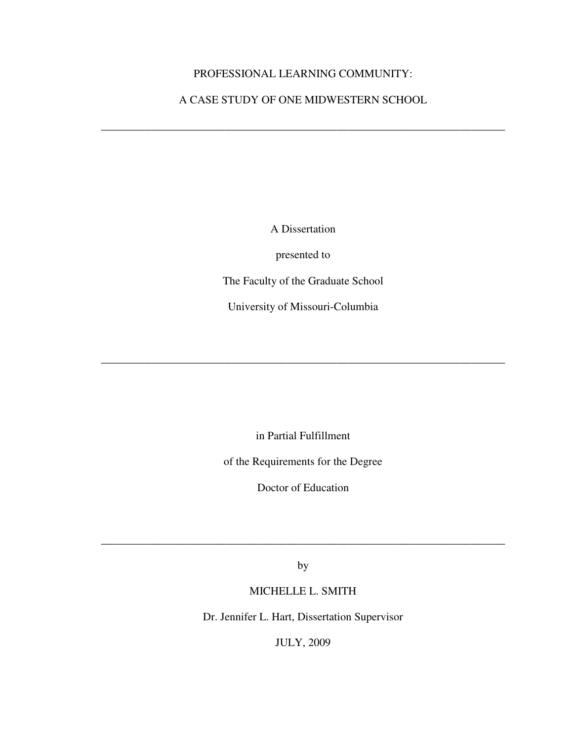# PROFESSIONAL LEARNING COMMUNITY:

# A CASE STUDY OF ONE MIDWESTERN SCHOOL

**\_\_\_\_\_\_\_\_\_\_\_\_\_\_\_\_\_\_\_\_\_\_\_\_\_\_\_\_\_\_\_\_\_\_\_\_\_\_\_\_\_\_\_\_\_\_\_\_\_\_\_\_\_\_\_\_\_\_\_\_\_\_\_\_\_\_\_\_\_\_\_\_** 

A Dissertation

presented to

The Faculty of the Graduate School

University of Missouri-Columbia

**\_\_\_\_\_\_\_\_\_\_\_\_\_\_\_\_\_\_\_\_\_\_\_\_\_\_\_\_\_\_\_\_\_\_\_\_\_\_\_\_\_\_\_\_\_\_\_\_\_\_\_\_\_\_\_\_\_\_\_\_\_\_\_\_\_\_\_\_\_\_\_\_** 

in Partial Fulfillment

of the Requirements for the Degree

Doctor of Education

by

**\_\_\_\_\_\_\_\_\_\_\_\_\_\_\_\_\_\_\_\_\_\_\_\_\_\_\_\_\_\_\_\_\_\_\_\_\_\_\_\_\_\_\_\_\_\_\_\_\_\_\_\_\_\_\_\_\_\_\_\_\_\_\_\_\_\_\_\_\_\_\_\_** 

# MICHELLE L. SMITH

Dr. Jennifer L. Hart, Dissertation Supervisor

JULY, 2009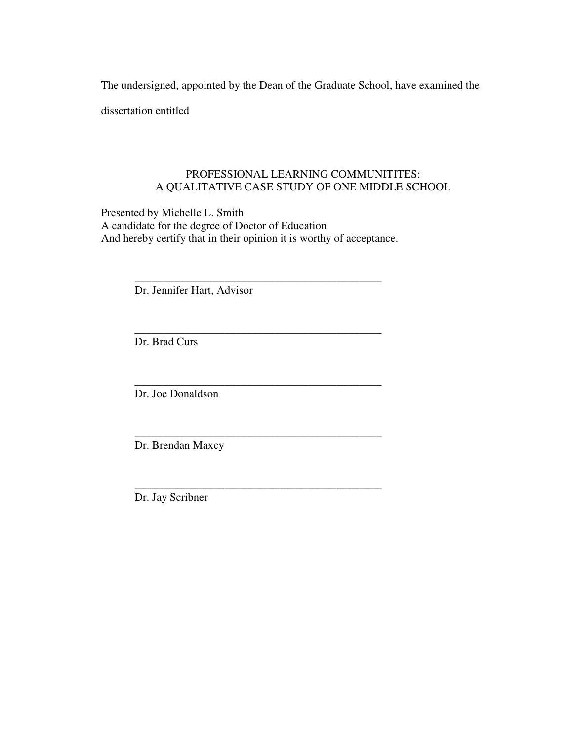The undersigned, appointed by the Dean of the Graduate School, have examined the

dissertation entitled

# PROFESSIONAL LEARNING COMMUNITITES: A QUALITATIVE CASE STUDY OF ONE MIDDLE SCHOOL

Presented by Michelle L. Smith A candidate for the degree of Doctor of Education And hereby certify that in their opinion it is worthy of acceptance.

 $\overline{\phantom{a}}$  ,  $\overline{\phantom{a}}$  ,  $\overline{\phantom{a}}$  ,  $\overline{\phantom{a}}$  ,  $\overline{\phantom{a}}$  ,  $\overline{\phantom{a}}$  ,  $\overline{\phantom{a}}$  ,  $\overline{\phantom{a}}$  ,  $\overline{\phantom{a}}$  ,  $\overline{\phantom{a}}$  ,  $\overline{\phantom{a}}$  ,  $\overline{\phantom{a}}$  ,  $\overline{\phantom{a}}$  ,  $\overline{\phantom{a}}$  ,  $\overline{\phantom{a}}$  ,  $\overline{\phantom{a}}$ 

 $\overline{\phantom{a}}$  ,  $\overline{\phantom{a}}$  ,  $\overline{\phantom{a}}$  ,  $\overline{\phantom{a}}$  ,  $\overline{\phantom{a}}$  ,  $\overline{\phantom{a}}$  ,  $\overline{\phantom{a}}$  ,  $\overline{\phantom{a}}$  ,  $\overline{\phantom{a}}$  ,  $\overline{\phantom{a}}$  ,  $\overline{\phantom{a}}$  ,  $\overline{\phantom{a}}$  ,  $\overline{\phantom{a}}$  ,  $\overline{\phantom{a}}$  ,  $\overline{\phantom{a}}$  ,  $\overline{\phantom{a}}$ 

 $\overline{\phantom{a}}$  ,  $\overline{\phantom{a}}$  ,  $\overline{\phantom{a}}$  ,  $\overline{\phantom{a}}$  ,  $\overline{\phantom{a}}$  ,  $\overline{\phantom{a}}$  ,  $\overline{\phantom{a}}$  ,  $\overline{\phantom{a}}$  ,  $\overline{\phantom{a}}$  ,  $\overline{\phantom{a}}$  ,  $\overline{\phantom{a}}$  ,  $\overline{\phantom{a}}$  ,  $\overline{\phantom{a}}$  ,  $\overline{\phantom{a}}$  ,  $\overline{\phantom{a}}$  ,  $\overline{\phantom{a}}$ 

\_\_\_\_\_\_\_\_\_\_\_\_\_\_\_\_\_\_\_\_\_\_\_\_\_\_\_\_\_\_\_\_\_\_\_\_\_\_\_\_\_\_\_\_

\_\_\_\_\_\_\_\_\_\_\_\_\_\_\_\_\_\_\_\_\_\_\_\_\_\_\_\_\_\_\_\_\_\_\_\_\_\_\_\_\_\_\_\_

Dr. Jennifer Hart, Advisor

Dr. Brad Curs

Dr. Joe Donaldson

Dr. Brendan Maxcy

Dr. Jay Scribner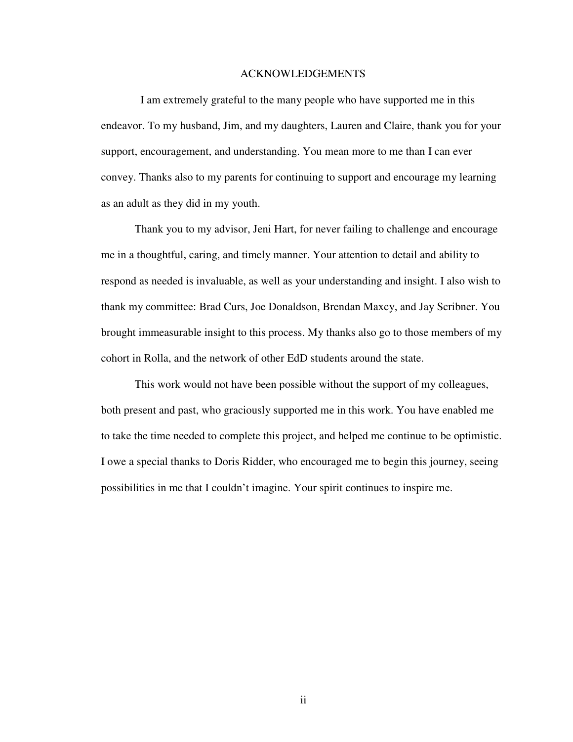## ACKNOWLEDGEMENTS

 I am extremely grateful to the many people who have supported me in this endeavor. To my husband, Jim, and my daughters, Lauren and Claire, thank you for your support, encouragement, and understanding. You mean more to me than I can ever convey. Thanks also to my parents for continuing to support and encourage my learning as an adult as they did in my youth.

 Thank you to my advisor, Jeni Hart, for never failing to challenge and encourage me in a thoughtful, caring, and timely manner. Your attention to detail and ability to respond as needed is invaluable, as well as your understanding and insight. I also wish to thank my committee: Brad Curs, Joe Donaldson, Brendan Maxcy, and Jay Scribner. You brought immeasurable insight to this process. My thanks also go to those members of my cohort in Rolla, and the network of other EdD students around the state.

 This work would not have been possible without the support of my colleagues, both present and past, who graciously supported me in this work. You have enabled me to take the time needed to complete this project, and helped me continue to be optimistic. I owe a special thanks to Doris Ridder, who encouraged me to begin this journey, seeing possibilities in me that I couldn't imagine. Your spirit continues to inspire me.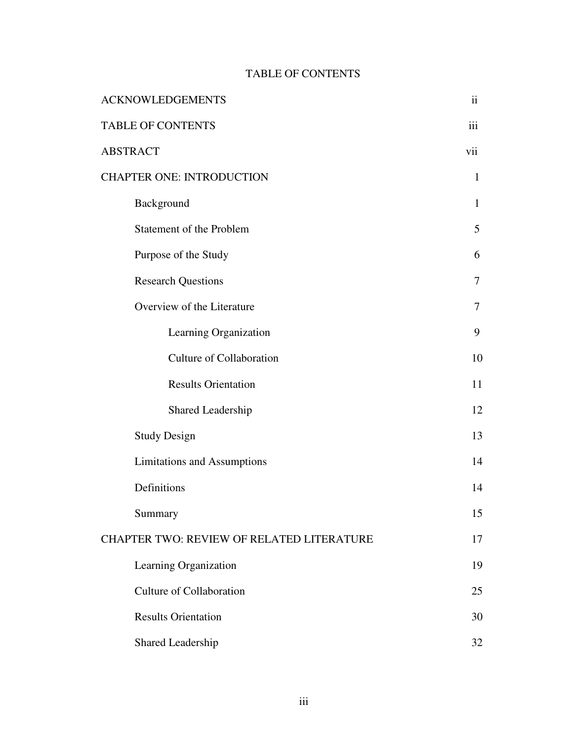# TABLE OF CONTENTS

| <b>ACKNOWLEDGEMENTS</b>                          |              |
|--------------------------------------------------|--------------|
| <b>TABLE OF CONTENTS</b>                         |              |
| <b>ABSTRACT</b>                                  |              |
| <b>CHAPTER ONE: INTRODUCTION</b>                 |              |
| Background                                       | $\mathbf{1}$ |
| <b>Statement of the Problem</b>                  | 5            |
| Purpose of the Study                             | 6            |
| <b>Research Questions</b>                        | 7            |
| Overview of the Literature                       | 7            |
| Learning Organization                            | 9            |
| <b>Culture of Collaboration</b>                  | 10           |
| <b>Results Orientation</b>                       | 11           |
| Shared Leadership                                | 12           |
| <b>Study Design</b>                              | 13           |
| <b>Limitations and Assumptions</b>               | 14           |
| Definitions                                      | 14           |
| Summary                                          | 15           |
| <b>CHAPTER TWO: REVIEW OF RELATED LITERATURE</b> |              |
| Learning Organization                            | 19           |
| <b>Culture of Collaboration</b>                  | 25           |
| <b>Results Orientation</b>                       | 30           |
| Shared Leadership                                | 32           |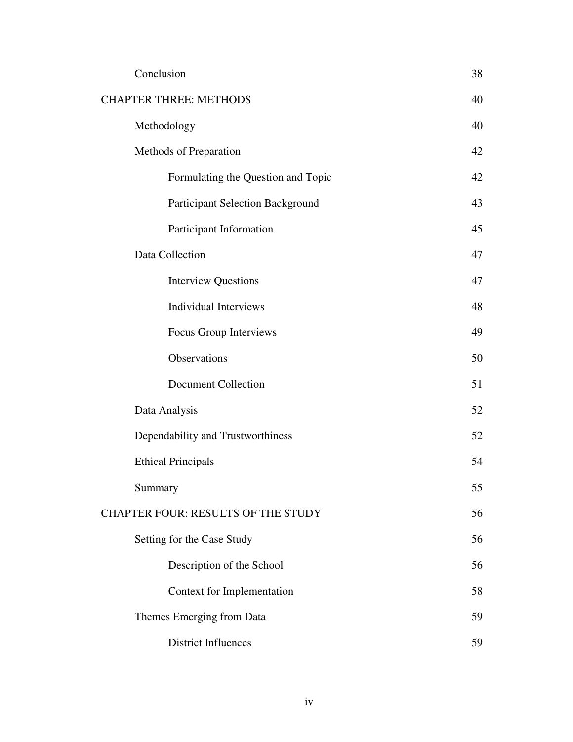|                               | Conclusion                              | 38 |
|-------------------------------|-----------------------------------------|----|
| <b>CHAPTER THREE: METHODS</b> |                                         | 40 |
|                               | Methodology                             | 40 |
|                               | Methods of Preparation                  | 42 |
|                               | Formulating the Question and Topic      | 42 |
|                               | <b>Participant Selection Background</b> | 43 |
|                               | Participant Information                 | 45 |
|                               | Data Collection                         | 47 |
|                               | <b>Interview Questions</b>              | 47 |
|                               | <b>Individual Interviews</b>            | 48 |
|                               | Focus Group Interviews                  | 49 |
|                               | Observations                            | 50 |
|                               | <b>Document Collection</b>              | 51 |
|                               | Data Analysis                           | 52 |
|                               | Dependability and Trustworthiness       | 52 |
|                               | <b>Ethical Principals</b>               | 54 |
|                               | Summary                                 | 55 |
|                               | CHAPTER FOUR: RESULTS OF THE STUDY      |    |
|                               | Setting for the Case Study              | 56 |
|                               | Description of the School               | 56 |
|                               | Context for Implementation              | 58 |
|                               | Themes Emerging from Data               | 59 |
|                               | <b>District Influences</b>              | 59 |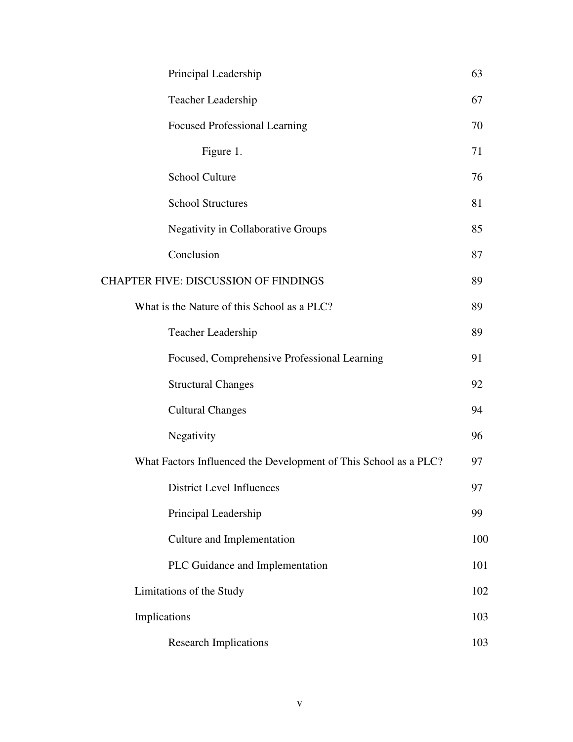| Principal Leadership                                             | 63  |
|------------------------------------------------------------------|-----|
| Teacher Leadership                                               | 67  |
| <b>Focused Professional Learning</b>                             | 70  |
| Figure 1.                                                        | 71  |
| <b>School Culture</b>                                            | 76  |
| <b>School Structures</b>                                         | 81  |
| <b>Negativity in Collaborative Groups</b>                        | 85  |
| Conclusion                                                       | 87  |
| <b>CHAPTER FIVE: DISCUSSION OF FINDINGS</b>                      | 89  |
| What is the Nature of this School as a PLC?                      | 89  |
| Teacher Leadership                                               | 89  |
| Focused, Comprehensive Professional Learning                     | 91  |
| <b>Structural Changes</b>                                        | 92  |
| <b>Cultural Changes</b>                                          | 94  |
| Negativity                                                       | 96  |
| What Factors Influenced the Development of This School as a PLC? |     |
| District Level Influences                                        | 97  |
| Principal Leadership                                             | 99  |
| Culture and Implementation                                       | 100 |
| PLC Guidance and Implementation                                  | 101 |
| Limitations of the Study                                         | 102 |
| Implications                                                     | 103 |
| <b>Research Implications</b>                                     | 103 |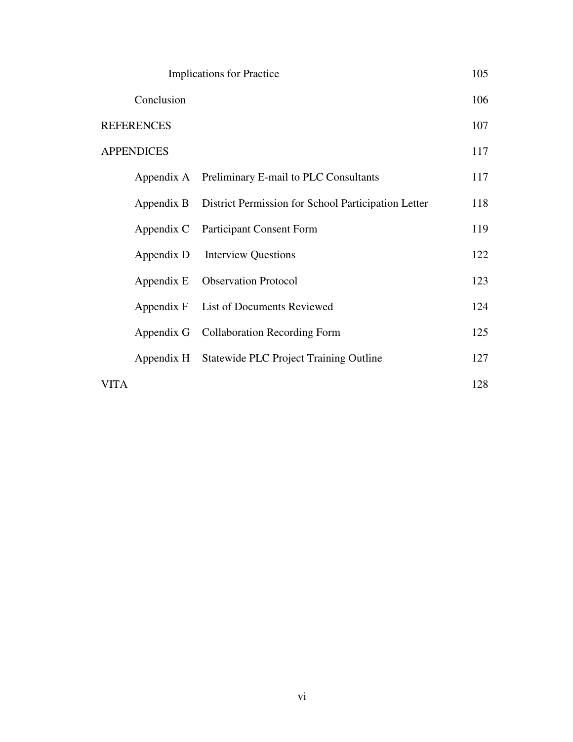| <b>Implications for Practice</b> |                                                                | 105 |
|----------------------------------|----------------------------------------------------------------|-----|
| Conclusion                       |                                                                | 106 |
| <b>REFERENCES</b>                |                                                                | 107 |
| <b>APPENDICES</b>                |                                                                | 117 |
|                                  | Appendix A Preliminary E-mail to PLC Consultants               | 117 |
|                                  | Appendix B District Permission for School Participation Letter | 118 |
|                                  | Appendix C Participant Consent Form                            | 119 |
| Appendix D                       | <b>Interview Questions</b>                                     | 122 |
| Appendix E                       | <b>Observation Protocol</b>                                    | 123 |
|                                  | Appendix F List of Documents Reviewed                          | 124 |
|                                  | Appendix G Collaboration Recording Form                        | 125 |
|                                  | Appendix H Statewide PLC Project Training Outline              | 127 |
| <b>VITA</b>                      |                                                                | 128 |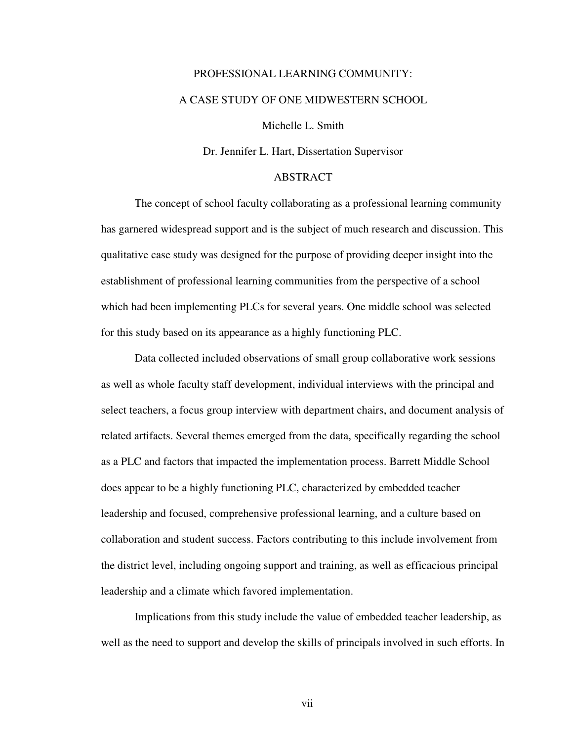# PROFESSIONAL LEARNING COMMUNITY: A CASE STUDY OF ONE MIDWESTERN SCHOOL

Michelle L. Smith

Dr. Jennifer L. Hart, Dissertation Supervisor

# ABSTRACT

 The concept of school faculty collaborating as a professional learning community has garnered widespread support and is the subject of much research and discussion. This qualitative case study was designed for the purpose of providing deeper insight into the establishment of professional learning communities from the perspective of a school which had been implementing PLCs for several years. One middle school was selected for this study based on its appearance as a highly functioning PLC.

 Data collected included observations of small group collaborative work sessions as well as whole faculty staff development, individual interviews with the principal and select teachers, a focus group interview with department chairs, and document analysis of related artifacts. Several themes emerged from the data, specifically regarding the school as a PLC and factors that impacted the implementation process. Barrett Middle School does appear to be a highly functioning PLC, characterized by embedded teacher leadership and focused, comprehensive professional learning, and a culture based on collaboration and student success. Factors contributing to this include involvement from the district level, including ongoing support and training, as well as efficacious principal leadership and a climate which favored implementation.

 Implications from this study include the value of embedded teacher leadership, as well as the need to support and develop the skills of principals involved in such efforts. In

vii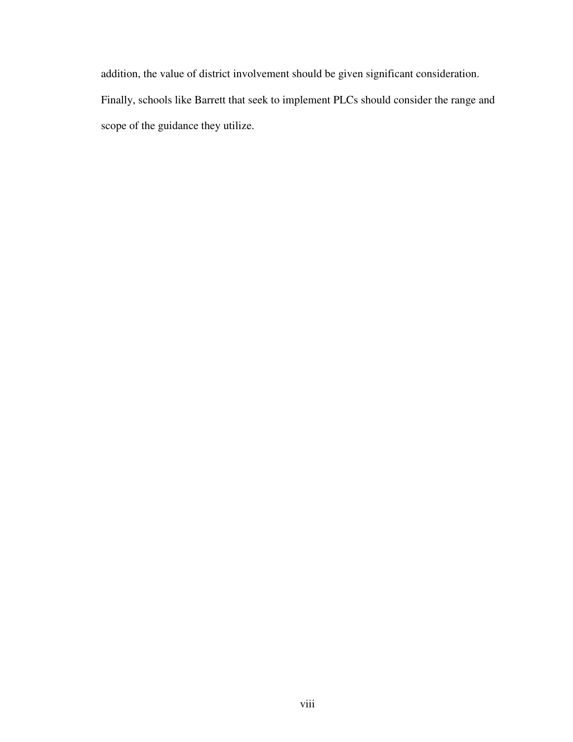addition, the value of district involvement should be given significant consideration. Finally, schools like Barrett that seek to implement PLCs should consider the range and scope of the guidance they utilize.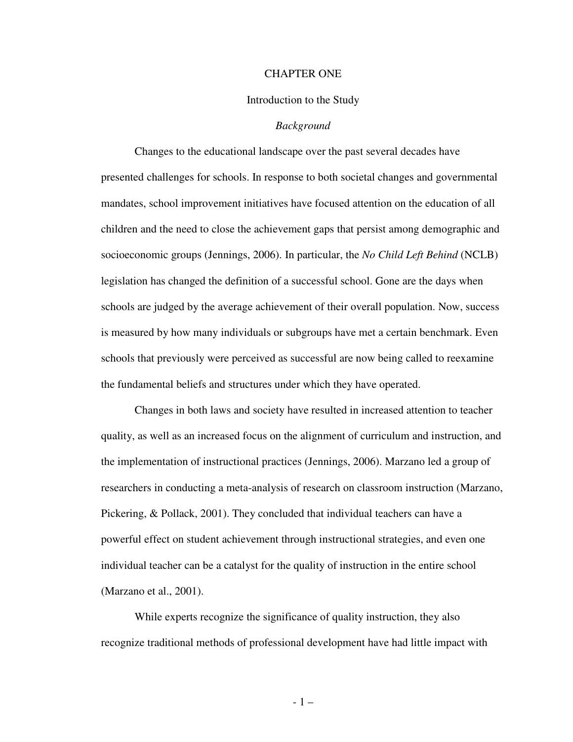#### CHAPTER ONE

#### Introduction to the Study

#### *Background*

 Changes to the educational landscape over the past several decades have presented challenges for schools. In response to both societal changes and governmental mandates, school improvement initiatives have focused attention on the education of all children and the need to close the achievement gaps that persist among demographic and socioeconomic groups (Jennings, 2006). In particular, the *No Child Left Behind* (NCLB) legislation has changed the definition of a successful school. Gone are the days when schools are judged by the average achievement of their overall population. Now, success is measured by how many individuals or subgroups have met a certain benchmark. Even schools that previously were perceived as successful are now being called to reexamine the fundamental beliefs and structures under which they have operated.

 Changes in both laws and society have resulted in increased attention to teacher quality, as well as an increased focus on the alignment of curriculum and instruction, and the implementation of instructional practices (Jennings, 2006). Marzano led a group of researchers in conducting a meta-analysis of research on classroom instruction (Marzano, Pickering, & Pollack, 2001). They concluded that individual teachers can have a powerful effect on student achievement through instructional strategies, and even one individual teacher can be a catalyst for the quality of instruction in the entire school (Marzano et al., 2001).

While experts recognize the significance of quality instruction, they also recognize traditional methods of professional development have had little impact with

- 1 –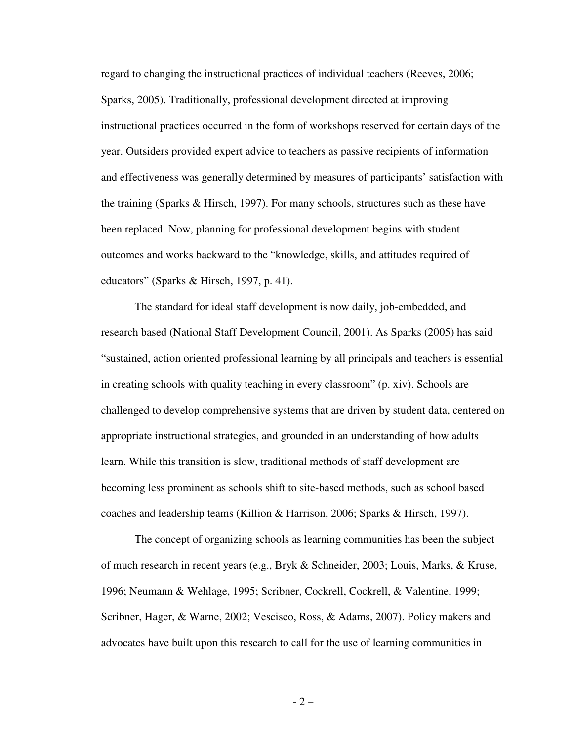regard to changing the instructional practices of individual teachers (Reeves, 2006; Sparks, 2005). Traditionally, professional development directed at improving instructional practices occurred in the form of workshops reserved for certain days of the year. Outsiders provided expert advice to teachers as passive recipients of information and effectiveness was generally determined by measures of participants' satisfaction with the training (Sparks & Hirsch, 1997). For many schools, structures such as these have been replaced. Now, planning for professional development begins with student outcomes and works backward to the "knowledge, skills, and attitudes required of educators" (Sparks & Hirsch, 1997, p. 41).

 The standard for ideal staff development is now daily, job-embedded, and research based (National Staff Development Council, 2001). As Sparks (2005) has said "sustained, action oriented professional learning by all principals and teachers is essential in creating schools with quality teaching in every classroom" (p. xiv). Schools are challenged to develop comprehensive systems that are driven by student data, centered on appropriate instructional strategies, and grounded in an understanding of how adults learn. While this transition is slow, traditional methods of staff development are becoming less prominent as schools shift to site-based methods, such as school based coaches and leadership teams (Killion & Harrison, 2006; Sparks & Hirsch, 1997).

 The concept of organizing schools as learning communities has been the subject of much research in recent years (e.g., Bryk & Schneider, 2003; Louis, Marks, & Kruse, 1996; Neumann & Wehlage, 1995; Scribner, Cockrell, Cockrell, & Valentine, 1999; Scribner, Hager, & Warne, 2002; Vescisco, Ross, & Adams, 2007). Policy makers and advocates have built upon this research to call for the use of learning communities in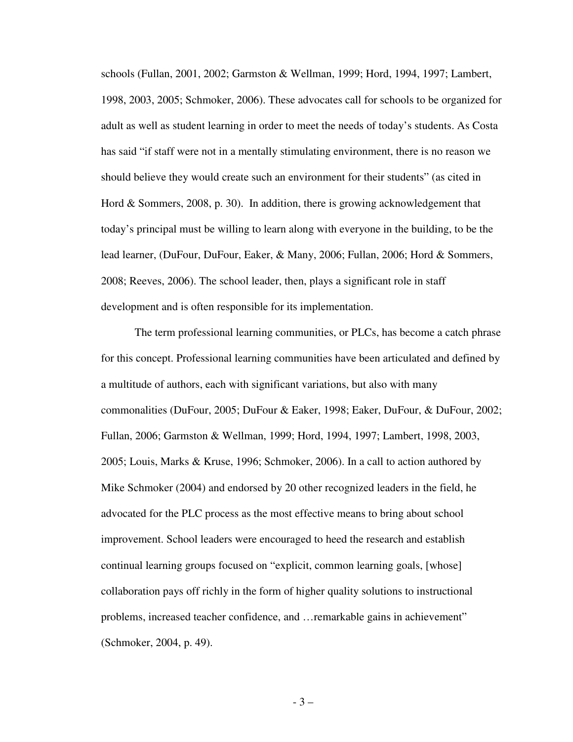schools (Fullan, 2001, 2002; Garmston & Wellman, 1999; Hord, 1994, 1997; Lambert, 1998, 2003, 2005; Schmoker, 2006). These advocates call for schools to be organized for adult as well as student learning in order to meet the needs of today's students. As Costa has said "if staff were not in a mentally stimulating environment, there is no reason we should believe they would create such an environment for their students" (as cited in Hord & Sommers, 2008, p. 30). In addition, there is growing acknowledgement that today's principal must be willing to learn along with everyone in the building, to be the lead learner, (DuFour, DuFour, Eaker, & Many, 2006; Fullan, 2006; Hord & Sommers, 2008; Reeves, 2006). The school leader, then, plays a significant role in staff development and is often responsible for its implementation.

The term professional learning communities, or PLCs, has become a catch phrase for this concept. Professional learning communities have been articulated and defined by a multitude of authors, each with significant variations, but also with many commonalities (DuFour, 2005; DuFour & Eaker, 1998; Eaker, DuFour, & DuFour, 2002; Fullan, 2006; Garmston & Wellman, 1999; Hord, 1994, 1997; Lambert, 1998, 2003, 2005; Louis, Marks & Kruse, 1996; Schmoker, 2006). In a call to action authored by Mike Schmoker (2004) and endorsed by 20 other recognized leaders in the field, he advocated for the PLC process as the most effective means to bring about school improvement. School leaders were encouraged to heed the research and establish continual learning groups focused on "explicit, common learning goals, [whose] collaboration pays off richly in the form of higher quality solutions to instructional problems, increased teacher confidence, and …remarkable gains in achievement" (Schmoker, 2004, p. 49).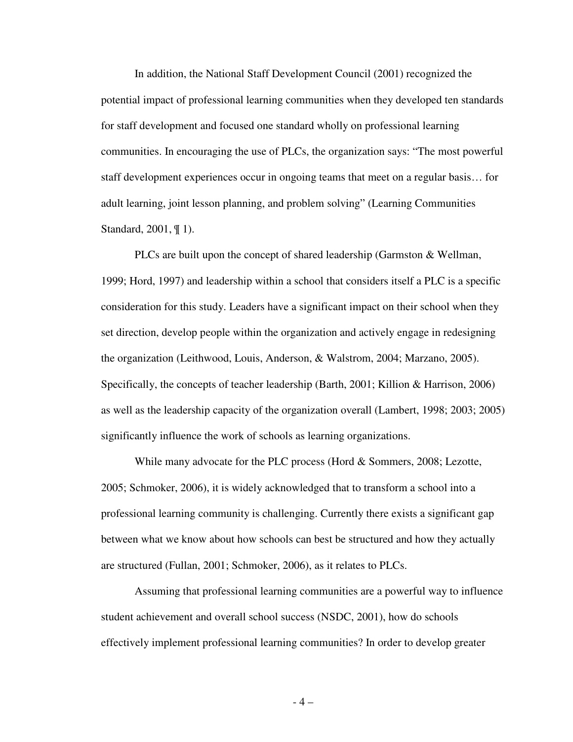In addition, the National Staff Development Council (2001) recognized the potential impact of professional learning communities when they developed ten standards for staff development and focused one standard wholly on professional learning communities. In encouraging the use of PLCs, the organization says: "The most powerful staff development experiences occur in ongoing teams that meet on a regular basis… for adult learning, joint lesson planning, and problem solving" (Learning Communities Standard, 2001, ¶ 1).

 PLCs are built upon the concept of shared leadership (Garmston & Wellman, 1999; Hord, 1997) and leadership within a school that considers itself a PLC is a specific consideration for this study. Leaders have a significant impact on their school when they set direction, develop people within the organization and actively engage in redesigning the organization (Leithwood, Louis, Anderson, & Walstrom, 2004; Marzano, 2005). Specifically, the concepts of teacher leadership (Barth, 2001; Killion & Harrison, 2006) as well as the leadership capacity of the organization overall (Lambert, 1998; 2003; 2005) significantly influence the work of schools as learning organizations.

 While many advocate for the PLC process (Hord & Sommers, 2008; Lezotte, 2005; Schmoker, 2006), it is widely acknowledged that to transform a school into a professional learning community is challenging. Currently there exists a significant gap between what we know about how schools can best be structured and how they actually are structured (Fullan, 2001; Schmoker, 2006), as it relates to PLCs.

 Assuming that professional learning communities are a powerful way to influence student achievement and overall school success (NSDC, 2001), how do schools effectively implement professional learning communities? In order to develop greater

- 4 –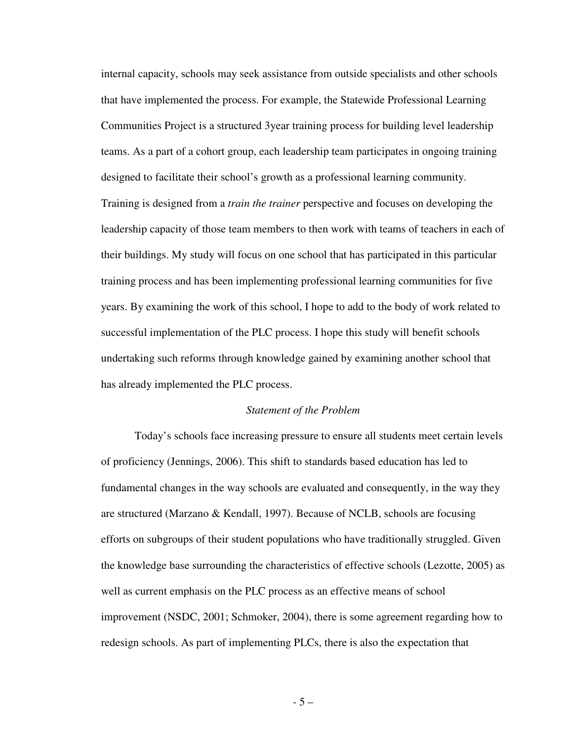internal capacity, schools may seek assistance from outside specialists and other schools that have implemented the process. For example, the Statewide Professional Learning Communities Project is a structured 3year training process for building level leadership teams. As a part of a cohort group, each leadership team participates in ongoing training designed to facilitate their school's growth as a professional learning community. Training is designed from a *train the trainer* perspective and focuses on developing the leadership capacity of those team members to then work with teams of teachers in each of their buildings. My study will focus on one school that has participated in this particular training process and has been implementing professional learning communities for five years. By examining the work of this school, I hope to add to the body of work related to successful implementation of the PLC process. I hope this study will benefit schools undertaking such reforms through knowledge gained by examining another school that has already implemented the PLC process.

# *Statement of the Problem*

 Today's schools face increasing pressure to ensure all students meet certain levels of proficiency (Jennings, 2006). This shift to standards based education has led to fundamental changes in the way schools are evaluated and consequently, in the way they are structured (Marzano & Kendall, 1997). Because of NCLB, schools are focusing efforts on subgroups of their student populations who have traditionally struggled. Given the knowledge base surrounding the characteristics of effective schools (Lezotte, 2005) as well as current emphasis on the PLC process as an effective means of school improvement (NSDC, 2001; Schmoker, 2004), there is some agreement regarding how to redesign schools. As part of implementing PLCs, there is also the expectation that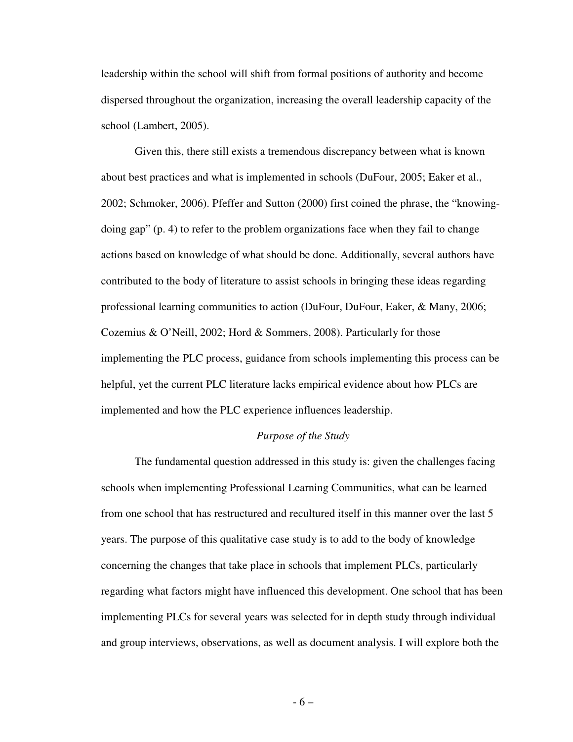leadership within the school will shift from formal positions of authority and become dispersed throughout the organization, increasing the overall leadership capacity of the school (Lambert, 2005).

 Given this, there still exists a tremendous discrepancy between what is known about best practices and what is implemented in schools (DuFour, 2005; Eaker et al., 2002; Schmoker, 2006). Pfeffer and Sutton (2000) first coined the phrase, the "knowingdoing gap" (p. 4) to refer to the problem organizations face when they fail to change actions based on knowledge of what should be done. Additionally, several authors have contributed to the body of literature to assist schools in bringing these ideas regarding professional learning communities to action (DuFour, DuFour, Eaker, & Many, 2006; Cozemius & O'Neill, 2002; Hord & Sommers, 2008). Particularly for those implementing the PLC process, guidance from schools implementing this process can be helpful, yet the current PLC literature lacks empirical evidence about how PLCs are implemented and how the PLC experience influences leadership.

# *Purpose of the Study*

 The fundamental question addressed in this study is: given the challenges facing schools when implementing Professional Learning Communities, what can be learned from one school that has restructured and recultured itself in this manner over the last 5 years. The purpose of this qualitative case study is to add to the body of knowledge concerning the changes that take place in schools that implement PLCs, particularly regarding what factors might have influenced this development. One school that has been implementing PLCs for several years was selected for in depth study through individual and group interviews, observations, as well as document analysis. I will explore both the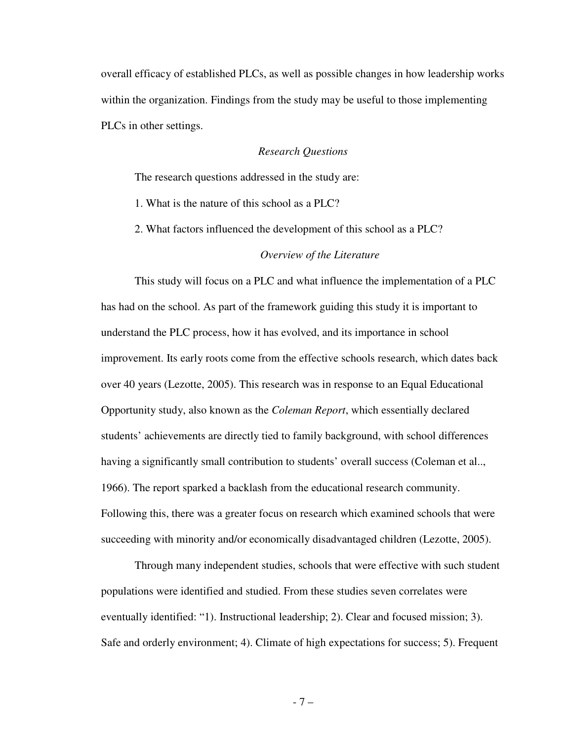overall efficacy of established PLCs, as well as possible changes in how leadership works within the organization. Findings from the study may be useful to those implementing PLCs in other settings.

# *Research Questions*

The research questions addressed in the study are:

- 1. What is the nature of this school as a PLC?
- 2. What factors influenced the development of this school as a PLC?

#### *Overview of the Literature*

 This study will focus on a PLC and what influence the implementation of a PLC has had on the school. As part of the framework guiding this study it is important to understand the PLC process, how it has evolved, and its importance in school improvement. Its early roots come from the effective schools research, which dates back over 40 years (Lezotte, 2005). This research was in response to an Equal Educational Opportunity study, also known as the *Coleman Report*, which essentially declared students' achievements are directly tied to family background, with school differences having a significantly small contribution to students' overall success (Coleman et al...) 1966). The report sparked a backlash from the educational research community. Following this, there was a greater focus on research which examined schools that were succeeding with minority and/or economically disadvantaged children (Lezotte, 2005).

 Through many independent studies, schools that were effective with such student populations were identified and studied. From these studies seven correlates were eventually identified: "1). Instructional leadership; 2). Clear and focused mission; 3). Safe and orderly environment; 4). Climate of high expectations for success; 5). Frequent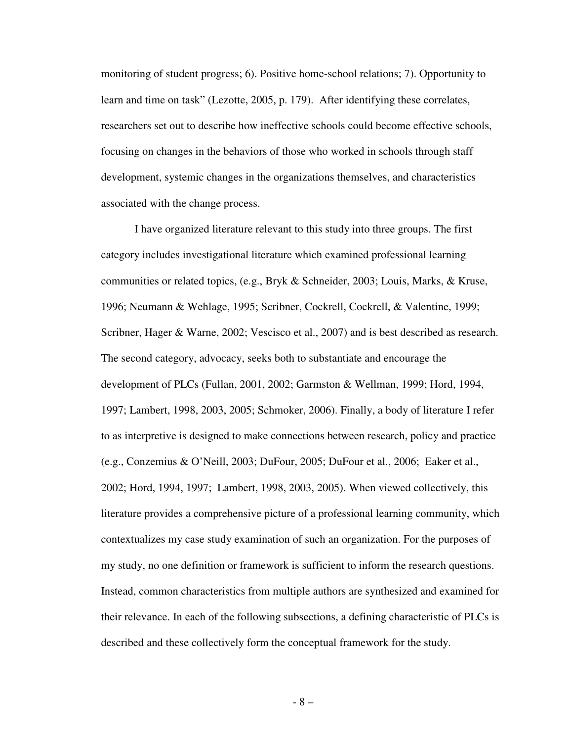monitoring of student progress; 6). Positive home-school relations; 7). Opportunity to learn and time on task" (Lezotte, 2005, p. 179). After identifying these correlates, researchers set out to describe how ineffective schools could become effective schools, focusing on changes in the behaviors of those who worked in schools through staff development, systemic changes in the organizations themselves, and characteristics associated with the change process.

I have organized literature relevant to this study into three groups. The first category includes investigational literature which examined professional learning communities or related topics, (e.g., Bryk & Schneider, 2003; Louis, Marks, & Kruse, 1996; Neumann & Wehlage, 1995; Scribner, Cockrell, Cockrell, & Valentine, 1999; Scribner, Hager & Warne, 2002; Vescisco et al., 2007) and is best described as research. The second category, advocacy, seeks both to substantiate and encourage the development of PLCs (Fullan, 2001, 2002; Garmston & Wellman, 1999; Hord, 1994, 1997; Lambert, 1998, 2003, 2005; Schmoker, 2006). Finally, a body of literature I refer to as interpretive is designed to make connections between research, policy and practice (e.g., Conzemius & O'Neill, 2003; DuFour, 2005; DuFour et al., 2006; Eaker et al., 2002; Hord, 1994, 1997; Lambert, 1998, 2003, 2005). When viewed collectively, this literature provides a comprehensive picture of a professional learning community, which contextualizes my case study examination of such an organization. For the purposes of my study, no one definition or framework is sufficient to inform the research questions. Instead, common characteristics from multiple authors are synthesized and examined for their relevance. In each of the following subsections, a defining characteristic of PLCs is described and these collectively form the conceptual framework for the study.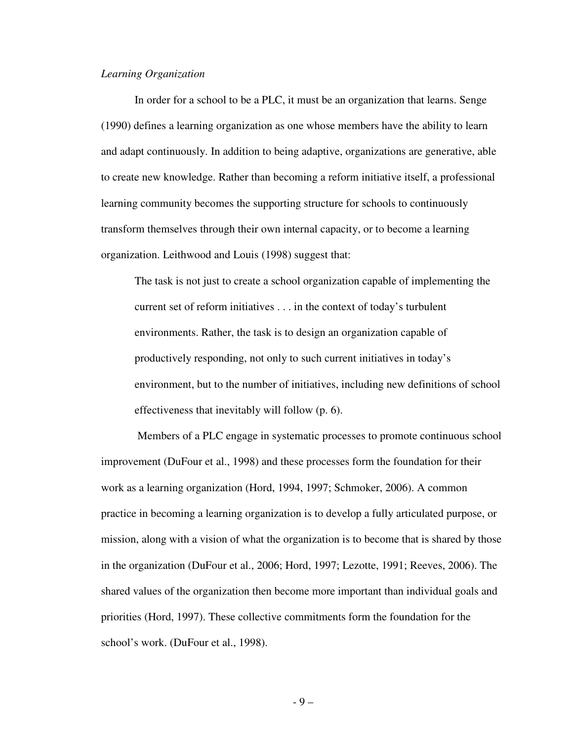#### *Learning Organization*

In order for a school to be a PLC, it must be an organization that learns. Senge (1990) defines a learning organization as one whose members have the ability to learn and adapt continuously. In addition to being adaptive, organizations are generative, able to create new knowledge. Rather than becoming a reform initiative itself, a professional learning community becomes the supporting structure for schools to continuously transform themselves through their own internal capacity, or to become a learning organization. Leithwood and Louis (1998) suggest that:

The task is not just to create a school organization capable of implementing the current set of reform initiatives . . . in the context of today's turbulent environments. Rather, the task is to design an organization capable of productively responding, not only to such current initiatives in today's environment, but to the number of initiatives, including new definitions of school effectiveness that inevitably will follow (p. 6).

 Members of a PLC engage in systematic processes to promote continuous school improvement (DuFour et al., 1998) and these processes form the foundation for their work as a learning organization (Hord, 1994, 1997; Schmoker, 2006). A common practice in becoming a learning organization is to develop a fully articulated purpose, or mission, along with a vision of what the organization is to become that is shared by those in the organization (DuFour et al., 2006; Hord, 1997; Lezotte, 1991; Reeves, 2006). The shared values of the organization then become more important than individual goals and priorities (Hord, 1997). These collective commitments form the foundation for the school's work. (DuFour et al., 1998).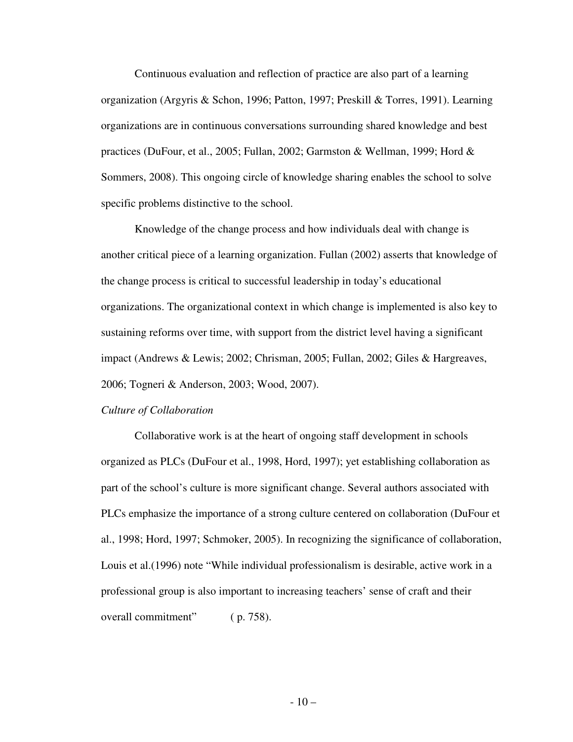Continuous evaluation and reflection of practice are also part of a learning organization (Argyris & Schon, 1996; Patton, 1997; Preskill & Torres, 1991). Learning organizations are in continuous conversations surrounding shared knowledge and best practices (DuFour, et al., 2005; Fullan, 2002; Garmston & Wellman, 1999; Hord & Sommers, 2008). This ongoing circle of knowledge sharing enables the school to solve specific problems distinctive to the school.

Knowledge of the change process and how individuals deal with change is another critical piece of a learning organization. Fullan (2002) asserts that knowledge of the change process is critical to successful leadership in today's educational organizations. The organizational context in which change is implemented is also key to sustaining reforms over time, with support from the district level having a significant impact (Andrews & Lewis; 2002; Chrisman, 2005; Fullan, 2002; Giles & Hargreaves, 2006; Togneri & Anderson, 2003; Wood, 2007).

#### *Culture of Collaboration*

Collaborative work is at the heart of ongoing staff development in schools organized as PLCs (DuFour et al., 1998, Hord, 1997); yet establishing collaboration as part of the school's culture is more significant change. Several authors associated with PLCs emphasize the importance of a strong culture centered on collaboration (DuFour et al., 1998; Hord, 1997; Schmoker, 2005). In recognizing the significance of collaboration, Louis et al.(1996) note "While individual professionalism is desirable, active work in a professional group is also important to increasing teachers' sense of craft and their overall commitment" ( p. 758).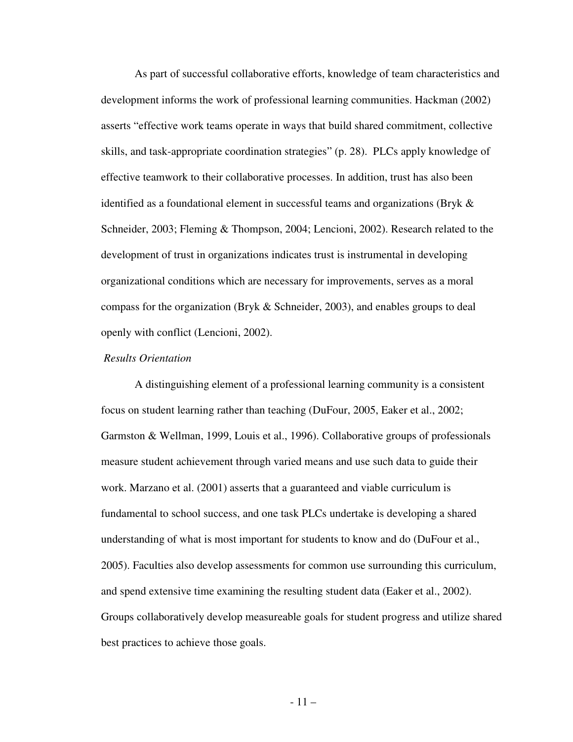As part of successful collaborative efforts, knowledge of team characteristics and development informs the work of professional learning communities. Hackman (2002) asserts "effective work teams operate in ways that build shared commitment, collective skills, and task-appropriate coordination strategies" (p. 28). PLCs apply knowledge of effective teamwork to their collaborative processes. In addition, trust has also been identified as a foundational element in successful teams and organizations (Bryk & Schneider, 2003; Fleming & Thompson, 2004; Lencioni, 2002). Research related to the development of trust in organizations indicates trust is instrumental in developing organizational conditions which are necessary for improvements, serves as a moral compass for the organization (Bryk & Schneider, 2003), and enables groups to deal openly with conflict (Lencioni, 2002).

# *Results Orientation*

A distinguishing element of a professional learning community is a consistent focus on student learning rather than teaching (DuFour, 2005, Eaker et al., 2002; Garmston & Wellman, 1999, Louis et al., 1996). Collaborative groups of professionals measure student achievement through varied means and use such data to guide their work. Marzano et al. (2001) asserts that a guaranteed and viable curriculum is fundamental to school success, and one task PLCs undertake is developing a shared understanding of what is most important for students to know and do (DuFour et al., 2005). Faculties also develop assessments for common use surrounding this curriculum, and spend extensive time examining the resulting student data (Eaker et al., 2002). Groups collaboratively develop measureable goals for student progress and utilize shared best practices to achieve those goals.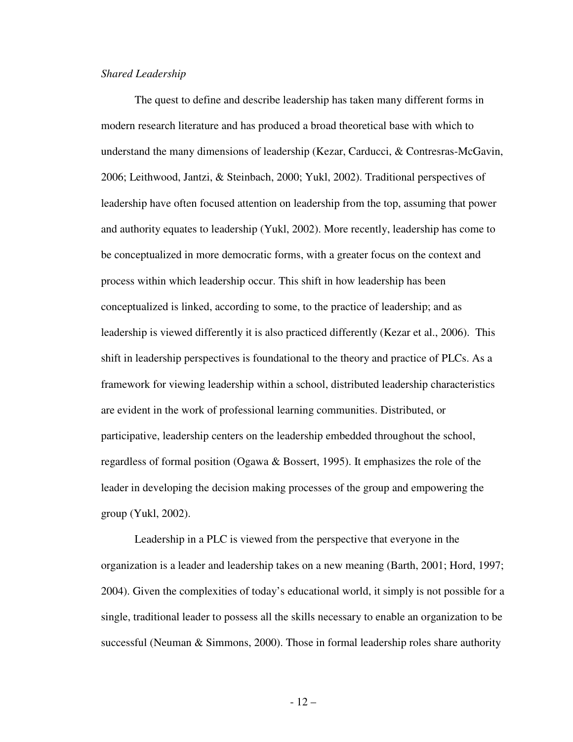#### *Shared Leadership*

The quest to define and describe leadership has taken many different forms in modern research literature and has produced a broad theoretical base with which to understand the many dimensions of leadership (Kezar, Carducci, & Contresras-McGavin, 2006; Leithwood, Jantzi, & Steinbach, 2000; Yukl, 2002). Traditional perspectives of leadership have often focused attention on leadership from the top, assuming that power and authority equates to leadership (Yukl, 2002). More recently, leadership has come to be conceptualized in more democratic forms, with a greater focus on the context and process within which leadership occur. This shift in how leadership has been conceptualized is linked, according to some, to the practice of leadership; and as leadership is viewed differently it is also practiced differently (Kezar et al., 2006). This shift in leadership perspectives is foundational to the theory and practice of PLCs. As a framework for viewing leadership within a school, distributed leadership characteristics are evident in the work of professional learning communities. Distributed, or participative, leadership centers on the leadership embedded throughout the school, regardless of formal position (Ogawa & Bossert, 1995). It emphasizes the role of the leader in developing the decision making processes of the group and empowering the group (Yukl, 2002).

Leadership in a PLC is viewed from the perspective that everyone in the organization is a leader and leadership takes on a new meaning (Barth, 2001; Hord, 1997; 2004). Given the complexities of today's educational world, it simply is not possible for a single, traditional leader to possess all the skills necessary to enable an organization to be successful (Neuman & Simmons, 2000). Those in formal leadership roles share authority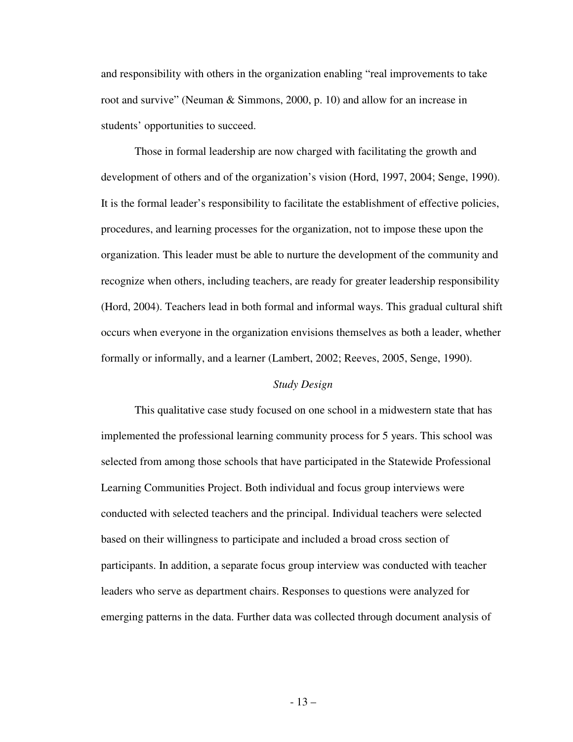and responsibility with others in the organization enabling "real improvements to take root and survive" (Neuman & Simmons, 2000, p. 10) and allow for an increase in students' opportunities to succeed.

Those in formal leadership are now charged with facilitating the growth and development of others and of the organization's vision (Hord, 1997, 2004; Senge, 1990). It is the formal leader's responsibility to facilitate the establishment of effective policies, procedures, and learning processes for the organization, not to impose these upon the organization. This leader must be able to nurture the development of the community and recognize when others, including teachers, are ready for greater leadership responsibility (Hord, 2004). Teachers lead in both formal and informal ways. This gradual cultural shift occurs when everyone in the organization envisions themselves as both a leader, whether formally or informally, and a learner (Lambert, 2002; Reeves, 2005, Senge, 1990).

#### *Study Design*

 This qualitative case study focused on one school in a midwestern state that has implemented the professional learning community process for 5 years. This school was selected from among those schools that have participated in the Statewide Professional Learning Communities Project. Both individual and focus group interviews were conducted with selected teachers and the principal. Individual teachers were selected based on their willingness to participate and included a broad cross section of participants. In addition, a separate focus group interview was conducted with teacher leaders who serve as department chairs. Responses to questions were analyzed for emerging patterns in the data. Further data was collected through document analysis of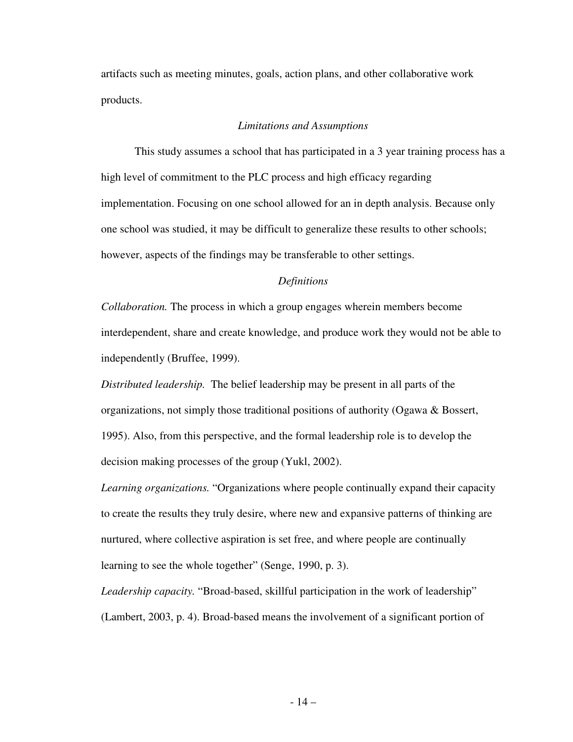artifacts such as meeting minutes, goals, action plans, and other collaborative work products.

# *Limitations and Assumptions*

 This study assumes a school that has participated in a 3 year training process has a high level of commitment to the PLC process and high efficacy regarding implementation. Focusing on one school allowed for an in depth analysis. Because only one school was studied, it may be difficult to generalize these results to other schools; however, aspects of the findings may be transferable to other settings.

# *Definitions*

*Collaboration.* The process in which a group engages wherein members become interdependent, share and create knowledge, and produce work they would not be able to independently (Bruffee, 1999).

*Distributed leadership.* The belief leadership may be present in all parts of the organizations, not simply those traditional positions of authority (Ogawa & Bossert, 1995). Also, from this perspective, and the formal leadership role is to develop the decision making processes of the group (Yukl, 2002).

*Learning organizations.* "Organizations where people continually expand their capacity to create the results they truly desire, where new and expansive patterns of thinking are nurtured, where collective aspiration is set free, and where people are continually learning to see the whole together" (Senge, 1990, p. 3).

*Leadership capacity.* "Broad-based, skillful participation in the work of leadership" (Lambert, 2003, p. 4). Broad-based means the involvement of a significant portion of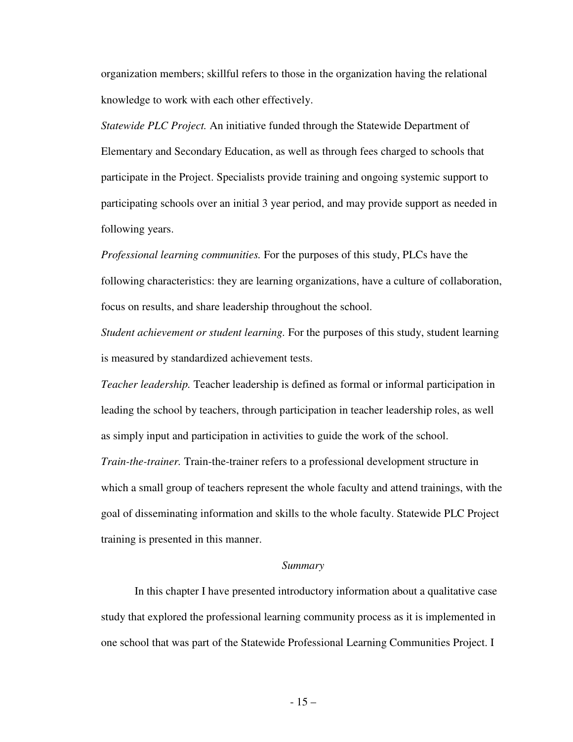organization members; skillful refers to those in the organization having the relational knowledge to work with each other effectively.

*Statewide PLC Project.* An initiative funded through the Statewide Department of Elementary and Secondary Education, as well as through fees charged to schools that participate in the Project. Specialists provide training and ongoing systemic support to participating schools over an initial 3 year period, and may provide support as needed in following years.

*Professional learning communities.* For the purposes of this study, PLCs have the following characteristics: they are learning organizations, have a culture of collaboration, focus on results, and share leadership throughout the school.

*Student achievement or student learning.* For the purposes of this study, student learning is measured by standardized achievement tests.

*Teacher leadership.* Teacher leadership is defined as formal or informal participation in leading the school by teachers, through participation in teacher leadership roles, as well as simply input and participation in activities to guide the work of the school.

*Train-the-trainer.* Train-the-trainer refers to a professional development structure in which a small group of teachers represent the whole faculty and attend trainings, with the goal of disseminating information and skills to the whole faculty. Statewide PLC Project training is presented in this manner.

#### *Summary*

 In this chapter I have presented introductory information about a qualitative case study that explored the professional learning community process as it is implemented in one school that was part of the Statewide Professional Learning Communities Project. I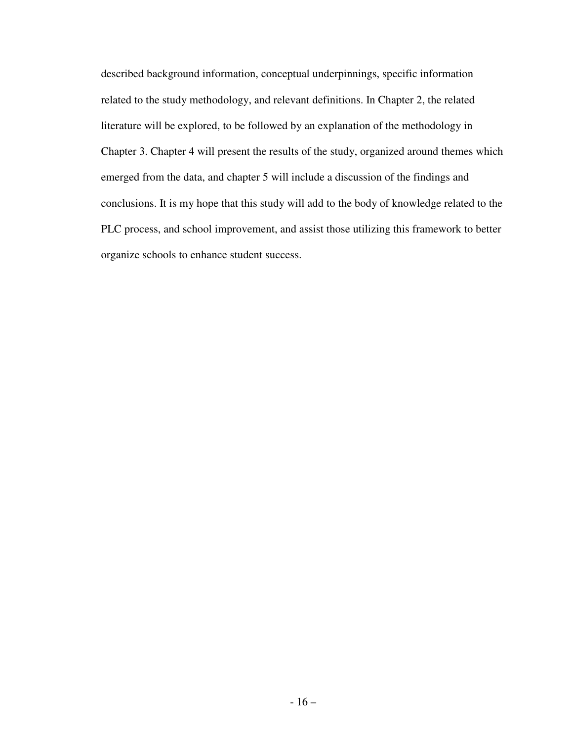described background information, conceptual underpinnings, specific information related to the study methodology, and relevant definitions. In Chapter 2, the related literature will be explored, to be followed by an explanation of the methodology in Chapter 3. Chapter 4 will present the results of the study, organized around themes which emerged from the data, and chapter 5 will include a discussion of the findings and conclusions. It is my hope that this study will add to the body of knowledge related to the PLC process, and school improvement, and assist those utilizing this framework to better organize schools to enhance student success.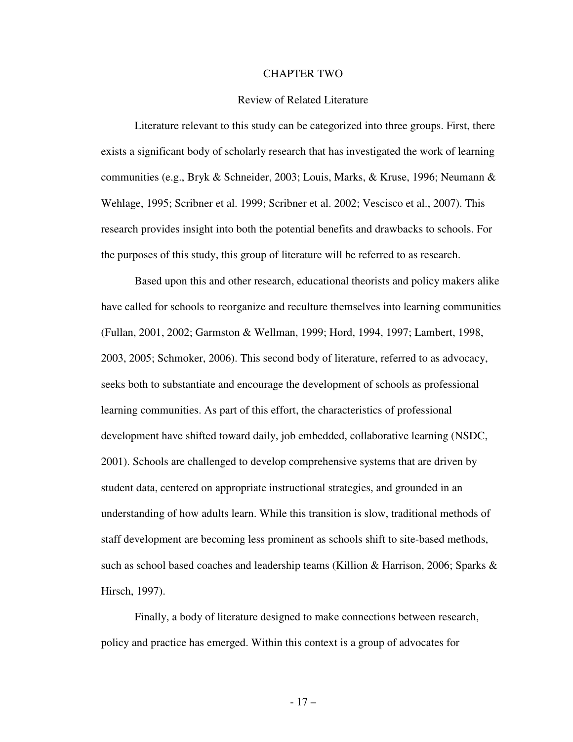#### CHAPTER TWO

## Review of Related Literature

 Literature relevant to this study can be categorized into three groups. First, there exists a significant body of scholarly research that has investigated the work of learning communities (e.g., Bryk & Schneider, 2003; Louis, Marks, & Kruse, 1996; Neumann & Wehlage, 1995; Scribner et al. 1999; Scribner et al. 2002; Vescisco et al., 2007). This research provides insight into both the potential benefits and drawbacks to schools. For the purposes of this study, this group of literature will be referred to as research.

Based upon this and other research, educational theorists and policy makers alike have called for schools to reorganize and reculture themselves into learning communities (Fullan, 2001, 2002; Garmston & Wellman, 1999; Hord, 1994, 1997; Lambert, 1998, 2003, 2005; Schmoker, 2006). This second body of literature, referred to as advocacy, seeks both to substantiate and encourage the development of schools as professional learning communities. As part of this effort, the characteristics of professional development have shifted toward daily, job embedded, collaborative learning (NSDC, 2001). Schools are challenged to develop comprehensive systems that are driven by student data, centered on appropriate instructional strategies, and grounded in an understanding of how adults learn. While this transition is slow, traditional methods of staff development are becoming less prominent as schools shift to site-based methods, such as school based coaches and leadership teams (Killion & Harrison, 2006; Sparks & Hirsch, 1997).

 Finally, a body of literature designed to make connections between research, policy and practice has emerged. Within this context is a group of advocates for

- 17 –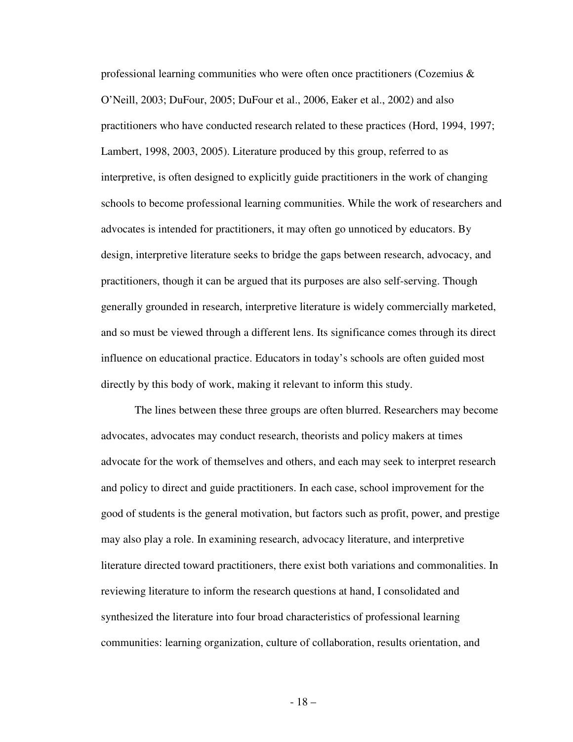professional learning communities who were often once practitioners (Cozemius  $\&$ O'Neill, 2003; DuFour, 2005; DuFour et al., 2006, Eaker et al., 2002) and also practitioners who have conducted research related to these practices (Hord, 1994, 1997; Lambert, 1998, 2003, 2005). Literature produced by this group, referred to as interpretive, is often designed to explicitly guide practitioners in the work of changing schools to become professional learning communities. While the work of researchers and advocates is intended for practitioners, it may often go unnoticed by educators. By design, interpretive literature seeks to bridge the gaps between research, advocacy, and practitioners, though it can be argued that its purposes are also self-serving. Though generally grounded in research, interpretive literature is widely commercially marketed, and so must be viewed through a different lens. Its significance comes through its direct influence on educational practice. Educators in today's schools are often guided most directly by this body of work, making it relevant to inform this study.

 The lines between these three groups are often blurred. Researchers may become advocates, advocates may conduct research, theorists and policy makers at times advocate for the work of themselves and others, and each may seek to interpret research and policy to direct and guide practitioners. In each case, school improvement for the good of students is the general motivation, but factors such as profit, power, and prestige may also play a role. In examining research, advocacy literature, and interpretive literature directed toward practitioners, there exist both variations and commonalities. In reviewing literature to inform the research questions at hand, I consolidated and synthesized the literature into four broad characteristics of professional learning communities: learning organization, culture of collaboration, results orientation, and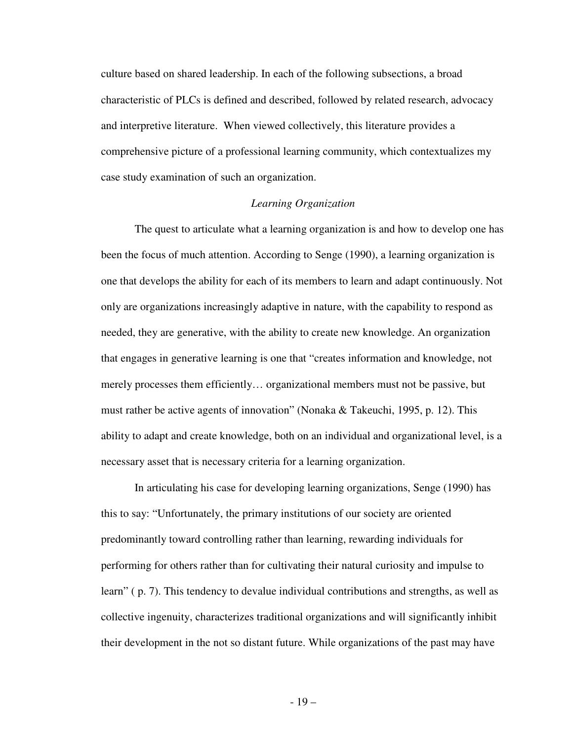culture based on shared leadership. In each of the following subsections, a broad characteristic of PLCs is defined and described, followed by related research, advocacy and interpretive literature. When viewed collectively, this literature provides a comprehensive picture of a professional learning community, which contextualizes my case study examination of such an organization.

## *Learning Organization*

The quest to articulate what a learning organization is and how to develop one has been the focus of much attention. According to Senge (1990), a learning organization is one that develops the ability for each of its members to learn and adapt continuously. Not only are organizations increasingly adaptive in nature, with the capability to respond as needed, they are generative, with the ability to create new knowledge. An organization that engages in generative learning is one that "creates information and knowledge, not merely processes them efficiently… organizational members must not be passive, but must rather be active agents of innovation" (Nonaka & Takeuchi, 1995, p. 12). This ability to adapt and create knowledge, both on an individual and organizational level, is a necessary asset that is necessary criteria for a learning organization.

 In articulating his case for developing learning organizations, Senge (1990) has this to say: "Unfortunately, the primary institutions of our society are oriented predominantly toward controlling rather than learning, rewarding individuals for performing for others rather than for cultivating their natural curiosity and impulse to learn" ( p. 7). This tendency to devalue individual contributions and strengths, as well as collective ingenuity, characterizes traditional organizations and will significantly inhibit their development in the not so distant future. While organizations of the past may have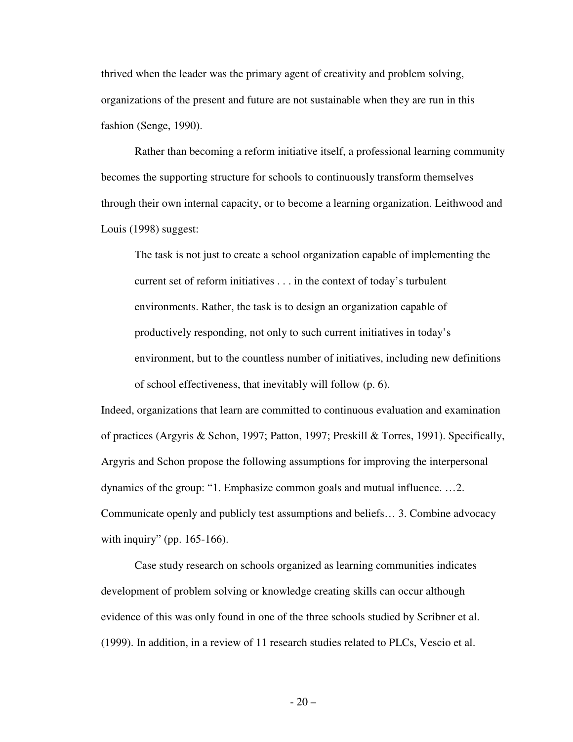thrived when the leader was the primary agent of creativity and problem solving, organizations of the present and future are not sustainable when they are run in this fashion (Senge, 1990).

 Rather than becoming a reform initiative itself, a professional learning community becomes the supporting structure for schools to continuously transform themselves through their own internal capacity, or to become a learning organization. Leithwood and Louis (1998) suggest:

The task is not just to create a school organization capable of implementing the current set of reform initiatives . . . in the context of today's turbulent environments. Rather, the task is to design an organization capable of productively responding, not only to such current initiatives in today's environment, but to the countless number of initiatives, including new definitions of school effectiveness, that inevitably will follow (p. 6).

Indeed, organizations that learn are committed to continuous evaluation and examination of practices (Argyris & Schon, 1997; Patton, 1997; Preskill & Torres, 1991). Specifically, Argyris and Schon propose the following assumptions for improving the interpersonal dynamics of the group: "1. Emphasize common goals and mutual influence. …2. Communicate openly and publicly test assumptions and beliefs… 3. Combine advocacy with inquiry" (pp. 165-166).

Case study research on schools organized as learning communities indicates development of problem solving or knowledge creating skills can occur although evidence of this was only found in one of the three schools studied by Scribner et al. (1999). In addition, in a review of 11 research studies related to PLCs, Vescio et al.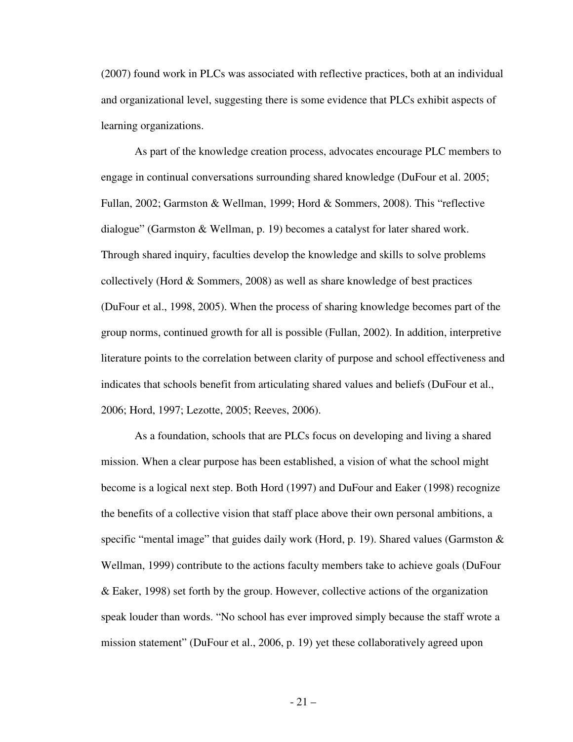(2007) found work in PLCs was associated with reflective practices, both at an individual and organizational level, suggesting there is some evidence that PLCs exhibit aspects of learning organizations.

 As part of the knowledge creation process, advocates encourage PLC members to engage in continual conversations surrounding shared knowledge (DuFour et al. 2005; Fullan, 2002; Garmston & Wellman, 1999; Hord & Sommers, 2008). This "reflective dialogue" (Garmston & Wellman, p. 19) becomes a catalyst for later shared work. Through shared inquiry, faculties develop the knowledge and skills to solve problems collectively (Hord & Sommers, 2008) as well as share knowledge of best practices (DuFour et al., 1998, 2005). When the process of sharing knowledge becomes part of the group norms, continued growth for all is possible (Fullan, 2002). In addition, interpretive literature points to the correlation between clarity of purpose and school effectiveness and indicates that schools benefit from articulating shared values and beliefs (DuFour et al., 2006; Hord, 1997; Lezotte, 2005; Reeves, 2006).

As a foundation, schools that are PLCs focus on developing and living a shared mission. When a clear purpose has been established, a vision of what the school might become is a logical next step. Both Hord (1997) and DuFour and Eaker (1998) recognize the benefits of a collective vision that staff place above their own personal ambitions, a specific "mental image" that guides daily work (Hord, p. 19). Shared values (Garmston  $\&$ Wellman, 1999) contribute to the actions faculty members take to achieve goals (DuFour & Eaker, 1998) set forth by the group. However, collective actions of the organization speak louder than words. "No school has ever improved simply because the staff wrote a mission statement" (DuFour et al., 2006, p. 19) yet these collaboratively agreed upon

 $-21-$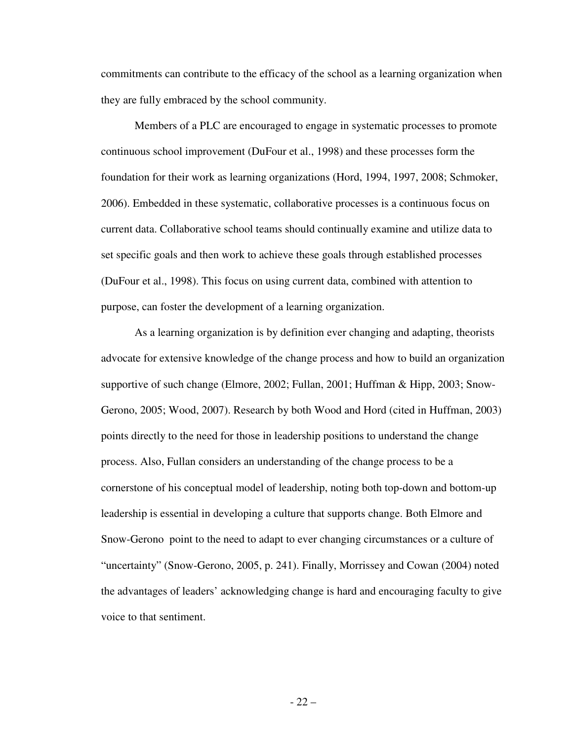commitments can contribute to the efficacy of the school as a learning organization when they are fully embraced by the school community.

Members of a PLC are encouraged to engage in systematic processes to promote continuous school improvement (DuFour et al., 1998) and these processes form the foundation for their work as learning organizations (Hord, 1994, 1997, 2008; Schmoker, 2006). Embedded in these systematic, collaborative processes is a continuous focus on current data. Collaborative school teams should continually examine and utilize data to set specific goals and then work to achieve these goals through established processes (DuFour et al., 1998). This focus on using current data, combined with attention to purpose, can foster the development of a learning organization.

 As a learning organization is by definition ever changing and adapting, theorists advocate for extensive knowledge of the change process and how to build an organization supportive of such change (Elmore, 2002; Fullan, 2001; Huffman & Hipp, 2003; Snow-Gerono, 2005; Wood, 2007). Research by both Wood and Hord (cited in Huffman, 2003) points directly to the need for those in leadership positions to understand the change process. Also, Fullan considers an understanding of the change process to be a cornerstone of his conceptual model of leadership, noting both top-down and bottom-up leadership is essential in developing a culture that supports change. Both Elmore and Snow-Gerono point to the need to adapt to ever changing circumstances or a culture of "uncertainty" (Snow-Gerono, 2005, p. 241). Finally, Morrissey and Cowan (2004) noted the advantages of leaders' acknowledging change is hard and encouraging faculty to give voice to that sentiment.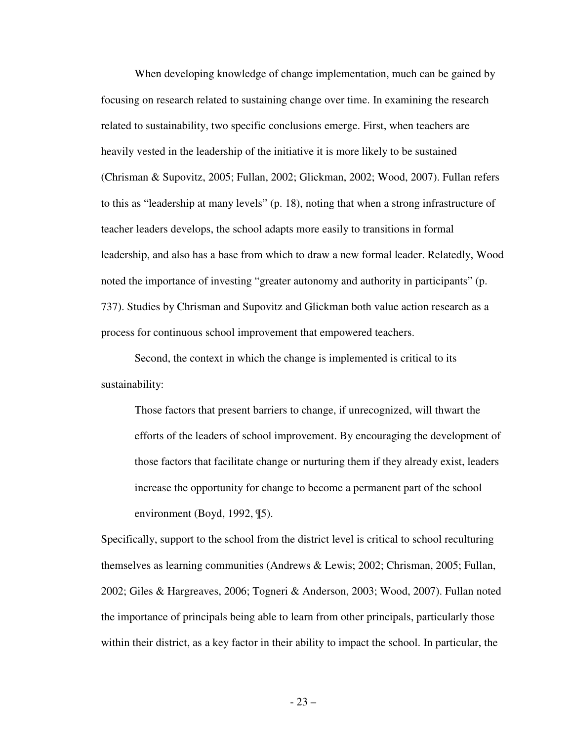When developing knowledge of change implementation, much can be gained by focusing on research related to sustaining change over time. In examining the research related to sustainability, two specific conclusions emerge. First, when teachers are heavily vested in the leadership of the initiative it is more likely to be sustained (Chrisman & Supovitz, 2005; Fullan, 2002; Glickman, 2002; Wood, 2007). Fullan refers to this as "leadership at many levels" (p. 18), noting that when a strong infrastructure of teacher leaders develops, the school adapts more easily to transitions in formal leadership, and also has a base from which to draw a new formal leader. Relatedly, Wood noted the importance of investing "greater autonomy and authority in participants" (p. 737). Studies by Chrisman and Supovitz and Glickman both value action research as a process for continuous school improvement that empowered teachers.

 Second, the context in which the change is implemented is critical to its sustainability:

Those factors that present barriers to change, if unrecognized, will thwart the efforts of the leaders of school improvement. By encouraging the development of those factors that facilitate change or nurturing them if they already exist, leaders increase the opportunity for change to become a permanent part of the school environment (Boyd, 1992, ¶5).

Specifically, support to the school from the district level is critical to school reculturing themselves as learning communities (Andrews & Lewis; 2002; Chrisman, 2005; Fullan, 2002; Giles & Hargreaves, 2006; Togneri & Anderson, 2003; Wood, 2007). Fullan noted the importance of principals being able to learn from other principals, particularly those within their district, as a key factor in their ability to impact the school. In particular, the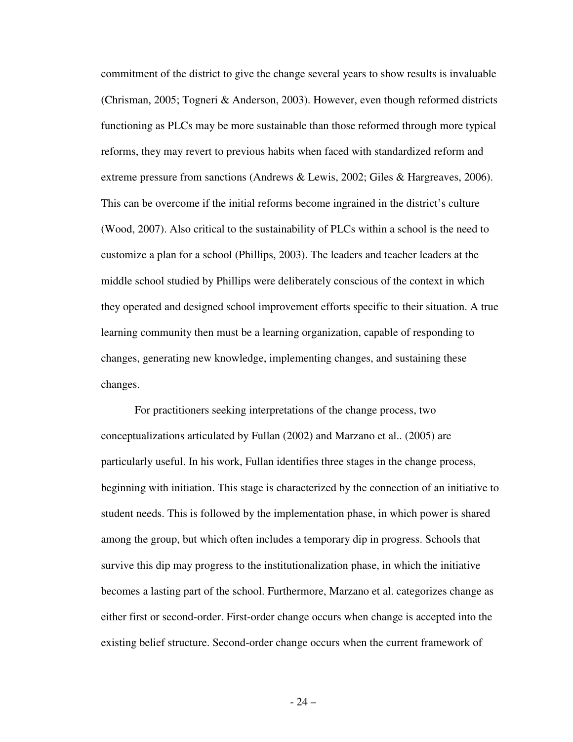commitment of the district to give the change several years to show results is invaluable (Chrisman, 2005; Togneri & Anderson, 2003). However, even though reformed districts functioning as PLCs may be more sustainable than those reformed through more typical reforms, they may revert to previous habits when faced with standardized reform and extreme pressure from sanctions (Andrews & Lewis, 2002; Giles & Hargreaves, 2006). This can be overcome if the initial reforms become ingrained in the district's culture (Wood, 2007). Also critical to the sustainability of PLCs within a school is the need to customize a plan for a school (Phillips, 2003). The leaders and teacher leaders at the middle school studied by Phillips were deliberately conscious of the context in which they operated and designed school improvement efforts specific to their situation. A true learning community then must be a learning organization, capable of responding to changes, generating new knowledge, implementing changes, and sustaining these changes.

 For practitioners seeking interpretations of the change process, two conceptualizations articulated by Fullan (2002) and Marzano et al.. (2005) are particularly useful. In his work, Fullan identifies three stages in the change process, beginning with initiation. This stage is characterized by the connection of an initiative to student needs. This is followed by the implementation phase, in which power is shared among the group, but which often includes a temporary dip in progress. Schools that survive this dip may progress to the institutionalization phase, in which the initiative becomes a lasting part of the school. Furthermore, Marzano et al. categorizes change as either first or second-order. First-order change occurs when change is accepted into the existing belief structure. Second-order change occurs when the current framework of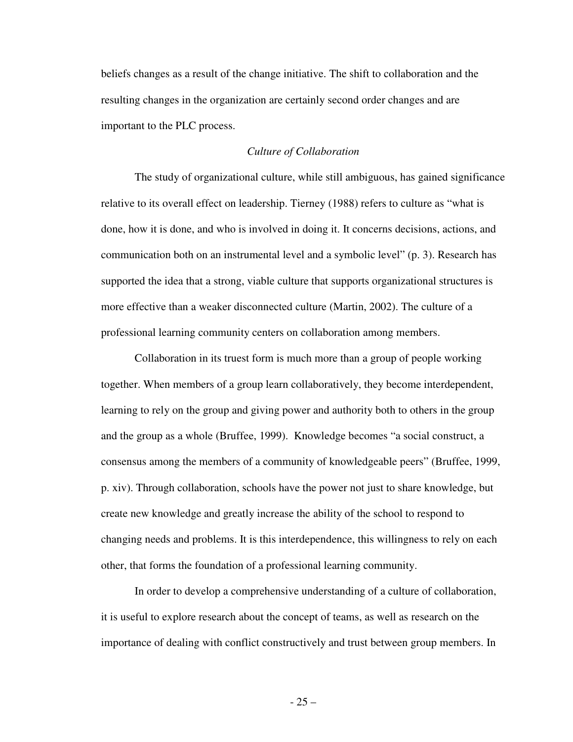beliefs changes as a result of the change initiative. The shift to collaboration and the resulting changes in the organization are certainly second order changes and are important to the PLC process.

# *Culture of Collaboration*

 The study of organizational culture, while still ambiguous, has gained significance relative to its overall effect on leadership. Tierney (1988) refers to culture as "what is done, how it is done, and who is involved in doing it. It concerns decisions, actions, and communication both on an instrumental level and a symbolic level" (p. 3). Research has supported the idea that a strong, viable culture that supports organizational structures is more effective than a weaker disconnected culture (Martin, 2002). The culture of a professional learning community centers on collaboration among members.

 Collaboration in its truest form is much more than a group of people working together. When members of a group learn collaboratively, they become interdependent, learning to rely on the group and giving power and authority both to others in the group and the group as a whole (Bruffee, 1999). Knowledge becomes "a social construct, a consensus among the members of a community of knowledgeable peers" (Bruffee, 1999, p. xiv). Through collaboration, schools have the power not just to share knowledge, but create new knowledge and greatly increase the ability of the school to respond to changing needs and problems. It is this interdependence, this willingness to rely on each other, that forms the foundation of a professional learning community.

 In order to develop a comprehensive understanding of a culture of collaboration, it is useful to explore research about the concept of teams, as well as research on the importance of dealing with conflict constructively and trust between group members. In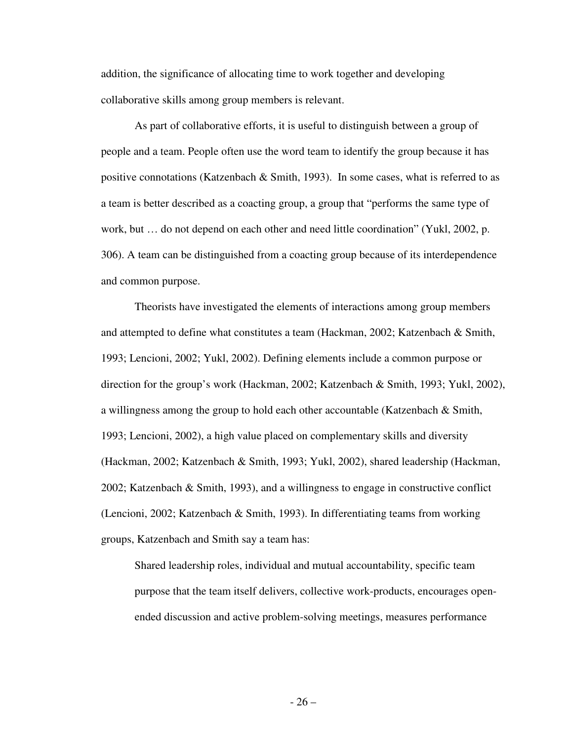addition, the significance of allocating time to work together and developing collaborative skills among group members is relevant.

As part of collaborative efforts, it is useful to distinguish between a group of people and a team. People often use the word team to identify the group because it has positive connotations (Katzenbach  $\&$  Smith, 1993). In some cases, what is referred to as a team is better described as a coacting group, a group that "performs the same type of work, but … do not depend on each other and need little coordination" (Yukl, 2002, p. 306). A team can be distinguished from a coacting group because of its interdependence and common purpose.

 Theorists have investigated the elements of interactions among group members and attempted to define what constitutes a team (Hackman, 2002; Katzenbach & Smith, 1993; Lencioni, 2002; Yukl, 2002). Defining elements include a common purpose or direction for the group's work (Hackman, 2002; Katzenbach & Smith, 1993; Yukl, 2002), a willingness among the group to hold each other accountable (Katzenbach & Smith, 1993; Lencioni, 2002), a high value placed on complementary skills and diversity (Hackman, 2002; Katzenbach & Smith, 1993; Yukl, 2002), shared leadership (Hackman, 2002; Katzenbach & Smith, 1993), and a willingness to engage in constructive conflict (Lencioni, 2002; Katzenbach & Smith, 1993). In differentiating teams from working groups, Katzenbach and Smith say a team has:

 Shared leadership roles, individual and mutual accountability, specific team purpose that the team itself delivers, collective work-products, encourages openended discussion and active problem-solving meetings, measures performance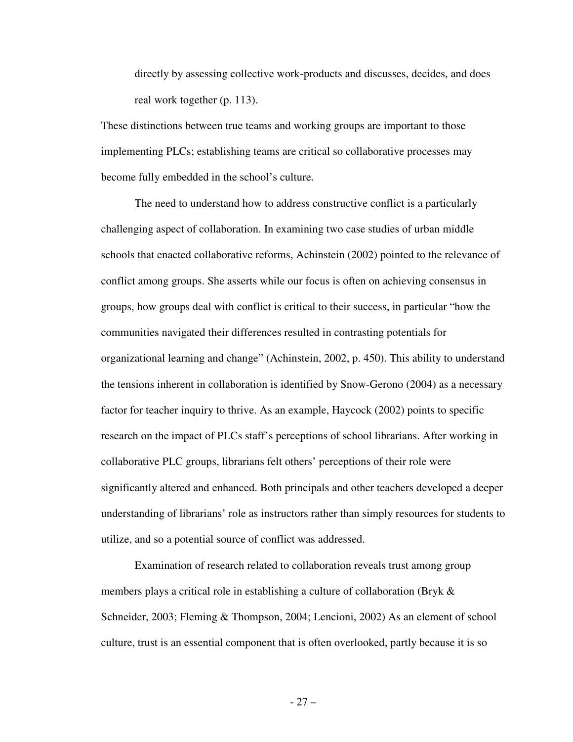directly by assessing collective work-products and discusses, decides, and does real work together (p. 113).

These distinctions between true teams and working groups are important to those implementing PLCs; establishing teams are critical so collaborative processes may become fully embedded in the school's culture.

 The need to understand how to address constructive conflict is a particularly challenging aspect of collaboration. In examining two case studies of urban middle schools that enacted collaborative reforms, Achinstein (2002) pointed to the relevance of conflict among groups. She asserts while our focus is often on achieving consensus in groups, how groups deal with conflict is critical to their success, in particular "how the communities navigated their differences resulted in contrasting potentials for organizational learning and change" (Achinstein, 2002, p. 450). This ability to understand the tensions inherent in collaboration is identified by Snow-Gerono (2004) as a necessary factor for teacher inquiry to thrive. As an example, Haycock (2002) points to specific research on the impact of PLCs staff's perceptions of school librarians. After working in collaborative PLC groups, librarians felt others' perceptions of their role were significantly altered and enhanced. Both principals and other teachers developed a deeper understanding of librarians' role as instructors rather than simply resources for students to utilize, and so a potential source of conflict was addressed.

 Examination of research related to collaboration reveals trust among group members plays a critical role in establishing a culture of collaboration (Bryk & Schneider, 2003; Fleming & Thompson, 2004; Lencioni, 2002) As an element of school culture, trust is an essential component that is often overlooked, partly because it is so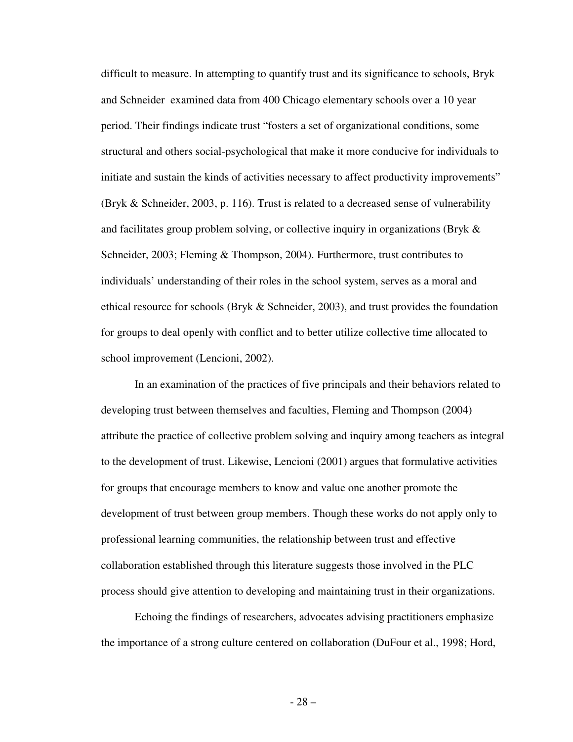difficult to measure. In attempting to quantify trust and its significance to schools, Bryk and Schneider examined data from 400 Chicago elementary schools over a 10 year period. Their findings indicate trust "fosters a set of organizational conditions, some structural and others social-psychological that make it more conducive for individuals to initiate and sustain the kinds of activities necessary to affect productivity improvements" (Bryk & Schneider, 2003, p. 116). Trust is related to a decreased sense of vulnerability and facilitates group problem solving, or collective inquiry in organizations (Bryk & Schneider, 2003; Fleming & Thompson, 2004). Furthermore, trust contributes to individuals' understanding of their roles in the school system, serves as a moral and ethical resource for schools (Bryk & Schneider, 2003), and trust provides the foundation for groups to deal openly with conflict and to better utilize collective time allocated to school improvement (Lencioni, 2002).

 In an examination of the practices of five principals and their behaviors related to developing trust between themselves and faculties, Fleming and Thompson (2004) attribute the practice of collective problem solving and inquiry among teachers as integral to the development of trust. Likewise, Lencioni (2001) argues that formulative activities for groups that encourage members to know and value one another promote the development of trust between group members. Though these works do not apply only to professional learning communities, the relationship between trust and effective collaboration established through this literature suggests those involved in the PLC process should give attention to developing and maintaining trust in their organizations.

Echoing the findings of researchers, advocates advising practitioners emphasize the importance of a strong culture centered on collaboration (DuFour et al., 1998; Hord,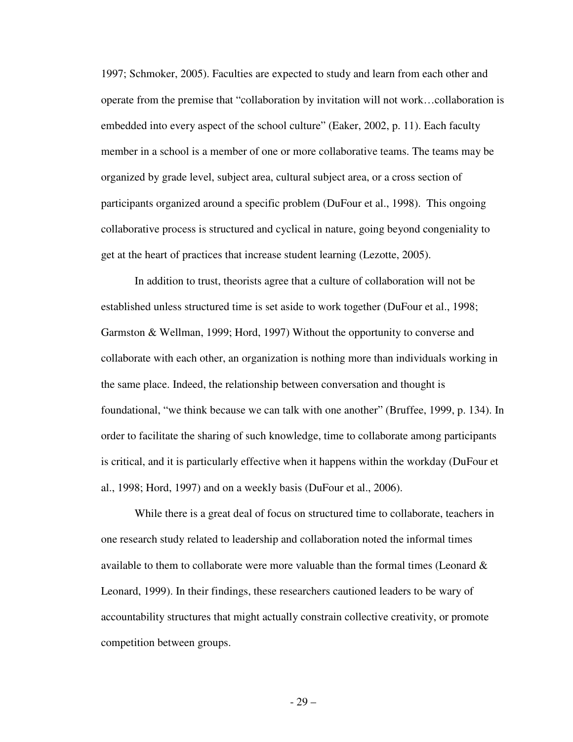1997; Schmoker, 2005). Faculties are expected to study and learn from each other and operate from the premise that "collaboration by invitation will not work…collaboration is embedded into every aspect of the school culture" (Eaker, 2002, p. 11). Each faculty member in a school is a member of one or more collaborative teams. The teams may be organized by grade level, subject area, cultural subject area, or a cross section of participants organized around a specific problem (DuFour et al., 1998). This ongoing collaborative process is structured and cyclical in nature, going beyond congeniality to get at the heart of practices that increase student learning (Lezotte, 2005).

In addition to trust, theorists agree that a culture of collaboration will not be established unless structured time is set aside to work together (DuFour et al., 1998; Garmston & Wellman, 1999; Hord, 1997) Without the opportunity to converse and collaborate with each other, an organization is nothing more than individuals working in the same place. Indeed, the relationship between conversation and thought is foundational, "we think because we can talk with one another" (Bruffee, 1999, p. 134). In order to facilitate the sharing of such knowledge, time to collaborate among participants is critical, and it is particularly effective when it happens within the workday (DuFour et al., 1998; Hord, 1997) and on a weekly basis (DuFour et al., 2006).

While there is a great deal of focus on structured time to collaborate, teachers in one research study related to leadership and collaboration noted the informal times available to them to collaborate were more valuable than the formal times (Leonard  $\&$ Leonard, 1999). In their findings, these researchers cautioned leaders to be wary of accountability structures that might actually constrain collective creativity, or promote competition between groups.

- 29 –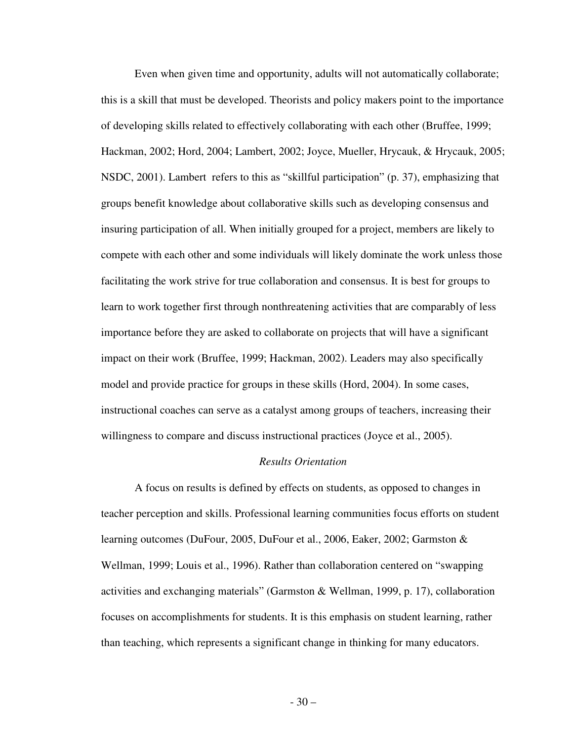Even when given time and opportunity, adults will not automatically collaborate; this is a skill that must be developed. Theorists and policy makers point to the importance of developing skills related to effectively collaborating with each other (Bruffee, 1999; Hackman, 2002; Hord, 2004; Lambert, 2002; Joyce, Mueller, Hrycauk, & Hrycauk, 2005; NSDC, 2001). Lambert refers to this as "skillful participation" (p. 37), emphasizing that groups benefit knowledge about collaborative skills such as developing consensus and insuring participation of all. When initially grouped for a project, members are likely to compete with each other and some individuals will likely dominate the work unless those facilitating the work strive for true collaboration and consensus. It is best for groups to learn to work together first through nonthreatening activities that are comparably of less importance before they are asked to collaborate on projects that will have a significant impact on their work (Bruffee, 1999; Hackman, 2002). Leaders may also specifically model and provide practice for groups in these skills (Hord, 2004). In some cases, instructional coaches can serve as a catalyst among groups of teachers, increasing their willingness to compare and discuss instructional practices (Joyce et al., 2005).

# *Results Orientation*

A focus on results is defined by effects on students, as opposed to changes in teacher perception and skills. Professional learning communities focus efforts on student learning outcomes (DuFour, 2005, DuFour et al., 2006, Eaker, 2002; Garmston & Wellman, 1999; Louis et al., 1996). Rather than collaboration centered on "swapping activities and exchanging materials" (Garmston & Wellman, 1999, p. 17), collaboration focuses on accomplishments for students. It is this emphasis on student learning, rather than teaching, which represents a significant change in thinking for many educators.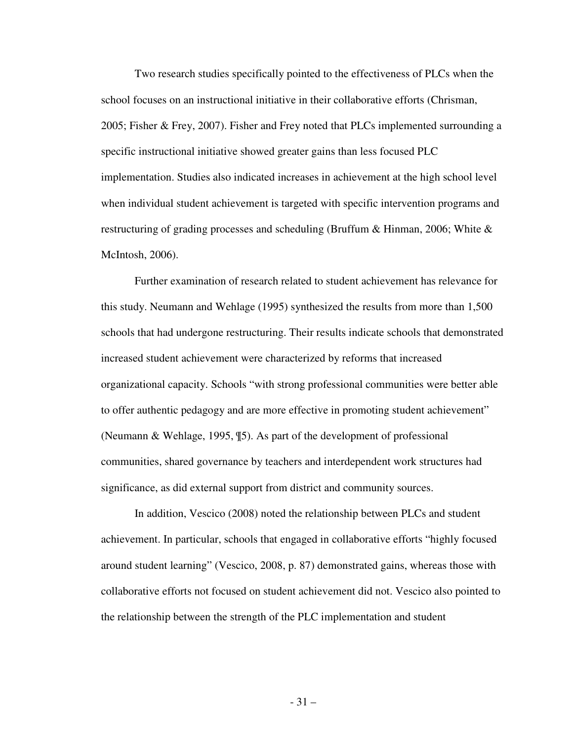Two research studies specifically pointed to the effectiveness of PLCs when the school focuses on an instructional initiative in their collaborative efforts (Chrisman, 2005; Fisher & Frey, 2007). Fisher and Frey noted that PLCs implemented surrounding a specific instructional initiative showed greater gains than less focused PLC implementation. Studies also indicated increases in achievement at the high school level when individual student achievement is targeted with specific intervention programs and restructuring of grading processes and scheduling (Bruffum & Hinman, 2006; White & McIntosh, 2006).

Further examination of research related to student achievement has relevance for this study. Neumann and Wehlage (1995) synthesized the results from more than 1,500 schools that had undergone restructuring. Their results indicate schools that demonstrated increased student achievement were characterized by reforms that increased organizational capacity. Schools "with strong professional communities were better able to offer authentic pedagogy and are more effective in promoting student achievement" (Neumann & Wehlage, 1995, ¶5). As part of the development of professional communities, shared governance by teachers and interdependent work structures had significance, as did external support from district and community sources.

In addition, Vescico (2008) noted the relationship between PLCs and student achievement. In particular, schools that engaged in collaborative efforts "highly focused around student learning" (Vescico, 2008, p. 87) demonstrated gains, whereas those with collaborative efforts not focused on student achievement did not. Vescico also pointed to the relationship between the strength of the PLC implementation and student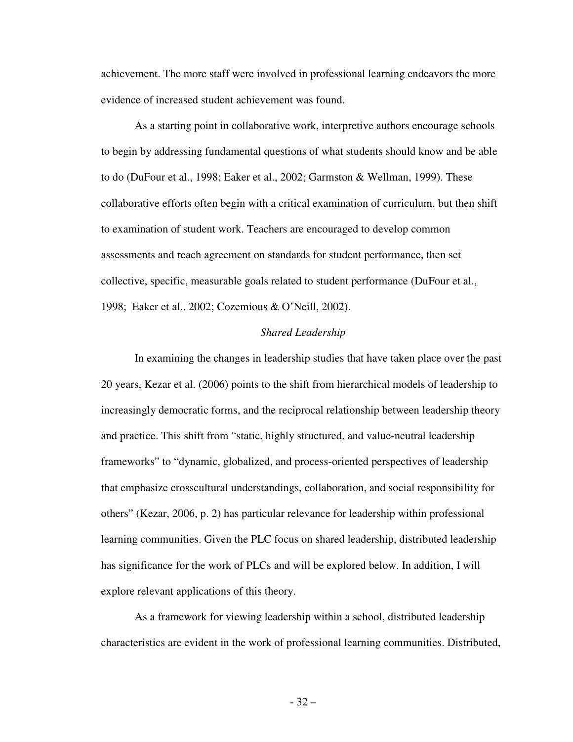achievement. The more staff were involved in professional learning endeavors the more evidence of increased student achievement was found.

As a starting point in collaborative work, interpretive authors encourage schools to begin by addressing fundamental questions of what students should know and be able to do (DuFour et al., 1998; Eaker et al., 2002; Garmston & Wellman, 1999). These collaborative efforts often begin with a critical examination of curriculum, but then shift to examination of student work. Teachers are encouraged to develop common assessments and reach agreement on standards for student performance, then set collective, specific, measurable goals related to student performance (DuFour et al., 1998; Eaker et al., 2002; Cozemious & O'Neill, 2002).

### *Shared Leadership*

In examining the changes in leadership studies that have taken place over the past 20 years, Kezar et al. (2006) points to the shift from hierarchical models of leadership to increasingly democratic forms, and the reciprocal relationship between leadership theory and practice. This shift from "static, highly structured, and value-neutral leadership frameworks" to "dynamic, globalized, and process-oriented perspectives of leadership that emphasize crosscultural understandings, collaboration, and social responsibility for others" (Kezar, 2006, p. 2) has particular relevance for leadership within professional learning communities. Given the PLC focus on shared leadership, distributed leadership has significance for the work of PLCs and will be explored below. In addition, I will explore relevant applications of this theory.

As a framework for viewing leadership within a school, distributed leadership characteristics are evident in the work of professional learning communities. Distributed,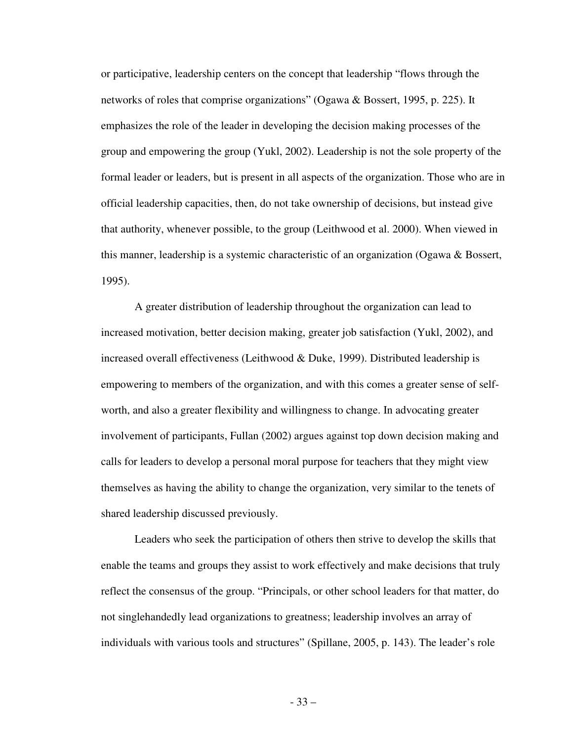or participative, leadership centers on the concept that leadership "flows through the networks of roles that comprise organizations" (Ogawa & Bossert, 1995, p. 225). It emphasizes the role of the leader in developing the decision making processes of the group and empowering the group (Yukl, 2002). Leadership is not the sole property of the formal leader or leaders, but is present in all aspects of the organization. Those who are in official leadership capacities, then, do not take ownership of decisions, but instead give that authority, whenever possible, to the group (Leithwood et al. 2000). When viewed in this manner, leadership is a systemic characteristic of an organization (Ogawa & Bossert, 1995).

 A greater distribution of leadership throughout the organization can lead to increased motivation, better decision making, greater job satisfaction (Yukl, 2002), and increased overall effectiveness (Leithwood & Duke, 1999). Distributed leadership is empowering to members of the organization, and with this comes a greater sense of selfworth, and also a greater flexibility and willingness to change. In advocating greater involvement of participants, Fullan (2002) argues against top down decision making and calls for leaders to develop a personal moral purpose for teachers that they might view themselves as having the ability to change the organization, very similar to the tenets of shared leadership discussed previously.

Leaders who seek the participation of others then strive to develop the skills that enable the teams and groups they assist to work effectively and make decisions that truly reflect the consensus of the group. "Principals, or other school leaders for that matter, do not singlehandedly lead organizations to greatness; leadership involves an array of individuals with various tools and structures" (Spillane, 2005, p. 143). The leader's role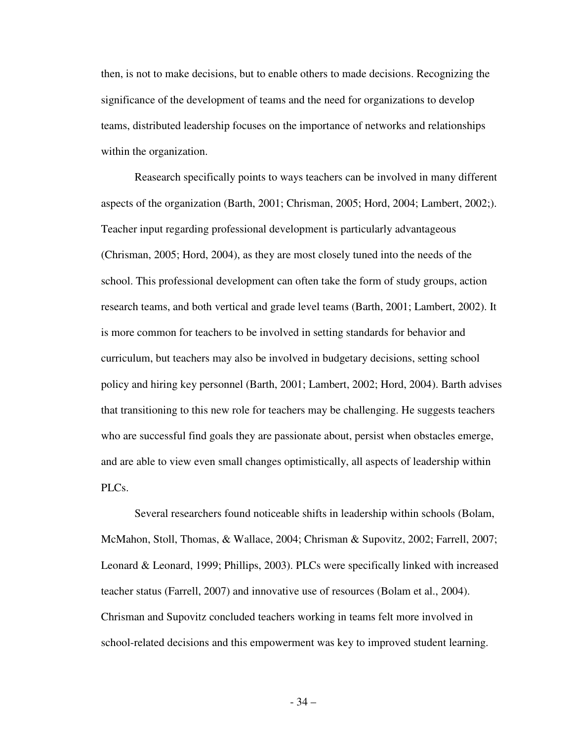then, is not to make decisions, but to enable others to made decisions. Recognizing the significance of the development of teams and the need for organizations to develop teams, distributed leadership focuses on the importance of networks and relationships within the organization.

Reasearch specifically points to ways teachers can be involved in many different aspects of the organization (Barth, 2001; Chrisman, 2005; Hord, 2004; Lambert, 2002;). Teacher input regarding professional development is particularly advantageous (Chrisman, 2005; Hord, 2004), as they are most closely tuned into the needs of the school. This professional development can often take the form of study groups, action research teams, and both vertical and grade level teams (Barth, 2001; Lambert, 2002). It is more common for teachers to be involved in setting standards for behavior and curriculum, but teachers may also be involved in budgetary decisions, setting school policy and hiring key personnel (Barth, 2001; Lambert, 2002; Hord, 2004). Barth advises that transitioning to this new role for teachers may be challenging. He suggests teachers who are successful find goals they are passionate about, persist when obstacles emerge, and are able to view even small changes optimistically, all aspects of leadership within PLC<sub>s</sub>.

 Several researchers found noticeable shifts in leadership within schools (Bolam, McMahon, Stoll, Thomas, & Wallace, 2004; Chrisman & Supovitz, 2002; Farrell, 2007; Leonard & Leonard, 1999; Phillips, 2003). PLCs were specifically linked with increased teacher status (Farrell, 2007) and innovative use of resources (Bolam et al., 2004). Chrisman and Supovitz concluded teachers working in teams felt more involved in school-related decisions and this empowerment was key to improved student learning.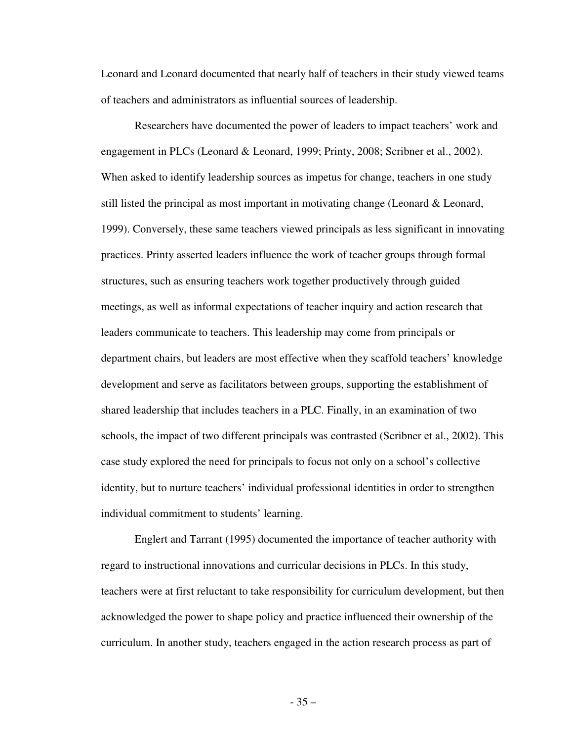Leonard and Leonard documented that nearly half of teachers in their study viewed teams of teachers and administrators as influential sources of leadership.

 Researchers have documented the power of leaders to impact teachers' work and engagement in PLCs (Leonard & Leonard, 1999; Printy, 2008; Scribner et al., 2002). When asked to identify leadership sources as impetus for change, teachers in one study still listed the principal as most important in motivating change (Leonard & Leonard, 1999). Conversely, these same teachers viewed principals as less significant in innovating practices. Printy asserted leaders influence the work of teacher groups through formal structures, such as ensuring teachers work together productively through guided meetings, as well as informal expectations of teacher inquiry and action research that leaders communicate to teachers. This leadership may come from principals or department chairs, but leaders are most effective when they scaffold teachers' knowledge development and serve as facilitators between groups, supporting the establishment of shared leadership that includes teachers in a PLC. Finally, in an examination of two schools, the impact of two different principals was contrasted (Scribner et al., 2002). This case study explored the need for principals to focus not only on a school's collective identity, but to nurture teachers' individual professional identities in order to strengthen individual commitment to students' learning.

 Englert and Tarrant (1995) documented the importance of teacher authority with regard to instructional innovations and curricular decisions in PLCs. In this study, teachers were at first reluctant to take responsibility for curriculum development, but then acknowledged the power to shape policy and practice influenced their ownership of the curriculum. In another study, teachers engaged in the action research process as part of

- 35 –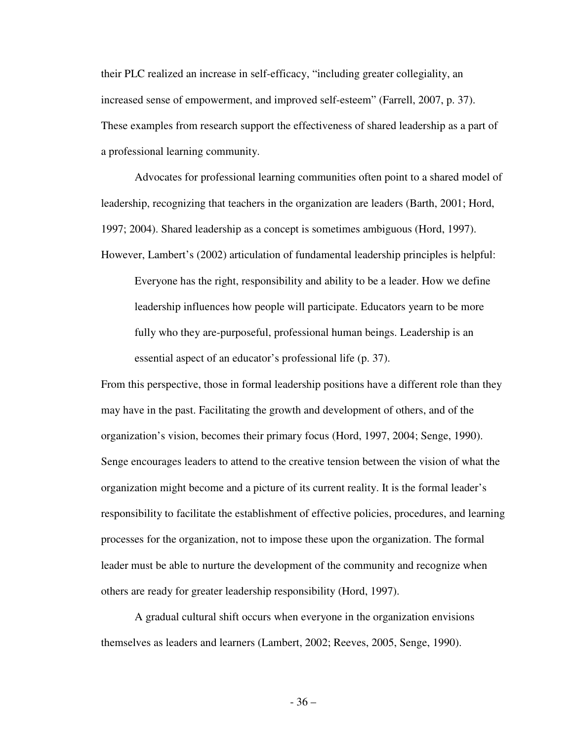their PLC realized an increase in self-efficacy, "including greater collegiality, an increased sense of empowerment, and improved self-esteem" (Farrell, 2007, p. 37). These examples from research support the effectiveness of shared leadership as a part of a professional learning community.

Advocates for professional learning communities often point to a shared model of leadership, recognizing that teachers in the organization are leaders (Barth, 2001; Hord, 1997; 2004). Shared leadership as a concept is sometimes ambiguous (Hord, 1997).

However, Lambert's (2002) articulation of fundamental leadership principles is helpful:

Everyone has the right, responsibility and ability to be a leader. How we define leadership influences how people will participate. Educators yearn to be more fully who they are-purposeful, professional human beings. Leadership is an essential aspect of an educator's professional life (p. 37).

From this perspective, those in formal leadership positions have a different role than they may have in the past. Facilitating the growth and development of others, and of the organization's vision, becomes their primary focus (Hord, 1997, 2004; Senge, 1990). Senge encourages leaders to attend to the creative tension between the vision of what the organization might become and a picture of its current reality. It is the formal leader's responsibility to facilitate the establishment of effective policies, procedures, and learning processes for the organization, not to impose these upon the organization. The formal leader must be able to nurture the development of the community and recognize when others are ready for greater leadership responsibility (Hord, 1997).

A gradual cultural shift occurs when everyone in the organization envisions themselves as leaders and learners (Lambert, 2002; Reeves, 2005, Senge, 1990).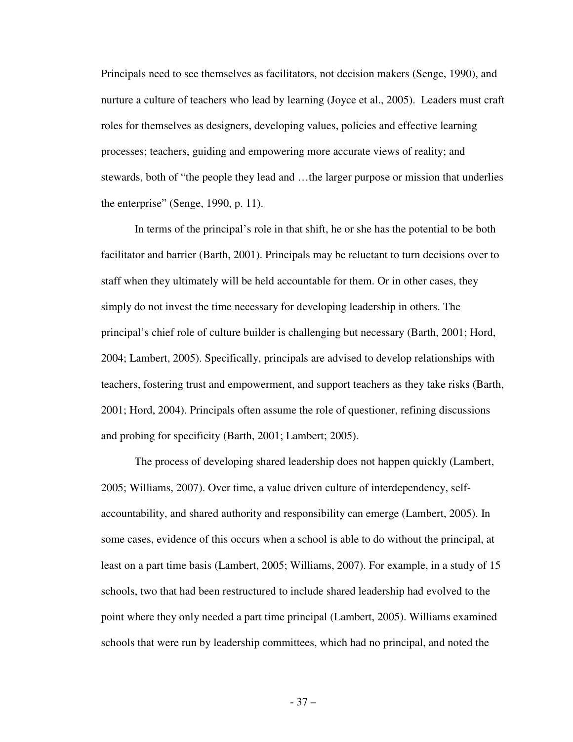Principals need to see themselves as facilitators, not decision makers (Senge, 1990), and nurture a culture of teachers who lead by learning (Joyce et al., 2005). Leaders must craft roles for themselves as designers, developing values, policies and effective learning processes; teachers, guiding and empowering more accurate views of reality; and stewards, both of "the people they lead and …the larger purpose or mission that underlies the enterprise" (Senge, 1990, p. 11).

 In terms of the principal's role in that shift, he or she has the potential to be both facilitator and barrier (Barth, 2001). Principals may be reluctant to turn decisions over to staff when they ultimately will be held accountable for them. Or in other cases, they simply do not invest the time necessary for developing leadership in others. The principal's chief role of culture builder is challenging but necessary (Barth, 2001; Hord, 2004; Lambert, 2005). Specifically, principals are advised to develop relationships with teachers, fostering trust and empowerment, and support teachers as they take risks (Barth, 2001; Hord, 2004). Principals often assume the role of questioner, refining discussions and probing for specificity (Barth, 2001; Lambert; 2005).

 The process of developing shared leadership does not happen quickly (Lambert, 2005; Williams, 2007). Over time, a value driven culture of interdependency, selfaccountability, and shared authority and responsibility can emerge (Lambert, 2005). In some cases, evidence of this occurs when a school is able to do without the principal, at least on a part time basis (Lambert, 2005; Williams, 2007). For example, in a study of 15 schools, two that had been restructured to include shared leadership had evolved to the point where they only needed a part time principal (Lambert, 2005). Williams examined schools that were run by leadership committees, which had no principal, and noted the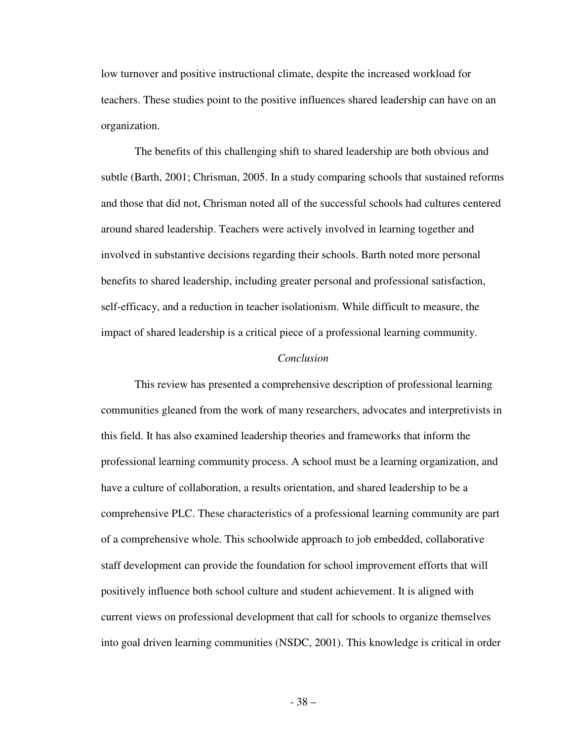low turnover and positive instructional climate, despite the increased workload for teachers. These studies point to the positive influences shared leadership can have on an organization.

 The benefits of this challenging shift to shared leadership are both obvious and subtle (Barth, 2001; Chrisman, 2005. In a study comparing schools that sustained reforms and those that did not, Chrisman noted all of the successful schools had cultures centered around shared leadership. Teachers were actively involved in learning together and involved in substantive decisions regarding their schools. Barth noted more personal benefits to shared leadership, including greater personal and professional satisfaction, self-efficacy, and a reduction in teacher isolationism. While difficult to measure, the impact of shared leadership is a critical piece of a professional learning community.

## *Conclusion*

 This review has presented a comprehensive description of professional learning communities gleaned from the work of many researchers, advocates and interpretivists in this field. It has also examined leadership theories and frameworks that inform the professional learning community process. A school must be a learning organization, and have a culture of collaboration, a results orientation, and shared leadership to be a comprehensive PLC. These characteristics of a professional learning community are part of a comprehensive whole. This schoolwide approach to job embedded, collaborative staff development can provide the foundation for school improvement efforts that will positively influence both school culture and student achievement. It is aligned with current views on professional development that call for schools to organize themselves into goal driven learning communities (NSDC, 2001). This knowledge is critical in order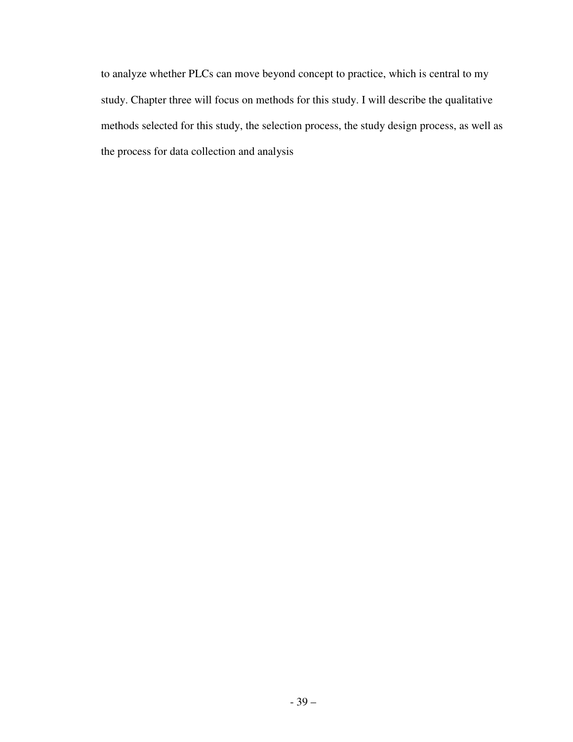to analyze whether PLCs can move beyond concept to practice, which is central to my study. Chapter three will focus on methods for this study. I will describe the qualitative methods selected for this study, the selection process, the study design process, as well as the process for data collection and analysis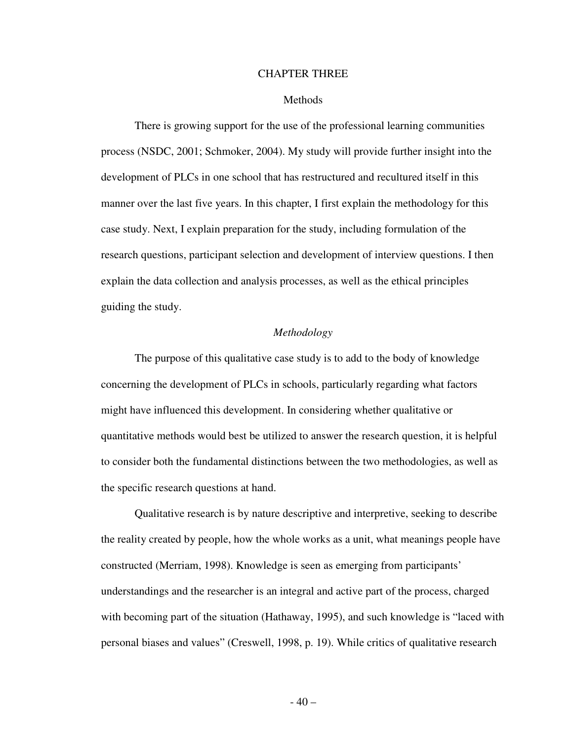# CHAPTER THREE

### Methods

There is growing support for the use of the professional learning communities process (NSDC, 2001; Schmoker, 2004). My study will provide further insight into the development of PLCs in one school that has restructured and recultured itself in this manner over the last five years. In this chapter, I first explain the methodology for this case study. Next, I explain preparation for the study, including formulation of the research questions, participant selection and development of interview questions. I then explain the data collection and analysis processes, as well as the ethical principles guiding the study.

# *Methodology*

The purpose of this qualitative case study is to add to the body of knowledge concerning the development of PLCs in schools, particularly regarding what factors might have influenced this development. In considering whether qualitative or quantitative methods would best be utilized to answer the research question, it is helpful to consider both the fundamental distinctions between the two methodologies, as well as the specific research questions at hand.

Qualitative research is by nature descriptive and interpretive, seeking to describe the reality created by people, how the whole works as a unit, what meanings people have constructed (Merriam, 1998). Knowledge is seen as emerging from participants' understandings and the researcher is an integral and active part of the process, charged with becoming part of the situation (Hathaway, 1995), and such knowledge is "laced with personal biases and values" (Creswell, 1998, p. 19). While critics of qualitative research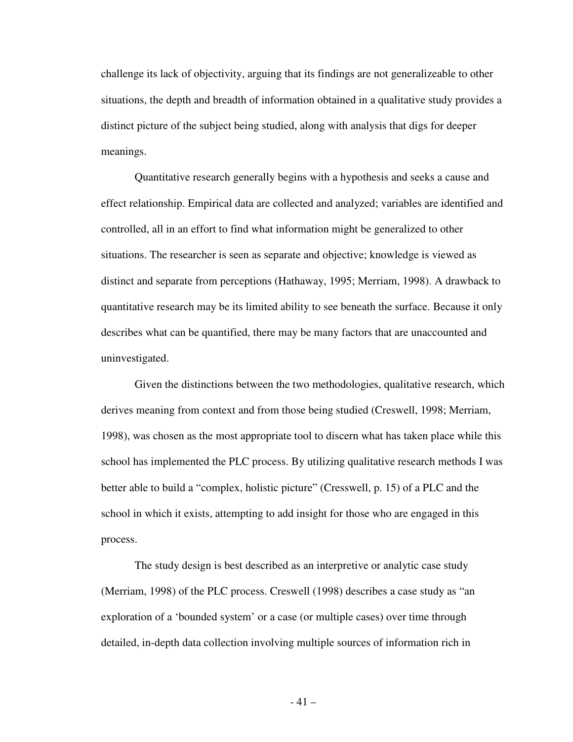challenge its lack of objectivity, arguing that its findings are not generalizeable to other situations, the depth and breadth of information obtained in a qualitative study provides a distinct picture of the subject being studied, along with analysis that digs for deeper meanings.

Quantitative research generally begins with a hypothesis and seeks a cause and effect relationship. Empirical data are collected and analyzed; variables are identified and controlled, all in an effort to find what information might be generalized to other situations. The researcher is seen as separate and objective; knowledge is viewed as distinct and separate from perceptions (Hathaway, 1995; Merriam, 1998). A drawback to quantitative research may be its limited ability to see beneath the surface. Because it only describes what can be quantified, there may be many factors that are unaccounted and uninvestigated.

Given the distinctions between the two methodologies, qualitative research, which derives meaning from context and from those being studied (Creswell, 1998; Merriam, 1998), was chosen as the most appropriate tool to discern what has taken place while this school has implemented the PLC process. By utilizing qualitative research methods I was better able to build a "complex, holistic picture" (Cresswell, p. 15) of a PLC and the school in which it exists, attempting to add insight for those who are engaged in this process.

The study design is best described as an interpretive or analytic case study (Merriam, 1998) of the PLC process. Creswell (1998) describes a case study as "an exploration of a 'bounded system' or a case (or multiple cases) over time through detailed, in-depth data collection involving multiple sources of information rich in

- 41 –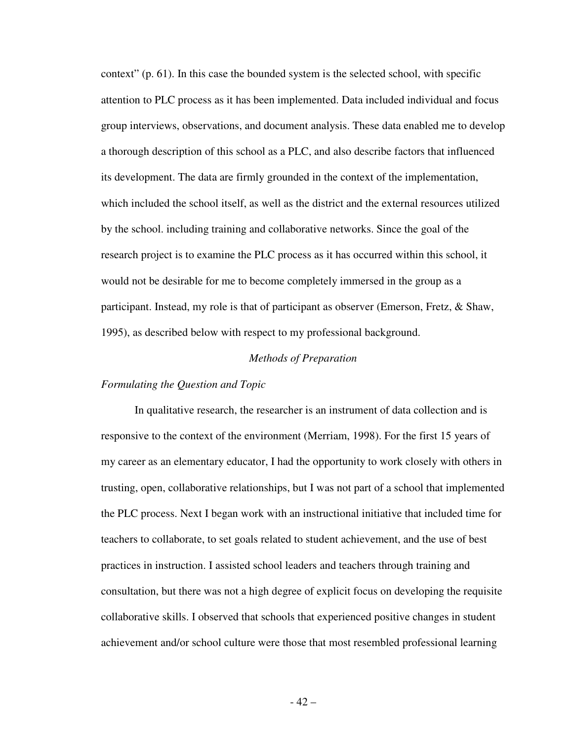context" (p. 61). In this case the bounded system is the selected school, with specific attention to PLC process as it has been implemented. Data included individual and focus group interviews, observations, and document analysis. These data enabled me to develop a thorough description of this school as a PLC, and also describe factors that influenced its development. The data are firmly grounded in the context of the implementation, which included the school itself, as well as the district and the external resources utilized by the school. including training and collaborative networks. Since the goal of the research project is to examine the PLC process as it has occurred within this school, it would not be desirable for me to become completely immersed in the group as a participant. Instead, my role is that of participant as observer (Emerson, Fretz, & Shaw, 1995), as described below with respect to my professional background.

### *Methods of Preparation*

#### *Formulating the Question and Topic*

In qualitative research, the researcher is an instrument of data collection and is responsive to the context of the environment (Merriam, 1998). For the first 15 years of my career as an elementary educator, I had the opportunity to work closely with others in trusting, open, collaborative relationships, but I was not part of a school that implemented the PLC process. Next I began work with an instructional initiative that included time for teachers to collaborate, to set goals related to student achievement, and the use of best practices in instruction. I assisted school leaders and teachers through training and consultation, but there was not a high degree of explicit focus on developing the requisite collaborative skills. I observed that schools that experienced positive changes in student achievement and/or school culture were those that most resembled professional learning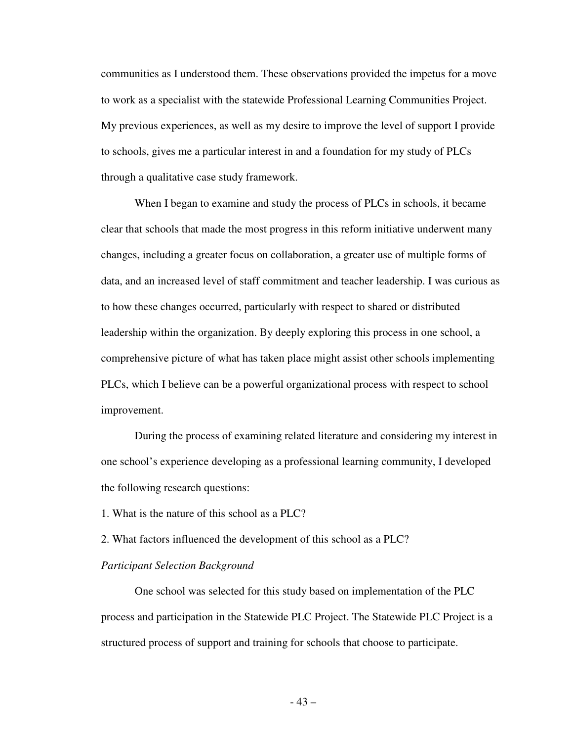communities as I understood them. These observations provided the impetus for a move to work as a specialist with the statewide Professional Learning Communities Project. My previous experiences, as well as my desire to improve the level of support I provide to schools, gives me a particular interest in and a foundation for my study of PLCs through a qualitative case study framework.

When I began to examine and study the process of PLCs in schools, it became clear that schools that made the most progress in this reform initiative underwent many changes, including a greater focus on collaboration, a greater use of multiple forms of data, and an increased level of staff commitment and teacher leadership. I was curious as to how these changes occurred, particularly with respect to shared or distributed leadership within the organization. By deeply exploring this process in one school, a comprehensive picture of what has taken place might assist other schools implementing PLCs, which I believe can be a powerful organizational process with respect to school improvement.

During the process of examining related literature and considering my interest in one school's experience developing as a professional learning community, I developed the following research questions:

1. What is the nature of this school as a PLC?

2. What factors influenced the development of this school as a PLC?

#### *Participant Selection Background*

One school was selected for this study based on implementation of the PLC process and participation in the Statewide PLC Project. The Statewide PLC Project is a structured process of support and training for schools that choose to participate.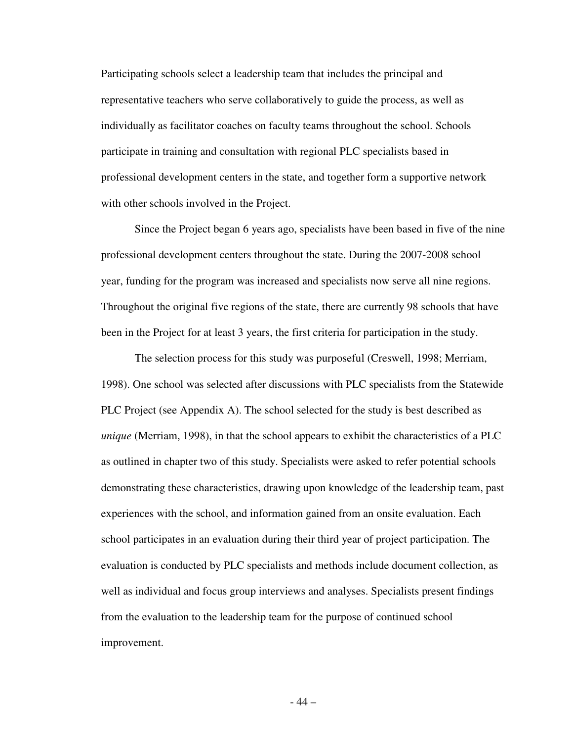Participating schools select a leadership team that includes the principal and representative teachers who serve collaboratively to guide the process, as well as individually as facilitator coaches on faculty teams throughout the school. Schools participate in training and consultation with regional PLC specialists based in professional development centers in the state, and together form a supportive network with other schools involved in the Project.

Since the Project began 6 years ago, specialists have been based in five of the nine professional development centers throughout the state. During the 2007-2008 school year, funding for the program was increased and specialists now serve all nine regions. Throughout the original five regions of the state, there are currently 98 schools that have been in the Project for at least 3 years, the first criteria for participation in the study.

The selection process for this study was purposeful (Creswell, 1998; Merriam, 1998). One school was selected after discussions with PLC specialists from the Statewide PLC Project (see Appendix A). The school selected for the study is best described as *unique* (Merriam, 1998), in that the school appears to exhibit the characteristics of a PLC as outlined in chapter two of this study. Specialists were asked to refer potential schools demonstrating these characteristics, drawing upon knowledge of the leadership team, past experiences with the school, and information gained from an onsite evaluation. Each school participates in an evaluation during their third year of project participation. The evaluation is conducted by PLC specialists and methods include document collection, as well as individual and focus group interviews and analyses. Specialists present findings from the evaluation to the leadership team for the purpose of continued school improvement.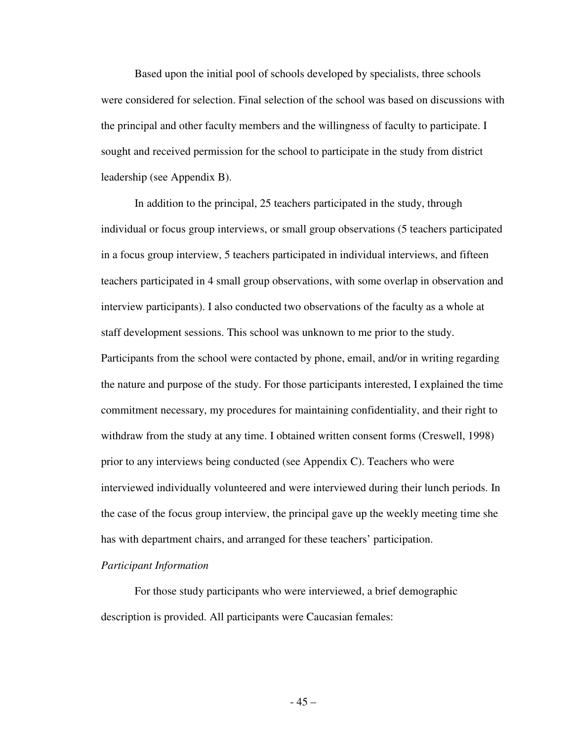Based upon the initial pool of schools developed by specialists, three schools were considered for selection. Final selection of the school was based on discussions with the principal and other faculty members and the willingness of faculty to participate. I sought and received permission for the school to participate in the study from district leadership (see Appendix B).

In addition to the principal, 25 teachers participated in the study, through individual or focus group interviews, or small group observations (5 teachers participated in a focus group interview, 5 teachers participated in individual interviews, and fifteen teachers participated in 4 small group observations, with some overlap in observation and interview participants). I also conducted two observations of the faculty as a whole at staff development sessions. This school was unknown to me prior to the study. Participants from the school were contacted by phone, email, and/or in writing regarding the nature and purpose of the study. For those participants interested, I explained the time commitment necessary, my procedures for maintaining confidentiality, and their right to withdraw from the study at any time. I obtained written consent forms (Creswell, 1998) prior to any interviews being conducted (see Appendix C). Teachers who were interviewed individually volunteered and were interviewed during their lunch periods. In the case of the focus group interview, the principal gave up the weekly meeting time she has with department chairs, and arranged for these teachers' participation.

# *Participant Information*

 For those study participants who were interviewed, a brief demographic description is provided. All participants were Caucasian females: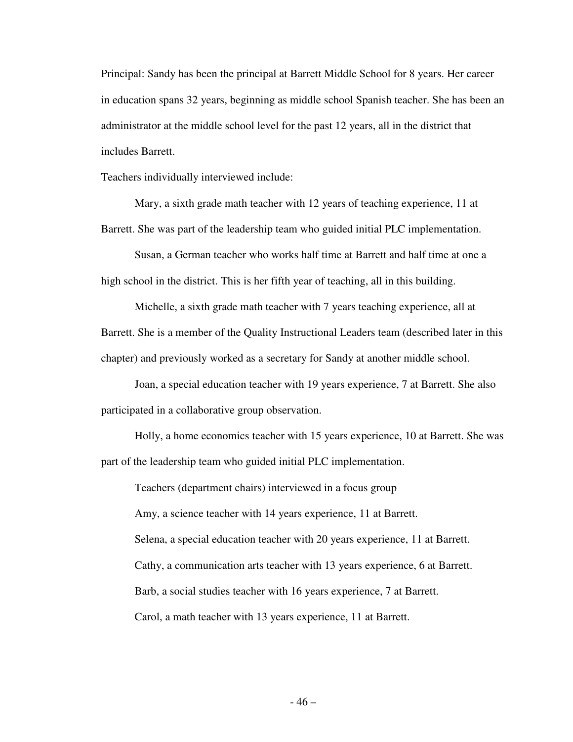Principal: Sandy has been the principal at Barrett Middle School for 8 years. Her career in education spans 32 years, beginning as middle school Spanish teacher. She has been an administrator at the middle school level for the past 12 years, all in the district that includes Barrett.

Teachers individually interviewed include:

 Mary, a sixth grade math teacher with 12 years of teaching experience, 11 at Barrett. She was part of the leadership team who guided initial PLC implementation.

 Susan, a German teacher who works half time at Barrett and half time at one a high school in the district. This is her fifth year of teaching, all in this building.

 Michelle, a sixth grade math teacher with 7 years teaching experience, all at Barrett. She is a member of the Quality Instructional Leaders team (described later in this chapter) and previously worked as a secretary for Sandy at another middle school.

 Joan, a special education teacher with 19 years experience, 7 at Barrett. She also participated in a collaborative group observation.

 Holly, a home economics teacher with 15 years experience, 10 at Barrett. She was part of the leadership team who guided initial PLC implementation.

 Teachers (department chairs) interviewed in a focus group Amy, a science teacher with 14 years experience, 11 at Barrett. Selena, a special education teacher with 20 years experience, 11 at Barrett. Cathy, a communication arts teacher with 13 years experience, 6 at Barrett. Barb, a social studies teacher with 16 years experience, 7 at Barrett. Carol, a math teacher with 13 years experience, 11 at Barrett.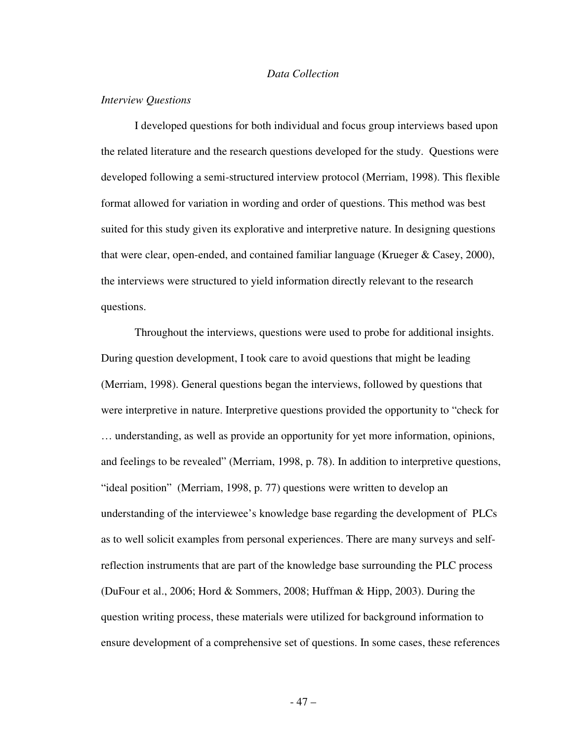#### *Data Collection*

## *Interview Questions*

I developed questions for both individual and focus group interviews based upon the related literature and the research questions developed for the study. Questions were developed following a semi-structured interview protocol (Merriam, 1998). This flexible format allowed for variation in wording and order of questions. This method was best suited for this study given its explorative and interpretive nature. In designing questions that were clear, open-ended, and contained familiar language (Krueger & Casey, 2000), the interviews were structured to yield information directly relevant to the research questions.

 Throughout the interviews, questions were used to probe for additional insights. During question development, I took care to avoid questions that might be leading (Merriam, 1998). General questions began the interviews, followed by questions that were interpretive in nature. Interpretive questions provided the opportunity to "check for … understanding, as well as provide an opportunity for yet more information, opinions, and feelings to be revealed" (Merriam, 1998, p. 78). In addition to interpretive questions, "ideal position" (Merriam, 1998, p. 77) questions were written to develop an understanding of the interviewee's knowledge base regarding the development of PLCs as to well solicit examples from personal experiences. There are many surveys and selfreflection instruments that are part of the knowledge base surrounding the PLC process (DuFour et al., 2006; Hord & Sommers, 2008; Huffman & Hipp, 2003). During the question writing process, these materials were utilized for background information to ensure development of a comprehensive set of questions. In some cases, these references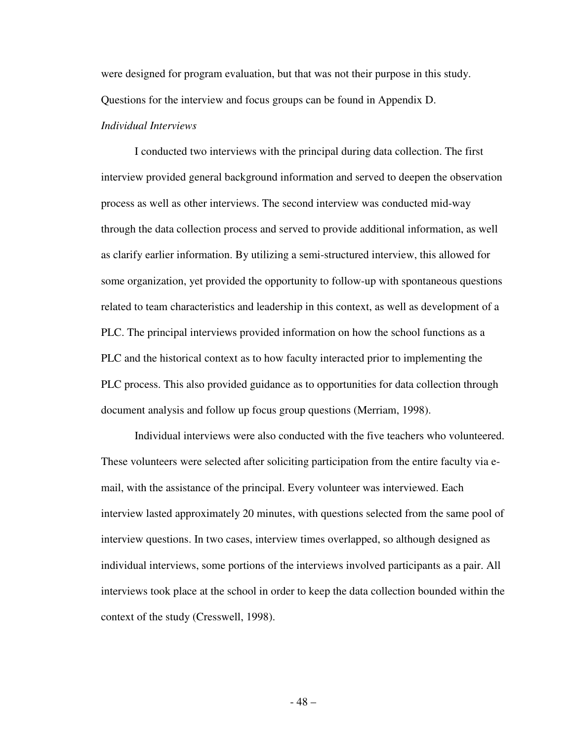were designed for program evaluation, but that was not their purpose in this study. Questions for the interview and focus groups can be found in Appendix D. *Individual Interviews* 

I conducted two interviews with the principal during data collection. The first interview provided general background information and served to deepen the observation process as well as other interviews. The second interview was conducted mid-way through the data collection process and served to provide additional information, as well as clarify earlier information. By utilizing a semi-structured interview, this allowed for some organization, yet provided the opportunity to follow-up with spontaneous questions related to team characteristics and leadership in this context, as well as development of a PLC. The principal interviews provided information on how the school functions as a PLC and the historical context as to how faculty interacted prior to implementing the PLC process. This also provided guidance as to opportunities for data collection through document analysis and follow up focus group questions (Merriam, 1998).

 Individual interviews were also conducted with the five teachers who volunteered. These volunteers were selected after soliciting participation from the entire faculty via email, with the assistance of the principal. Every volunteer was interviewed. Each interview lasted approximately 20 minutes, with questions selected from the same pool of interview questions. In two cases, interview times overlapped, so although designed as individual interviews, some portions of the interviews involved participants as a pair. All interviews took place at the school in order to keep the data collection bounded within the context of the study (Cresswell, 1998).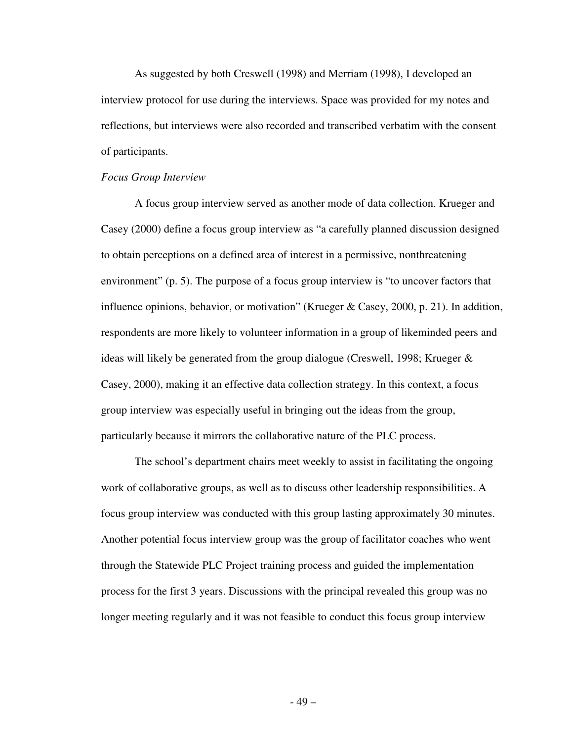As suggested by both Creswell (1998) and Merriam (1998), I developed an interview protocol for use during the interviews. Space was provided for my notes and reflections, but interviews were also recorded and transcribed verbatim with the consent of participants.

## *Focus Group Interview*

A focus group interview served as another mode of data collection. Krueger and Casey (2000) define a focus group interview as "a carefully planned discussion designed to obtain perceptions on a defined area of interest in a permissive, nonthreatening environment" (p. 5). The purpose of a focus group interview is "to uncover factors that influence opinions, behavior, or motivation" (Krueger & Casey, 2000, p. 21). In addition, respondents are more likely to volunteer information in a group of likeminded peers and ideas will likely be generated from the group dialogue (Creswell, 1998; Krueger & Casey, 2000), making it an effective data collection strategy. In this context, a focus group interview was especially useful in bringing out the ideas from the group, particularly because it mirrors the collaborative nature of the PLC process.

The school's department chairs meet weekly to assist in facilitating the ongoing work of collaborative groups, as well as to discuss other leadership responsibilities. A focus group interview was conducted with this group lasting approximately 30 minutes. Another potential focus interview group was the group of facilitator coaches who went through the Statewide PLC Project training process and guided the implementation process for the first 3 years. Discussions with the principal revealed this group was no longer meeting regularly and it was not feasible to conduct this focus group interview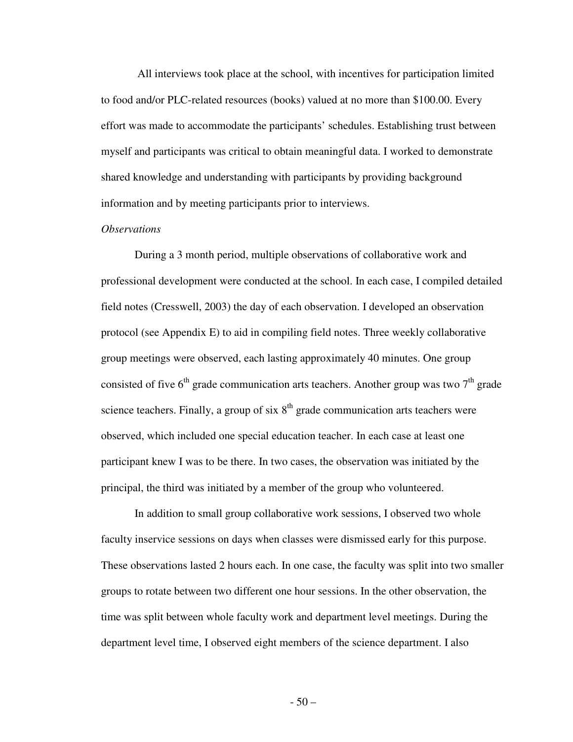All interviews took place at the school, with incentives for participation limited to food and/or PLC-related resources (books) valued at no more than \$100.00. Every effort was made to accommodate the participants' schedules. Establishing trust between myself and participants was critical to obtain meaningful data. I worked to demonstrate shared knowledge and understanding with participants by providing background information and by meeting participants prior to interviews.

# *Observations*

 During a 3 month period, multiple observations of collaborative work and professional development were conducted at the school. In each case, I compiled detailed field notes (Cresswell, 2003) the day of each observation. I developed an observation protocol (see Appendix E) to aid in compiling field notes. Three weekly collaborative group meetings were observed, each lasting approximately 40 minutes. One group consisted of five  $6<sup>th</sup>$  grade communication arts teachers. Another group was two  $7<sup>th</sup>$  grade science teachers. Finally, a group of six  $8<sup>th</sup>$  grade communication arts teachers were observed, which included one special education teacher. In each case at least one participant knew I was to be there. In two cases, the observation was initiated by the principal, the third was initiated by a member of the group who volunteered.

 In addition to small group collaborative work sessions, I observed two whole faculty inservice sessions on days when classes were dismissed early for this purpose. These observations lasted 2 hours each. In one case, the faculty was split into two smaller groups to rotate between two different one hour sessions. In the other observation, the time was split between whole faculty work and department level meetings. During the department level time, I observed eight members of the science department. I also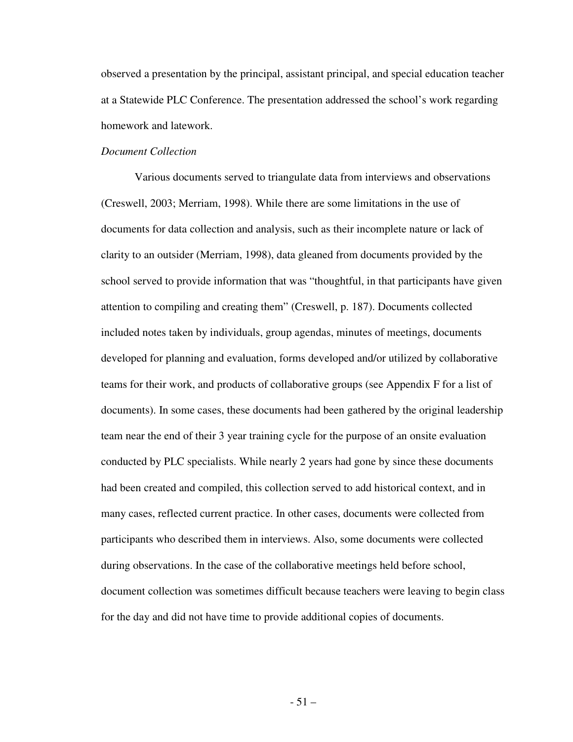observed a presentation by the principal, assistant principal, and special education teacher at a Statewide PLC Conference. The presentation addressed the school's work regarding homework and latework.

### *Document Collection*

Various documents served to triangulate data from interviews and observations (Creswell, 2003; Merriam, 1998). While there are some limitations in the use of documents for data collection and analysis, such as their incomplete nature or lack of clarity to an outsider (Merriam, 1998), data gleaned from documents provided by the school served to provide information that was "thoughtful, in that participants have given attention to compiling and creating them" (Creswell, p. 187). Documents collected included notes taken by individuals, group agendas, minutes of meetings, documents developed for planning and evaluation, forms developed and/or utilized by collaborative teams for their work, and products of collaborative groups (see Appendix F for a list of documents). In some cases, these documents had been gathered by the original leadership team near the end of their 3 year training cycle for the purpose of an onsite evaluation conducted by PLC specialists. While nearly 2 years had gone by since these documents had been created and compiled, this collection served to add historical context, and in many cases, reflected current practice. In other cases, documents were collected from participants who described them in interviews. Also, some documents were collected during observations. In the case of the collaborative meetings held before school, document collection was sometimes difficult because teachers were leaving to begin class for the day and did not have time to provide additional copies of documents.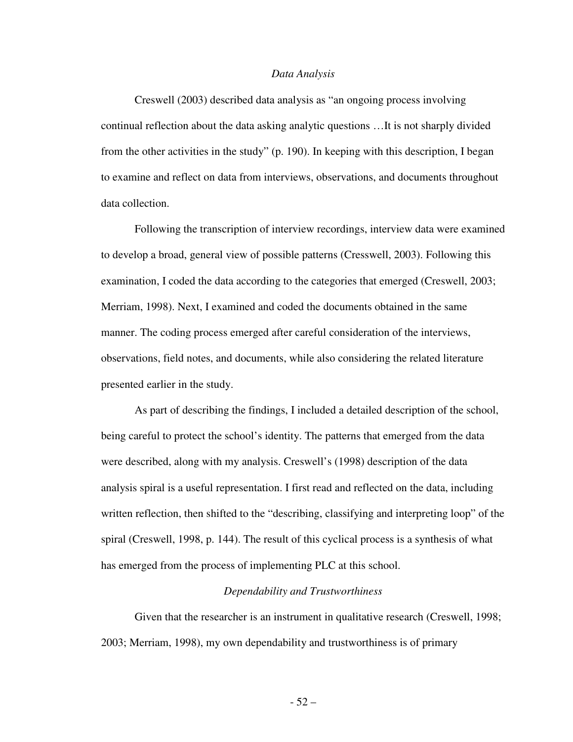#### *Data Analysis*

Creswell (2003) described data analysis as "an ongoing process involving continual reflection about the data asking analytic questions …It is not sharply divided from the other activities in the study" (p. 190). In keeping with this description, I began to examine and reflect on data from interviews, observations, and documents throughout data collection.

Following the transcription of interview recordings, interview data were examined to develop a broad, general view of possible patterns (Cresswell, 2003). Following this examination, I coded the data according to the categories that emerged (Creswell, 2003; Merriam, 1998). Next, I examined and coded the documents obtained in the same manner. The coding process emerged after careful consideration of the interviews, observations, field notes, and documents, while also considering the related literature presented earlier in the study.

As part of describing the findings, I included a detailed description of the school, being careful to protect the school's identity. The patterns that emerged from the data were described, along with my analysis. Creswell's (1998) description of the data analysis spiral is a useful representation. I first read and reflected on the data, including written reflection, then shifted to the "describing, classifying and interpreting loop" of the spiral (Creswell, 1998, p. 144). The result of this cyclical process is a synthesis of what has emerged from the process of implementing PLC at this school.

#### *Dependability and Trustworthiness*

Given that the researcher is an instrument in qualitative research (Creswell, 1998; 2003; Merriam, 1998), my own dependability and trustworthiness is of primary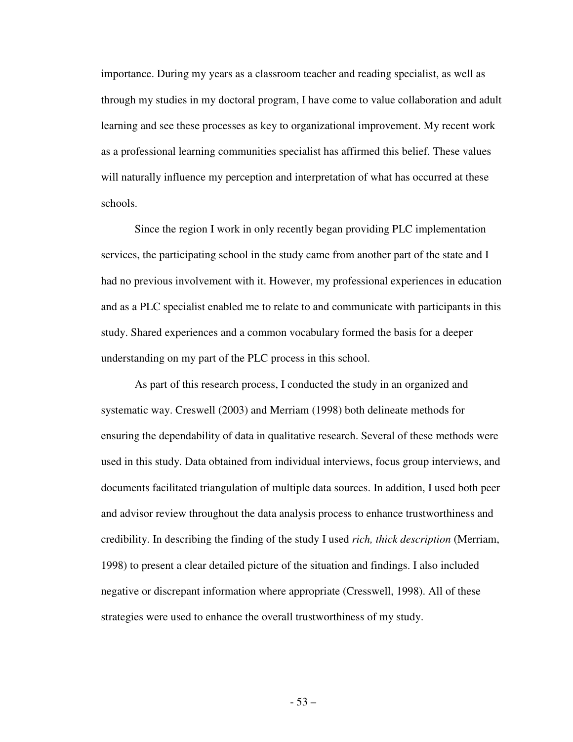importance. During my years as a classroom teacher and reading specialist, as well as through my studies in my doctoral program, I have come to value collaboration and adult learning and see these processes as key to organizational improvement. My recent work as a professional learning communities specialist has affirmed this belief. These values will naturally influence my perception and interpretation of what has occurred at these schools.

Since the region I work in only recently began providing PLC implementation services, the participating school in the study came from another part of the state and I had no previous involvement with it. However, my professional experiences in education and as a PLC specialist enabled me to relate to and communicate with participants in this study. Shared experiences and a common vocabulary formed the basis for a deeper understanding on my part of the PLC process in this school.

As part of this research process, I conducted the study in an organized and systematic way. Creswell (2003) and Merriam (1998) both delineate methods for ensuring the dependability of data in qualitative research. Several of these methods were used in this study. Data obtained from individual interviews, focus group interviews, and documents facilitated triangulation of multiple data sources. In addition, I used both peer and advisor review throughout the data analysis process to enhance trustworthiness and credibility. In describing the finding of the study I used *rich, thick description* (Merriam, 1998) to present a clear detailed picture of the situation and findings. I also included negative or discrepant information where appropriate (Cresswell, 1998). All of these strategies were used to enhance the overall trustworthiness of my study.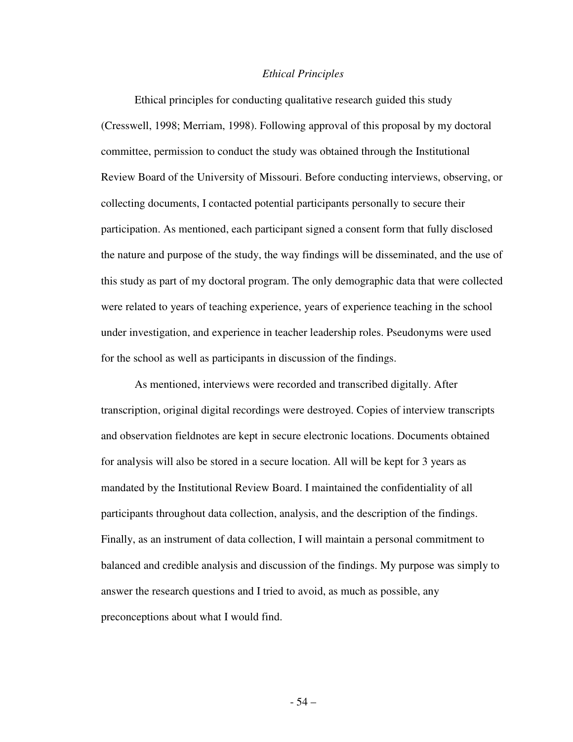#### *Ethical Principles*

Ethical principles for conducting qualitative research guided this study (Cresswell, 1998; Merriam, 1998). Following approval of this proposal by my doctoral committee, permission to conduct the study was obtained through the Institutional Review Board of the University of Missouri. Before conducting interviews, observing, or collecting documents, I contacted potential participants personally to secure their participation. As mentioned, each participant signed a consent form that fully disclosed the nature and purpose of the study, the way findings will be disseminated, and the use of this study as part of my doctoral program. The only demographic data that were collected were related to years of teaching experience, years of experience teaching in the school under investigation, and experience in teacher leadership roles. Pseudonyms were used for the school as well as participants in discussion of the findings.

As mentioned, interviews were recorded and transcribed digitally. After transcription, original digital recordings were destroyed. Copies of interview transcripts and observation fieldnotes are kept in secure electronic locations. Documents obtained for analysis will also be stored in a secure location. All will be kept for 3 years as mandated by the Institutional Review Board. I maintained the confidentiality of all participants throughout data collection, analysis, and the description of the findings. Finally, as an instrument of data collection, I will maintain a personal commitment to balanced and credible analysis and discussion of the findings. My purpose was simply to answer the research questions and I tried to avoid, as much as possible, any preconceptions about what I would find.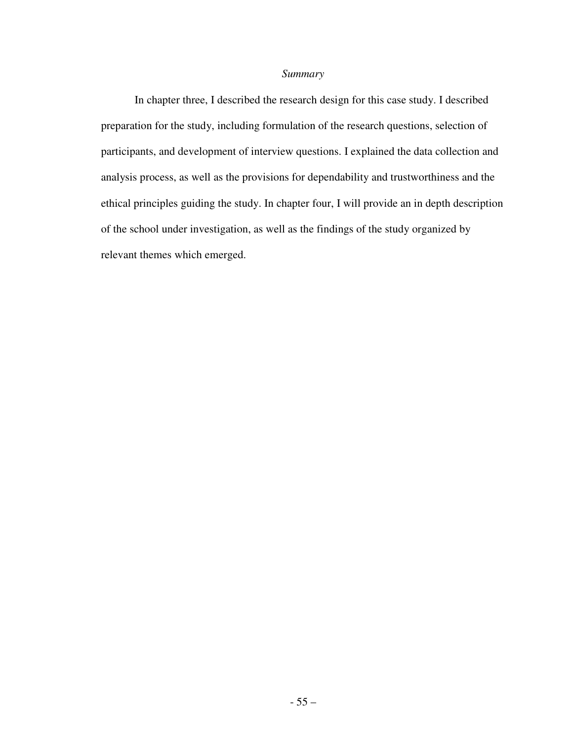# *Summary*

In chapter three, I described the research design for this case study. I described preparation for the study, including formulation of the research questions, selection of participants, and development of interview questions. I explained the data collection and analysis process, as well as the provisions for dependability and trustworthiness and the ethical principles guiding the study. In chapter four, I will provide an in depth description of the school under investigation, as well as the findings of the study organized by relevant themes which emerged.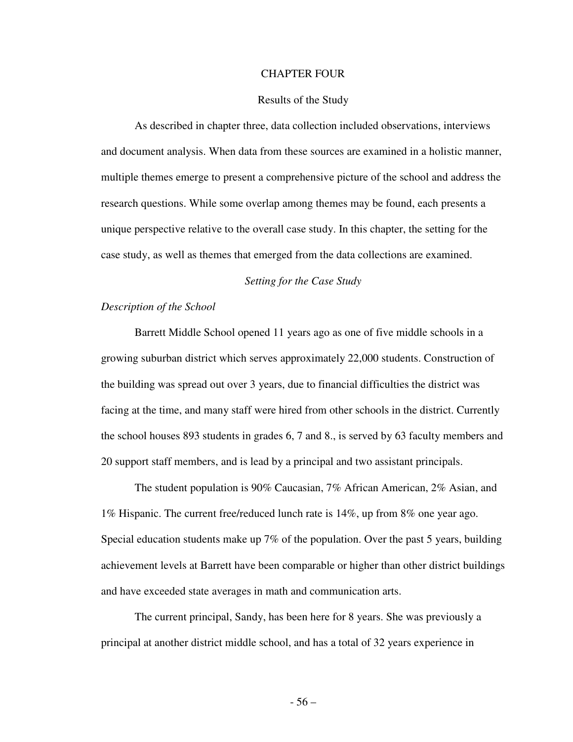#### CHAPTER FOUR

### Results of the Study

 As described in chapter three, data collection included observations, interviews and document analysis. When data from these sources are examined in a holistic manner, multiple themes emerge to present a comprehensive picture of the school and address the research questions. While some overlap among themes may be found, each presents a unique perspective relative to the overall case study. In this chapter, the setting for the case study, as well as themes that emerged from the data collections are examined.

# *Setting for the Case Study*

# *Description of the School*

 Barrett Middle School opened 11 years ago as one of five middle schools in a growing suburban district which serves approximately 22,000 students. Construction of the building was spread out over 3 years, due to financial difficulties the district was facing at the time, and many staff were hired from other schools in the district. Currently the school houses 893 students in grades 6, 7 and 8., is served by 63 faculty members and 20 support staff members, and is lead by a principal and two assistant principals.

 The student population is 90% Caucasian, 7% African American, 2% Asian, and 1% Hispanic. The current free/reduced lunch rate is 14%, up from 8% one year ago. Special education students make up 7% of the population. Over the past 5 years, building achievement levels at Barrett have been comparable or higher than other district buildings and have exceeded state averages in math and communication arts.

 The current principal, Sandy, has been here for 8 years. She was previously a principal at another district middle school, and has a total of 32 years experience in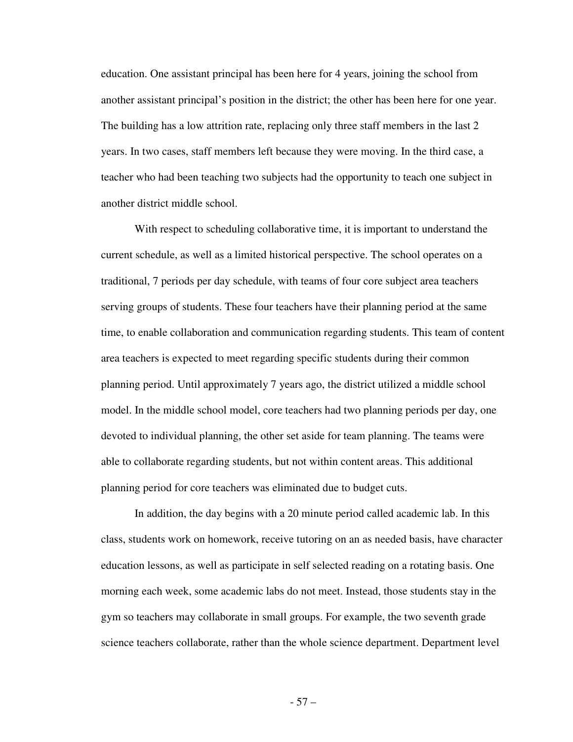education. One assistant principal has been here for 4 years, joining the school from another assistant principal's position in the district; the other has been here for one year. The building has a low attrition rate, replacing only three staff members in the last 2 years. In two cases, staff members left because they were moving. In the third case, a teacher who had been teaching two subjects had the opportunity to teach one subject in another district middle school.

 With respect to scheduling collaborative time, it is important to understand the current schedule, as well as a limited historical perspective. The school operates on a traditional, 7 periods per day schedule, with teams of four core subject area teachers serving groups of students. These four teachers have their planning period at the same time, to enable collaboration and communication regarding students. This team of content area teachers is expected to meet regarding specific students during their common planning period. Until approximately 7 years ago, the district utilized a middle school model. In the middle school model, core teachers had two planning periods per day, one devoted to individual planning, the other set aside for team planning. The teams were able to collaborate regarding students, but not within content areas. This additional planning period for core teachers was eliminated due to budget cuts.

 In addition, the day begins with a 20 minute period called academic lab. In this class, students work on homework, receive tutoring on an as needed basis, have character education lessons, as well as participate in self selected reading on a rotating basis. One morning each week, some academic labs do not meet. Instead, those students stay in the gym so teachers may collaborate in small groups. For example, the two seventh grade science teachers collaborate, rather than the whole science department. Department level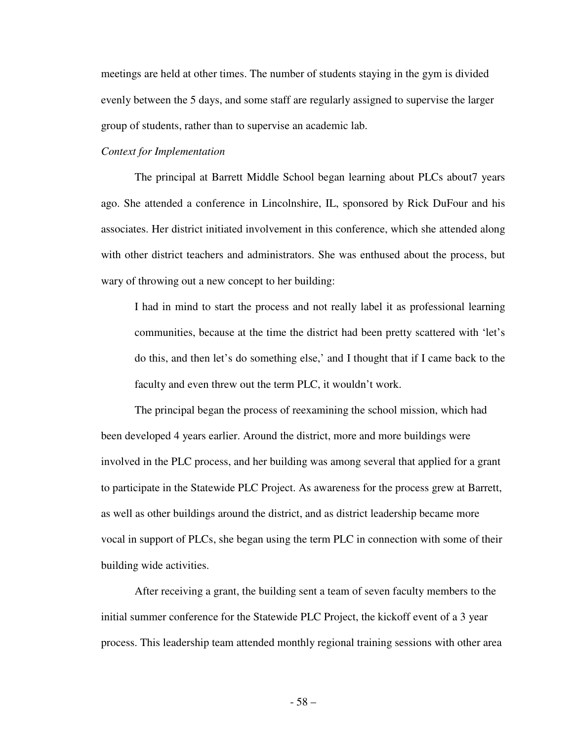meetings are held at other times. The number of students staying in the gym is divided evenly between the 5 days, and some staff are regularly assigned to supervise the larger group of students, rather than to supervise an academic lab.

# *Context for Implementation*

 The principal at Barrett Middle School began learning about PLCs about7 years ago. She attended a conference in Lincolnshire, IL, sponsored by Rick DuFour and his associates. Her district initiated involvement in this conference, which she attended along with other district teachers and administrators. She was enthused about the process, but wary of throwing out a new concept to her building:

 I had in mind to start the process and not really label it as professional learning communities, because at the time the district had been pretty scattered with 'let's do this, and then let's do something else,' and I thought that if I came back to the faculty and even threw out the term PLC, it wouldn't work.

 The principal began the process of reexamining the school mission, which had been developed 4 years earlier. Around the district, more and more buildings were involved in the PLC process, and her building was among several that applied for a grant to participate in the Statewide PLC Project. As awareness for the process grew at Barrett, as well as other buildings around the district, and as district leadership became more vocal in support of PLCs, she began using the term PLC in connection with some of their building wide activities.

 After receiving a grant, the building sent a team of seven faculty members to the initial summer conference for the Statewide PLC Project, the kickoff event of a 3 year process. This leadership team attended monthly regional training sessions with other area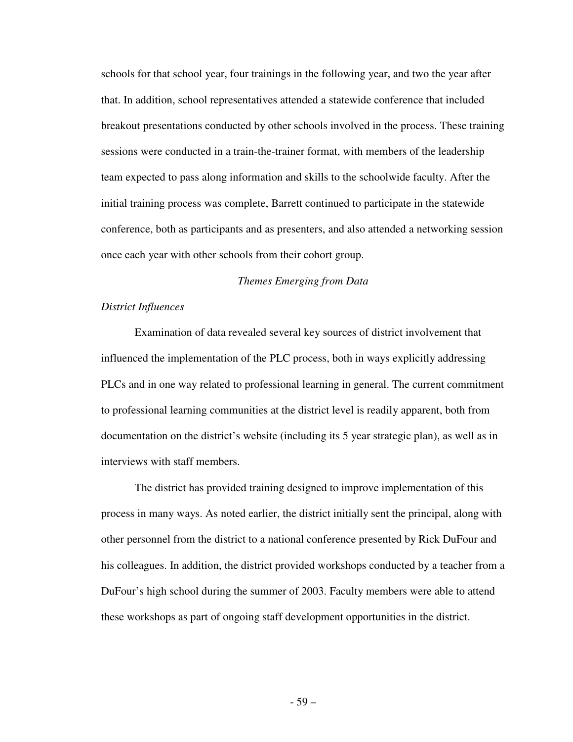schools for that school year, four trainings in the following year, and two the year after that. In addition, school representatives attended a statewide conference that included breakout presentations conducted by other schools involved in the process. These training sessions were conducted in a train-the-trainer format, with members of the leadership team expected to pass along information and skills to the schoolwide faculty. After the initial training process was complete, Barrett continued to participate in the statewide conference, both as participants and as presenters, and also attended a networking session once each year with other schools from their cohort group.

#### *Themes Emerging from Data*

# *District Influences*

 Examination of data revealed several key sources of district involvement that influenced the implementation of the PLC process, both in ways explicitly addressing PLCs and in one way related to professional learning in general. The current commitment to professional learning communities at the district level is readily apparent, both from documentation on the district's website (including its 5 year strategic plan), as well as in interviews with staff members.

 The district has provided training designed to improve implementation of this process in many ways. As noted earlier, the district initially sent the principal, along with other personnel from the district to a national conference presented by Rick DuFour and his colleagues. In addition, the district provided workshops conducted by a teacher from a DuFour's high school during the summer of 2003. Faculty members were able to attend these workshops as part of ongoing staff development opportunities in the district.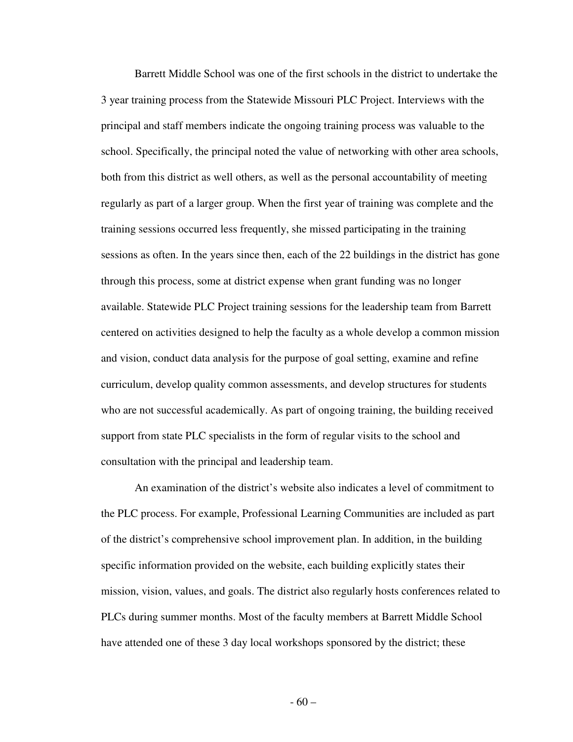Barrett Middle School was one of the first schools in the district to undertake the 3 year training process from the Statewide Missouri PLC Project. Interviews with the principal and staff members indicate the ongoing training process was valuable to the school. Specifically, the principal noted the value of networking with other area schools, both from this district as well others, as well as the personal accountability of meeting regularly as part of a larger group. When the first year of training was complete and the training sessions occurred less frequently, she missed participating in the training sessions as often. In the years since then, each of the 22 buildings in the district has gone through this process, some at district expense when grant funding was no longer available. Statewide PLC Project training sessions for the leadership team from Barrett centered on activities designed to help the faculty as a whole develop a common mission and vision, conduct data analysis for the purpose of goal setting, examine and refine curriculum, develop quality common assessments, and develop structures for students who are not successful academically. As part of ongoing training, the building received support from state PLC specialists in the form of regular visits to the school and consultation with the principal and leadership team.

 An examination of the district's website also indicates a level of commitment to the PLC process. For example, Professional Learning Communities are included as part of the district's comprehensive school improvement plan. In addition, in the building specific information provided on the website, each building explicitly states their mission, vision, values, and goals. The district also regularly hosts conferences related to PLCs during summer months. Most of the faculty members at Barrett Middle School have attended one of these 3 day local workshops sponsored by the district; these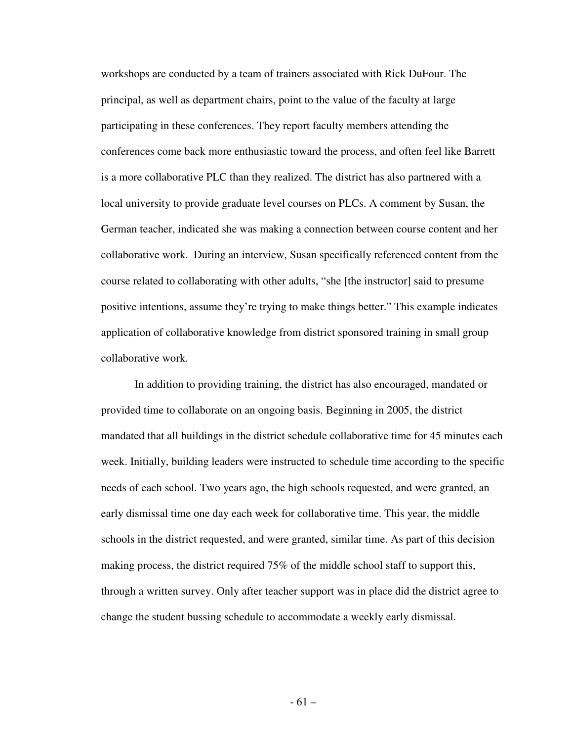workshops are conducted by a team of trainers associated with Rick DuFour. The principal, as well as department chairs, point to the value of the faculty at large participating in these conferences. They report faculty members attending the conferences come back more enthusiastic toward the process, and often feel like Barrett is a more collaborative PLC than they realized. The district has also partnered with a local university to provide graduate level courses on PLCs. A comment by Susan, the German teacher, indicated she was making a connection between course content and her collaborative work. During an interview, Susan specifically referenced content from the course related to collaborating with other adults, "she [the instructor] said to presume positive intentions, assume they're trying to make things better." This example indicates application of collaborative knowledge from district sponsored training in small group collaborative work.

In addition to providing training, the district has also encouraged, mandated or provided time to collaborate on an ongoing basis. Beginning in 2005, the district mandated that all buildings in the district schedule collaborative time for 45 minutes each week. Initially, building leaders were instructed to schedule time according to the specific needs of each school. Two years ago, the high schools requested, and were granted, an early dismissal time one day each week for collaborative time. This year, the middle schools in the district requested, and were granted, similar time. As part of this decision making process, the district required 75% of the middle school staff to support this, through a written survey. Only after teacher support was in place did the district agree to change the student bussing schedule to accommodate a weekly early dismissal.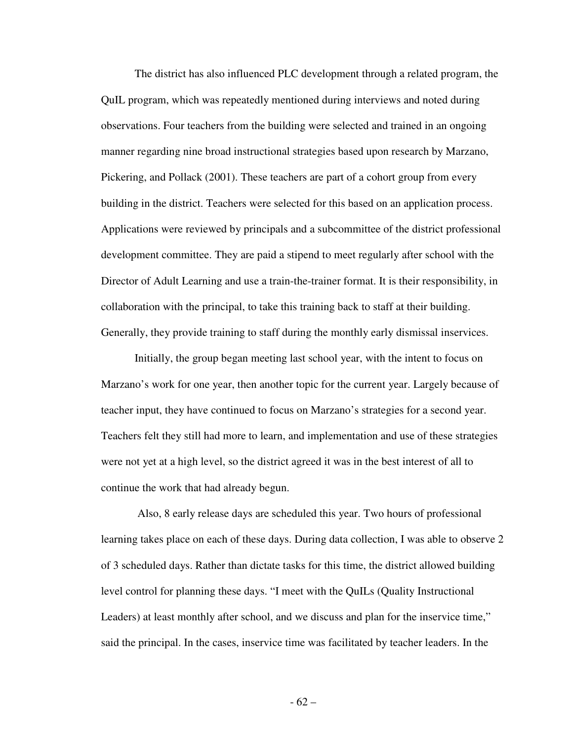The district has also influenced PLC development through a related program, the QuIL program, which was repeatedly mentioned during interviews and noted during observations. Four teachers from the building were selected and trained in an ongoing manner regarding nine broad instructional strategies based upon research by Marzano, Pickering, and Pollack (2001). These teachers are part of a cohort group from every building in the district. Teachers were selected for this based on an application process. Applications were reviewed by principals and a subcommittee of the district professional development committee. They are paid a stipend to meet regularly after school with the Director of Adult Learning and use a train-the-trainer format. It is their responsibility, in collaboration with the principal, to take this training back to staff at their building. Generally, they provide training to staff during the monthly early dismissal inservices.

 Initially, the group began meeting last school year, with the intent to focus on Marzano's work for one year, then another topic for the current year. Largely because of teacher input, they have continued to focus on Marzano's strategies for a second year. Teachers felt they still had more to learn, and implementation and use of these strategies were not yet at a high level, so the district agreed it was in the best interest of all to continue the work that had already begun.

 Also, 8 early release days are scheduled this year. Two hours of professional learning takes place on each of these days. During data collection, I was able to observe 2 of 3 scheduled days. Rather than dictate tasks for this time, the district allowed building level control for planning these days. "I meet with the QuILs (Quality Instructional Leaders) at least monthly after school, and we discuss and plan for the inservice time," said the principal. In the cases, inservice time was facilitated by teacher leaders. In the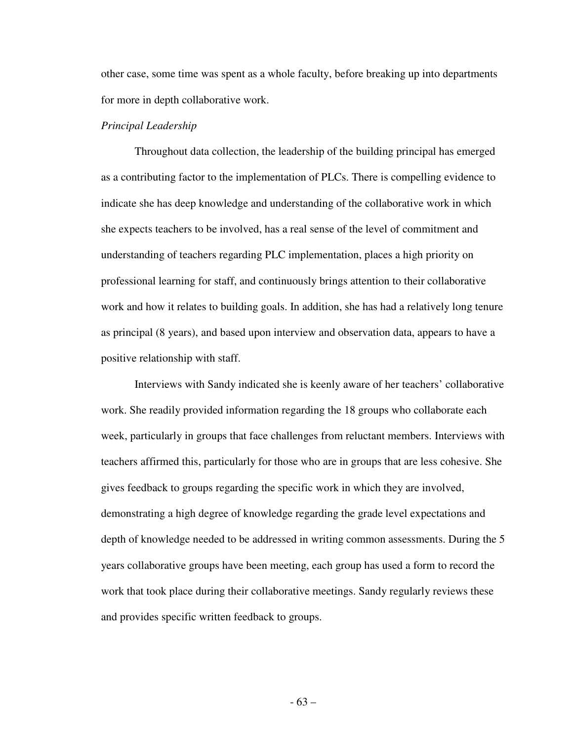other case, some time was spent as a whole faculty, before breaking up into departments for more in depth collaborative work.

### *Principal Leadership*

 Throughout data collection, the leadership of the building principal has emerged as a contributing factor to the implementation of PLCs. There is compelling evidence to indicate she has deep knowledge and understanding of the collaborative work in which she expects teachers to be involved, has a real sense of the level of commitment and understanding of teachers regarding PLC implementation, places a high priority on professional learning for staff, and continuously brings attention to their collaborative work and how it relates to building goals. In addition, she has had a relatively long tenure as principal (8 years), and based upon interview and observation data, appears to have a positive relationship with staff.

 Interviews with Sandy indicated she is keenly aware of her teachers' collaborative work. She readily provided information regarding the 18 groups who collaborate each week, particularly in groups that face challenges from reluctant members. Interviews with teachers affirmed this, particularly for those who are in groups that are less cohesive. She gives feedback to groups regarding the specific work in which they are involved, demonstrating a high degree of knowledge regarding the grade level expectations and depth of knowledge needed to be addressed in writing common assessments. During the 5 years collaborative groups have been meeting, each group has used a form to record the work that took place during their collaborative meetings. Sandy regularly reviews these and provides specific written feedback to groups.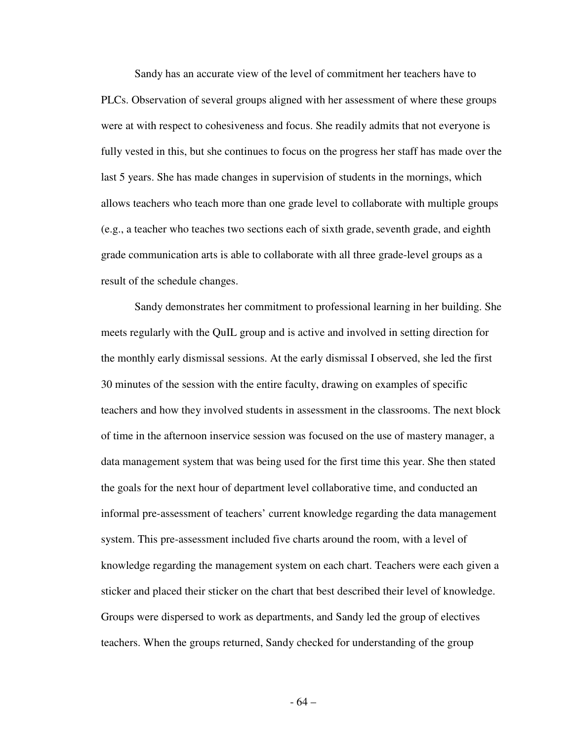Sandy has an accurate view of the level of commitment her teachers have to PLCs. Observation of several groups aligned with her assessment of where these groups were at with respect to cohesiveness and focus. She readily admits that not everyone is fully vested in this, but she continues to focus on the progress her staff has made over the last 5 years. She has made changes in supervision of students in the mornings, which allows teachers who teach more than one grade level to collaborate with multiple groups  $(e.g., a teacher who teaches two sections each of sixth grade, seventh grade, and eighth)$ grade communication arts is able to collaborate with all three grade-level groups as a result of the schedule changes.

 Sandy demonstrates her commitment to professional learning in her building. She meets regularly with the QuIL group and is active and involved in setting direction for the monthly early dismissal sessions. At the early dismissal I observed, she led the first 30 minutes of the session with the entire faculty, drawing on examples of specific teachers and how they involved students in assessment in the classrooms. The next block of time in the afternoon inservice session was focused on the use of mastery manager, a data management system that was being used for the first time this year. She then stated the goals for the next hour of department level collaborative time, and conducted an informal pre-assessment of teachers' current knowledge regarding the data management system. This pre-assessment included five charts around the room, with a level of knowledge regarding the management system on each chart. Teachers were each given a sticker and placed their sticker on the chart that best described their level of knowledge. Groups were dispersed to work as departments, and Sandy led the group of electives teachers. When the groups returned, Sandy checked for understanding of the group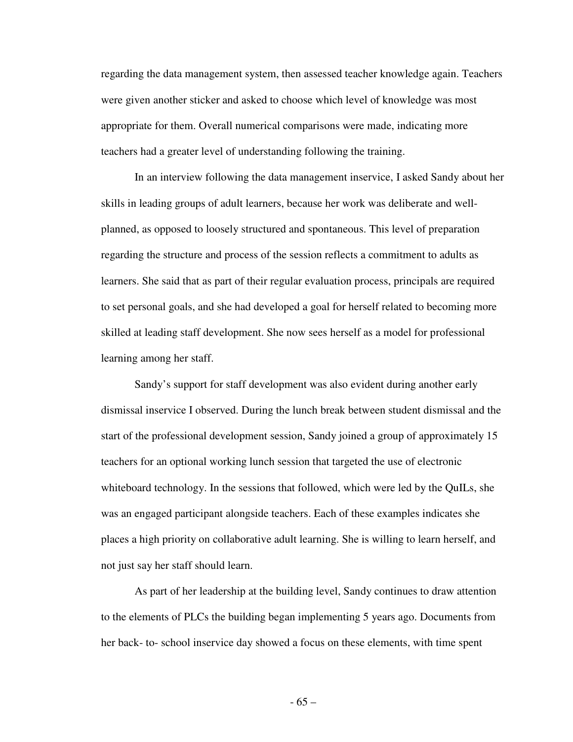regarding the data management system, then assessed teacher knowledge again. Teachers were given another sticker and asked to choose which level of knowledge was most appropriate for them. Overall numerical comparisons were made, indicating more teachers had a greater level of understanding following the training.

 In an interview following the data management inservice, I asked Sandy about her skills in leading groups of adult learners, because her work was deliberate and wellplanned, as opposed to loosely structured and spontaneous. This level of preparation regarding the structure and process of the session reflects a commitment to adults as learners. She said that as part of their regular evaluation process, principals are required to set personal goals, and she had developed a goal for herself related to becoming more skilled at leading staff development. She now sees herself as a model for professional learning among her staff.

 Sandy's support for staff development was also evident during another early dismissal inservice I observed. During the lunch break between student dismissal and the start of the professional development session, Sandy joined a group of approximately 15 teachers for an optional working lunch session that targeted the use of electronic whiteboard technology. In the sessions that followed, which were led by the QuILs, she was an engaged participant alongside teachers. Each of these examples indicates she places a high priority on collaborative adult learning. She is willing to learn herself, and not just say her staff should learn.

 As part of her leadership at the building level, Sandy continues to draw attention to the elements of PLCs the building began implementing 5 years ago. Documents from her back- to- school inservice day showed a focus on these elements, with time spent

- 65 –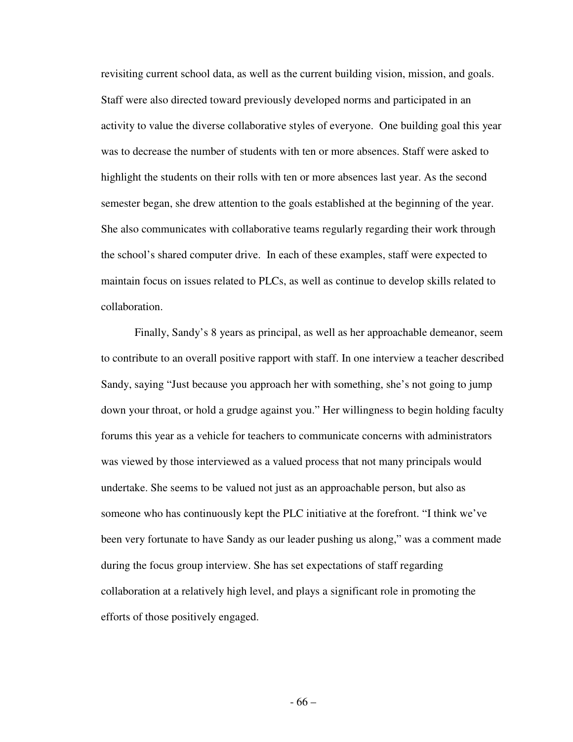revisiting current school data, as well as the current building vision, mission, and goals. Staff were also directed toward previously developed norms and participated in an activity to value the diverse collaborative styles of everyone. One building goal this year was to decrease the number of students with ten or more absences. Staff were asked to highlight the students on their rolls with ten or more absences last year. As the second semester began, she drew attention to the goals established at the beginning of the year. She also communicates with collaborative teams regularly regarding their work through the school's shared computer drive. In each of these examples, staff were expected to maintain focus on issues related to PLCs, as well as continue to develop skills related to collaboration.

 Finally, Sandy's 8 years as principal, as well as her approachable demeanor, seem to contribute to an overall positive rapport with staff. In one interview a teacher described Sandy, saying "Just because you approach her with something, she's not going to jump down your throat, or hold a grudge against you." Her willingness to begin holding faculty forums this year as a vehicle for teachers to communicate concerns with administrators was viewed by those interviewed as a valued process that not many principals would undertake. She seems to be valued not just as an approachable person, but also as someone who has continuously kept the PLC initiative at the forefront. "I think we've been very fortunate to have Sandy as our leader pushing us along," was a comment made during the focus group interview. She has set expectations of staff regarding collaboration at a relatively high level, and plays a significant role in promoting the efforts of those positively engaged.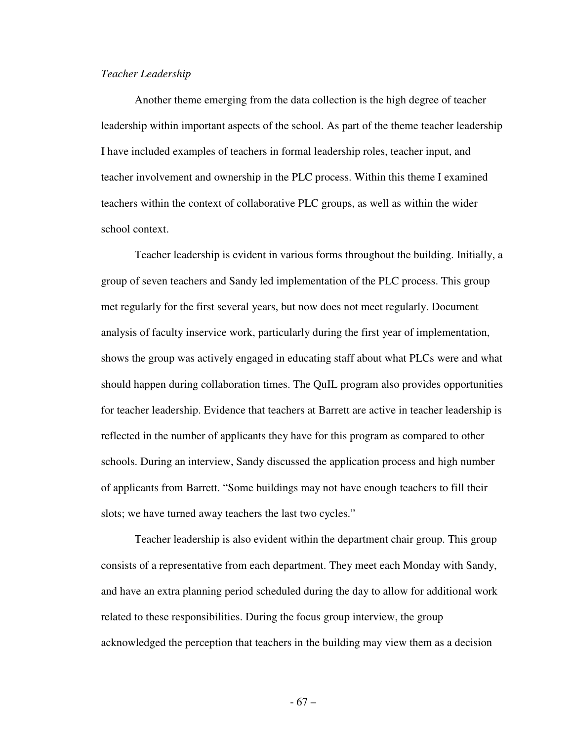## *Teacher Leadership*

 Another theme emerging from the data collection is the high degree of teacher leadership within important aspects of the school. As part of the theme teacher leadership I have included examples of teachers in formal leadership roles, teacher input, and teacher involvement and ownership in the PLC process. Within this theme I examined teachers within the context of collaborative PLC groups, as well as within the wider school context.

 Teacher leadership is evident in various forms throughout the building. Initially, a group of seven teachers and Sandy led implementation of the PLC process. This group met regularly for the first several years, but now does not meet regularly. Document analysis of faculty inservice work, particularly during the first year of implementation, shows the group was actively engaged in educating staff about what PLCs were and what should happen during collaboration times. The QuIL program also provides opportunities for teacher leadership. Evidence that teachers at Barrett are active in teacher leadership is reflected in the number of applicants they have for this program as compared to other schools. During an interview, Sandy discussed the application process and high number of applicants from Barrett. "Some buildings may not have enough teachers to fill their slots; we have turned away teachers the last two cycles."

 Teacher leadership is also evident within the department chair group. This group consists of a representative from each department. They meet each Monday with Sandy, and have an extra planning period scheduled during the day to allow for additional work related to these responsibilities. During the focus group interview, the group acknowledged the perception that teachers in the building may view them as a decision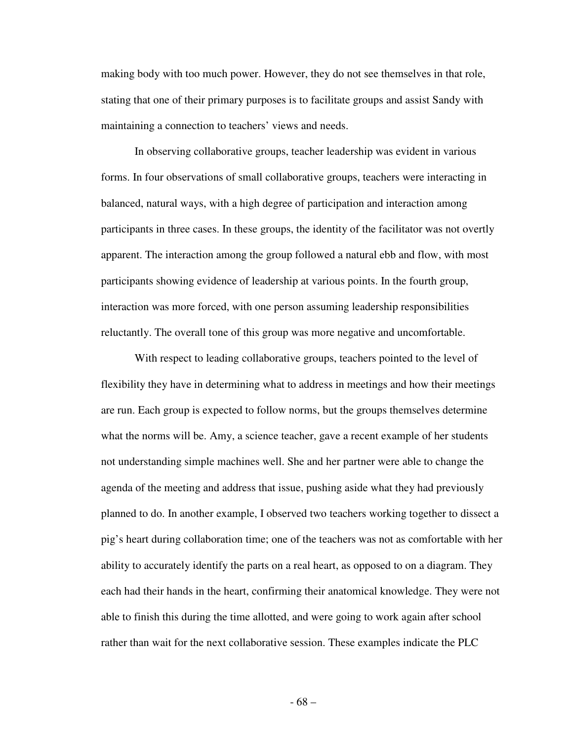making body with too much power. However, they do not see themselves in that role, stating that one of their primary purposes is to facilitate groups and assist Sandy with maintaining a connection to teachers' views and needs.

 In observing collaborative groups, teacher leadership was evident in various forms. In four observations of small collaborative groups, teachers were interacting in balanced, natural ways, with a high degree of participation and interaction among participants in three cases. In these groups, the identity of the facilitator was not overtly apparent. The interaction among the group followed a natural ebb and flow, with most participants showing evidence of leadership at various points. In the fourth group, interaction was more forced, with one person assuming leadership responsibilities reluctantly. The overall tone of this group was more negative and uncomfortable.

 With respect to leading collaborative groups, teachers pointed to the level of flexibility they have in determining what to address in meetings and how their meetings are run. Each group is expected to follow norms, but the groups themselves determine what the norms will be. Amy, a science teacher, gave a recent example of her students not understanding simple machines well. She and her partner were able to change the agenda of the meeting and address that issue, pushing aside what they had previously planned to do. In another example, I observed two teachers working together to dissect a pig's heart during collaboration time; one of the teachers was not as comfortable with her ability to accurately identify the parts on a real heart, as opposed to on a diagram. They each had their hands in the heart, confirming their anatomical knowledge. They were not able to finish this during the time allotted, and were going to work again after school rather than wait for the next collaborative session. These examples indicate the PLC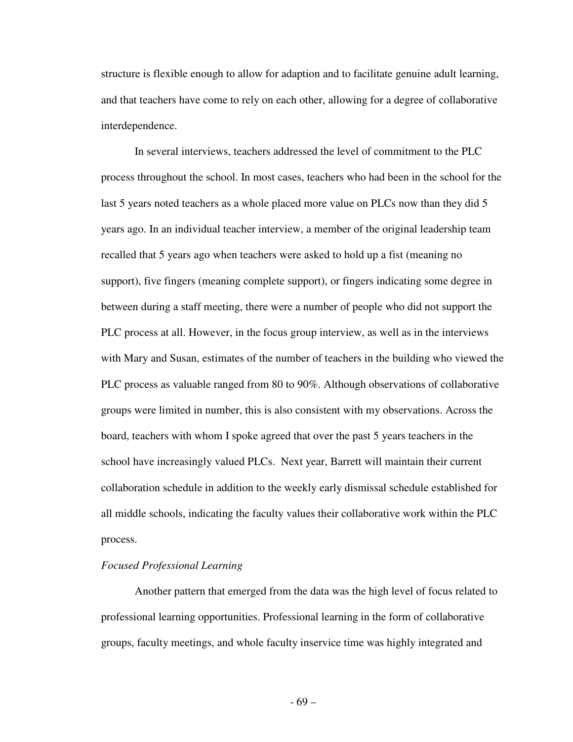structure is flexible enough to allow for adaption and to facilitate genuine adult learning, and that teachers have come to rely on each other, allowing for a degree of collaborative interdependence.

 In several interviews, teachers addressed the level of commitment to the PLC process throughout the school. In most cases, teachers who had been in the school for the last 5 years noted teachers as a whole placed more value on PLCs now than they did 5 years ago. In an individual teacher interview, a member of the original leadership team recalled that 5 years ago when teachers were asked to hold up a fist (meaning no support), five fingers (meaning complete support), or fingers indicating some degree in between during a staff meeting, there were a number of people who did not support the PLC process at all. However, in the focus group interview, as well as in the interviews with Mary and Susan, estimates of the number of teachers in the building who viewed the PLC process as valuable ranged from 80 to 90%. Although observations of collaborative groups were limited in number, this is also consistent with my observations. Across the board, teachers with whom I spoke agreed that over the past 5 years teachers in the school have increasingly valued PLCs. Next year, Barrett will maintain their current collaboration schedule in addition to the weekly early dismissal schedule established for all middle schools, indicating the faculty values their collaborative work within the PLC process.

# *Focused Professional Learning*

 Another pattern that emerged from the data was the high level of focus related to professional learning opportunities. Professional learning in the form of collaborative groups, faculty meetings, and whole faculty inservice time was highly integrated and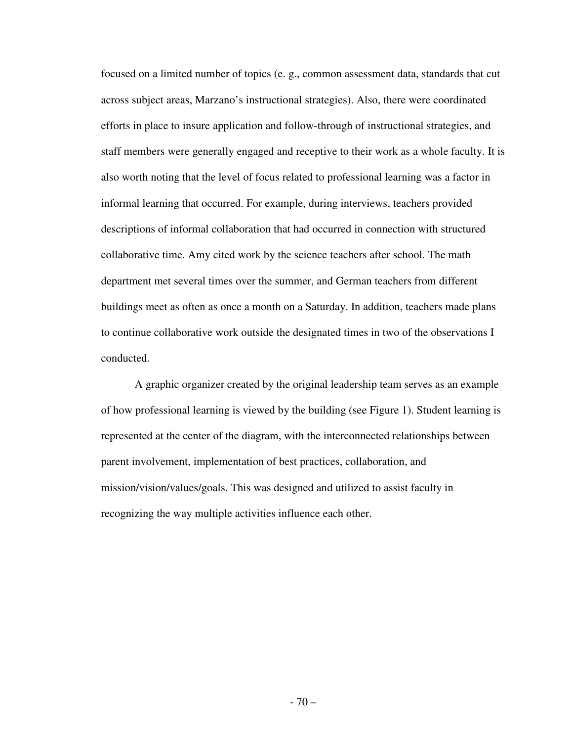focused on a limited number of topics (e. g., common assessment data, standards that cut across subject areas, Marzano's instructional strategies). Also, there were coordinated efforts in place to insure application and follow-through of instructional strategies, and staff members were generally engaged and receptive to their work as a whole faculty. It is also worth noting that the level of focus related to professional learning was a factor in informal learning that occurred. For example, during interviews, teachers provided descriptions of informal collaboration that had occurred in connection with structured collaborative time. Amy cited work by the science teachers after school. The math department met several times over the summer, and German teachers from different buildings meet as often as once a month on a Saturday. In addition, teachers made plans to continue collaborative work outside the designated times in two of the observations I conducted.

 A graphic organizer created by the original leadership team serves as an example of how professional learning is viewed by the building (see Figure 1). Student learning is represented at the center of the diagram, with the interconnected relationships between parent involvement, implementation of best practices, collaboration, and mission/vision/values/goals. This was designed and utilized to assist faculty in recognizing the way multiple activities influence each other.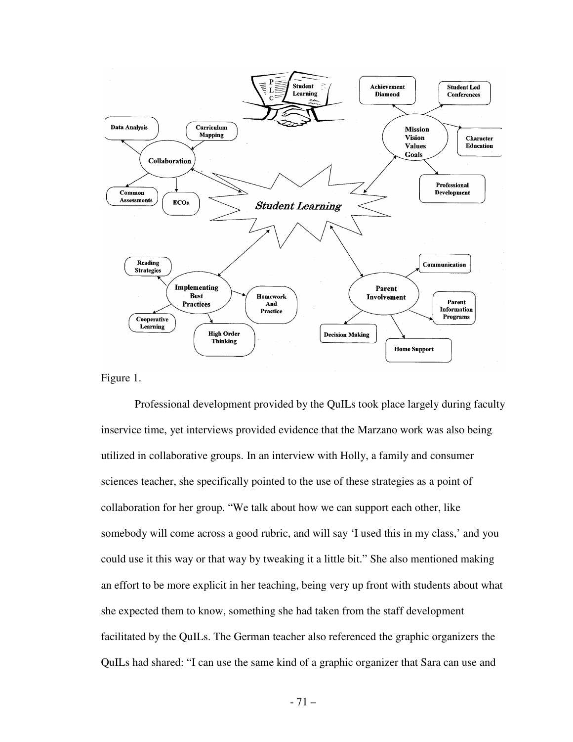

Figure 1.

 Professional development provided by the QuILs took place largely during faculty inservice time, yet interviews provided evidence that the Marzano work was also being utilized in collaborative groups. In an interview with Holly, a family and consumer sciences teacher, she specifically pointed to the use of these strategies as a point of collaboration for her group. "We talk about how we can support each other, like somebody will come across a good rubric, and will say 'I used this in my class,' and you could use it this way or that way by tweaking it a little bit." She also mentioned making an effort to be more explicit in her teaching, being very up front with students about what she expected them to know, something she had taken from the staff development facilitated by the QuILs. The German teacher also referenced the graphic organizers the QuILs had shared: "I can use the same kind of a graphic organizer that Sara can use and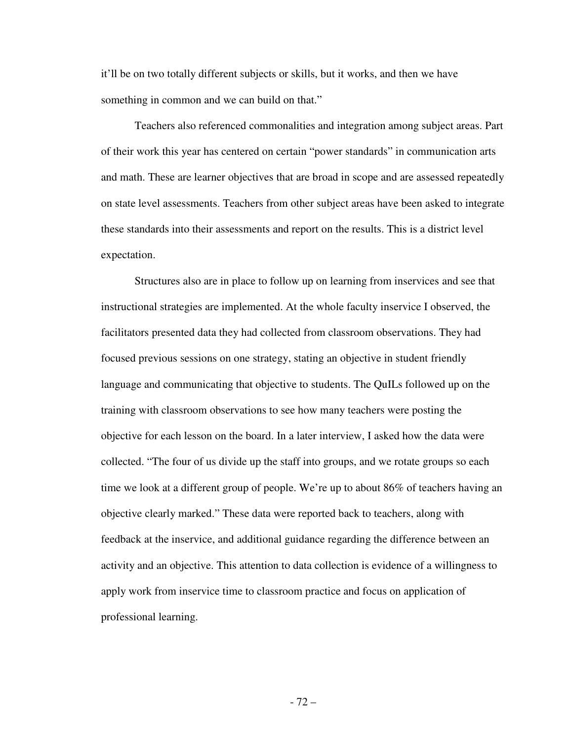it'll be on two totally different subjects or skills, but it works, and then we have something in common and we can build on that."

 Teachers also referenced commonalities and integration among subject areas. Part of their work this year has centered on certain "power standards" in communication arts and math. These are learner objectives that are broad in scope and are assessed repeatedly on state level assessments. Teachers from other subject areas have been asked to integrate these standards into their assessments and report on the results. This is a district level expectation.

 Structures also are in place to follow up on learning from inservices and see that instructional strategies are implemented. At the whole faculty inservice I observed, the facilitators presented data they had collected from classroom observations. They had focused previous sessions on one strategy, stating an objective in student friendly language and communicating that objective to students. The QuILs followed up on the training with classroom observations to see how many teachers were posting the objective for each lesson on the board. In a later interview, I asked how the data were collected. "The four of us divide up the staff into groups, and we rotate groups so each time we look at a different group of people. We're up to about 86% of teachers having an objective clearly marked." These data were reported back to teachers, along with feedback at the inservice, and additional guidance regarding the difference between an activity and an objective. This attention to data collection is evidence of a willingness to apply work from inservice time to classroom practice and focus on application of professional learning.

- 72 –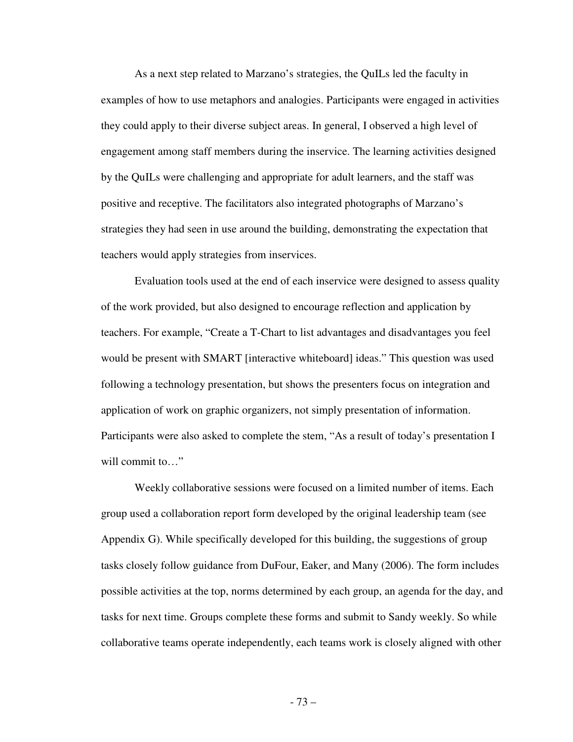As a next step related to Marzano's strategies, the QuILs led the faculty in examples of how to use metaphors and analogies. Participants were engaged in activities they could apply to their diverse subject areas. In general, I observed a high level of engagement among staff members during the inservice. The learning activities designed by the QuILs were challenging and appropriate for adult learners, and the staff was positive and receptive. The facilitators also integrated photographs of Marzano's strategies they had seen in use around the building, demonstrating the expectation that teachers would apply strategies from inservices.

 Evaluation tools used at the end of each inservice were designed to assess quality of the work provided, but also designed to encourage reflection and application by teachers. For example, "Create a T-Chart to list advantages and disadvantages you feel would be present with SMART [interactive whiteboard] ideas." This question was used following a technology presentation, but shows the presenters focus on integration and application of work on graphic organizers, not simply presentation of information. Participants were also asked to complete the stem, "As a result of today's presentation I will commit to..."

 Weekly collaborative sessions were focused on a limited number of items. Each group used a collaboration report form developed by the original leadership team (see Appendix G). While specifically developed for this building, the suggestions of group tasks closely follow guidance from DuFour, Eaker, and Many (2006). The form includes possible activities at the top, norms determined by each group, an agenda for the day, and tasks for next time. Groups complete these forms and submit to Sandy weekly. So while collaborative teams operate independently, each teams work is closely aligned with other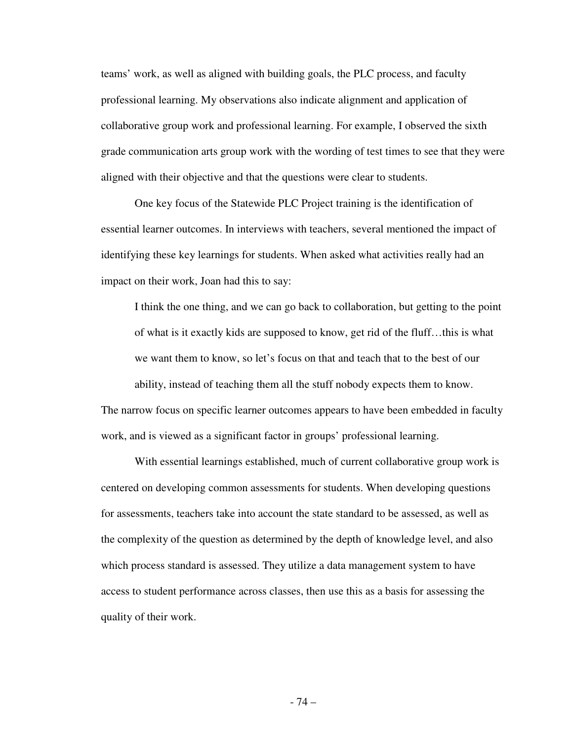teams' work, as well as aligned with building goals, the PLC process, and faculty professional learning. My observations also indicate alignment and application of collaborative group work and professional learning. For example, I observed the sixth grade communication arts group work with the wording of test times to see that they were aligned with their objective and that the questions were clear to students.

 One key focus of the Statewide PLC Project training is the identification of essential learner outcomes. In interviews with teachers, several mentioned the impact of identifying these key learnings for students. When asked what activities really had an impact on their work, Joan had this to say:

 I think the one thing, and we can go back to collaboration, but getting to the point of what is it exactly kids are supposed to know, get rid of the fluff…this is what we want them to know, so let's focus on that and teach that to the best of our ability, instead of teaching them all the stuff nobody expects them to know. The narrow focus on specific learner outcomes appears to have been embedded in faculty work, and is viewed as a significant factor in groups' professional learning.

 With essential learnings established, much of current collaborative group work is centered on developing common assessments for students. When developing questions for assessments, teachers take into account the state standard to be assessed, as well as the complexity of the question as determined by the depth of knowledge level, and also which process standard is assessed. They utilize a data management system to have access to student performance across classes, then use this as a basis for assessing the quality of their work.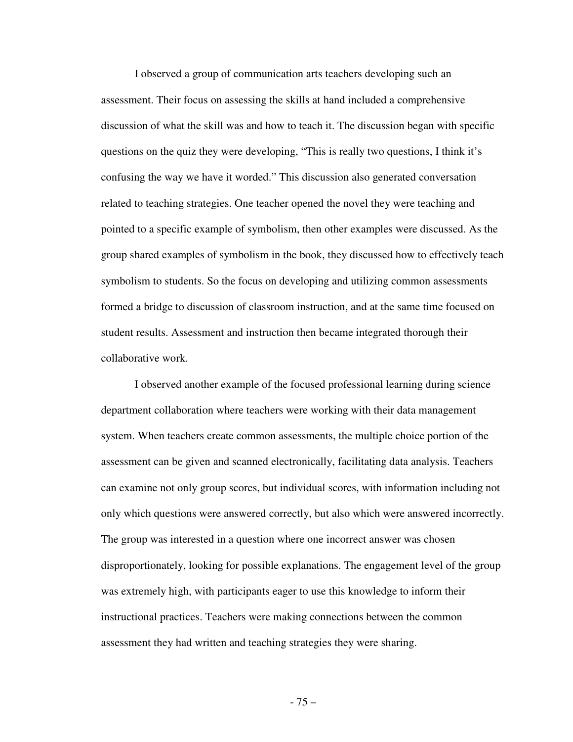I observed a group of communication arts teachers developing such an assessment. Their focus on assessing the skills at hand included a comprehensive discussion of what the skill was and how to teach it. The discussion began with specific questions on the quiz they were developing, "This is really two questions, I think it's confusing the way we have it worded." This discussion also generated conversation related to teaching strategies. One teacher opened the novel they were teaching and pointed to a specific example of symbolism, then other examples were discussed. As the group shared examples of symbolism in the book, they discussed how to effectively teach symbolism to students. So the focus on developing and utilizing common assessments formed a bridge to discussion of classroom instruction, and at the same time focused on student results. Assessment and instruction then became integrated thorough their collaborative work.

 I observed another example of the focused professional learning during science department collaboration where teachers were working with their data management system. When teachers create common assessments, the multiple choice portion of the assessment can be given and scanned electronically, facilitating data analysis. Teachers can examine not only group scores, but individual scores, with information including not only which questions were answered correctly, but also which were answered incorrectly. The group was interested in a question where one incorrect answer was chosen disproportionately, looking for possible explanations. The engagement level of the group was extremely high, with participants eager to use this knowledge to inform their instructional practices. Teachers were making connections between the common assessment they had written and teaching strategies they were sharing.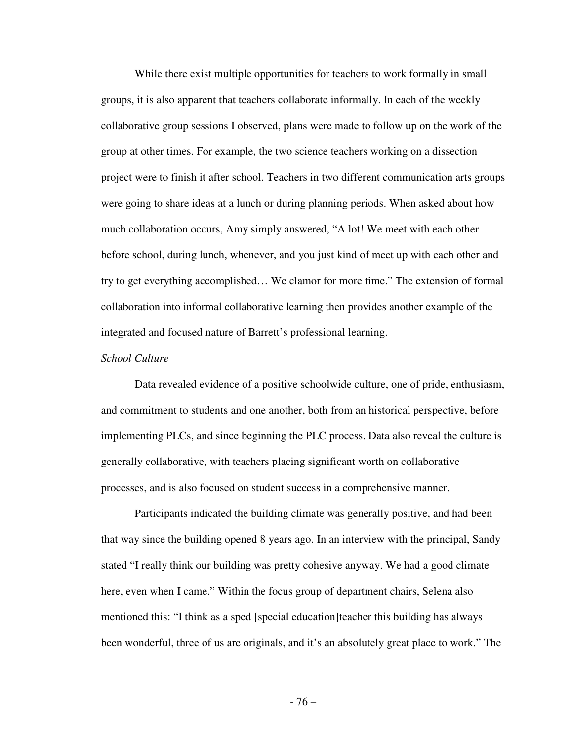While there exist multiple opportunities for teachers to work formally in small groups, it is also apparent that teachers collaborate informally. In each of the weekly collaborative group sessions I observed, plans were made to follow up on the work of the group at other times. For example, the two science teachers working on a dissection project were to finish it after school. Teachers in two different communication arts groups were going to share ideas at a lunch or during planning periods. When asked about how much collaboration occurs, Amy simply answered, "A lot! We meet with each other before school, during lunch, whenever, and you just kind of meet up with each other and try to get everything accomplished… We clamor for more time." The extension of formal collaboration into informal collaborative learning then provides another example of the integrated and focused nature of Barrett's professional learning.

# *School Culture*

Data revealed evidence of a positive schoolwide culture, one of pride, enthusiasm, and commitment to students and one another, both from an historical perspective, before implementing PLCs, and since beginning the PLC process. Data also reveal the culture is generally collaborative, with teachers placing significant worth on collaborative processes, and is also focused on student success in a comprehensive manner.

 Participants indicated the building climate was generally positive, and had been that way since the building opened 8 years ago. In an interview with the principal, Sandy stated "I really think our building was pretty cohesive anyway. We had a good climate here, even when I came." Within the focus group of department chairs, Selena also mentioned this: "I think as a sped [special education]teacher this building has always been wonderful, three of us are originals, and it's an absolutely great place to work." The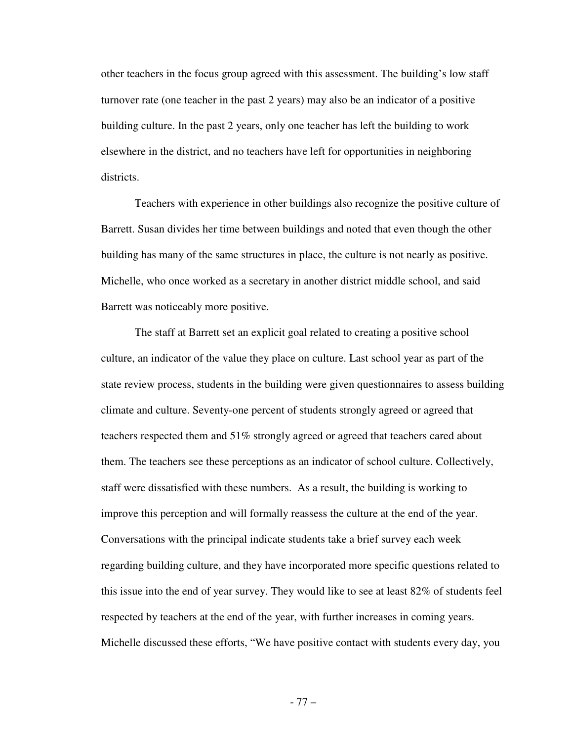other teachers in the focus group agreed with this assessment. The building's low staff turnover rate (one teacher in the past 2 years) may also be an indicator of a positive building culture. In the past 2 years, only one teacher has left the building to work elsewhere in the district, and no teachers have left for opportunities in neighboring districts.

 Teachers with experience in other buildings also recognize the positive culture of Barrett. Susan divides her time between buildings and noted that even though the other building has many of the same structures in place, the culture is not nearly as positive. Michelle, who once worked as a secretary in another district middle school, and said Barrett was noticeably more positive.

 The staff at Barrett set an explicit goal related to creating a positive school culture, an indicator of the value they place on culture. Last school year as part of the state review process, students in the building were given questionnaires to assess building climate and culture. Seventy-one percent of students strongly agreed or agreed that teachers respected them and 51% strongly agreed or agreed that teachers cared about them. The teachers see these perceptions as an indicator of school culture. Collectively, staff were dissatisfied with these numbers. As a result, the building is working to improve this perception and will formally reassess the culture at the end of the year. Conversations with the principal indicate students take a brief survey each week regarding building culture, and they have incorporated more specific questions related to this issue into the end of year survey. They would like to see at least 82% of students feel respected by teachers at the end of the year, with further increases in coming years. Michelle discussed these efforts, "We have positive contact with students every day, you

- 77 –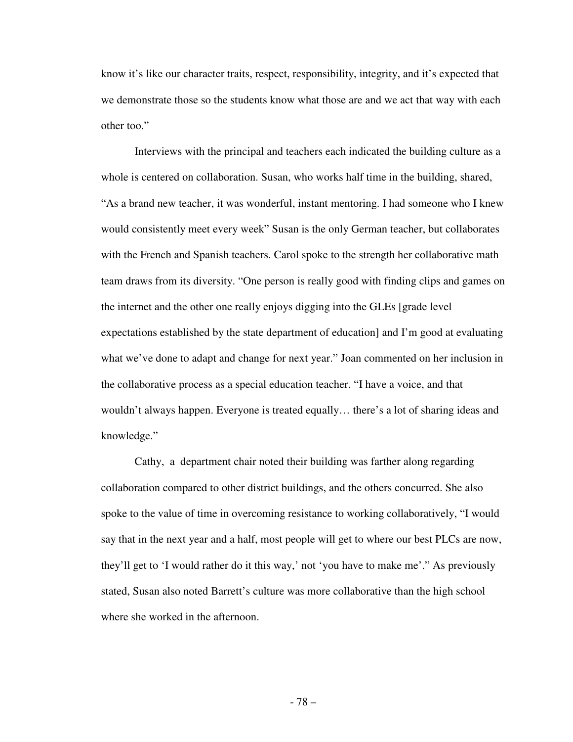know it's like our character traits, respect, responsibility, integrity, and it's expected that we demonstrate those so the students know what those are and we act that way with each other too."

 Interviews with the principal and teachers each indicated the building culture as a whole is centered on collaboration. Susan, who works half time in the building, shared, "As a brand new teacher, it was wonderful, instant mentoring. I had someone who I knew would consistently meet every week" Susan is the only German teacher, but collaborates with the French and Spanish teachers. Carol spoke to the strength her collaborative math team draws from its diversity. "One person is really good with finding clips and games on the internet and the other one really enjoys digging into the GLEs [grade level expectations established by the state department of education] and I'm good at evaluating what we've done to adapt and change for next year." Joan commented on her inclusion in the collaborative process as a special education teacher. "I have a voice, and that wouldn't always happen. Everyone is treated equally… there's a lot of sharing ideas and knowledge."

 Cathy, a department chair noted their building was farther along regarding collaboration compared to other district buildings, and the others concurred. She also spoke to the value of time in overcoming resistance to working collaboratively, "I would say that in the next year and a half, most people will get to where our best PLCs are now, they'll get to 'I would rather do it this way,' not 'you have to make me'." As previously stated, Susan also noted Barrett's culture was more collaborative than the high school where she worked in the afternoon.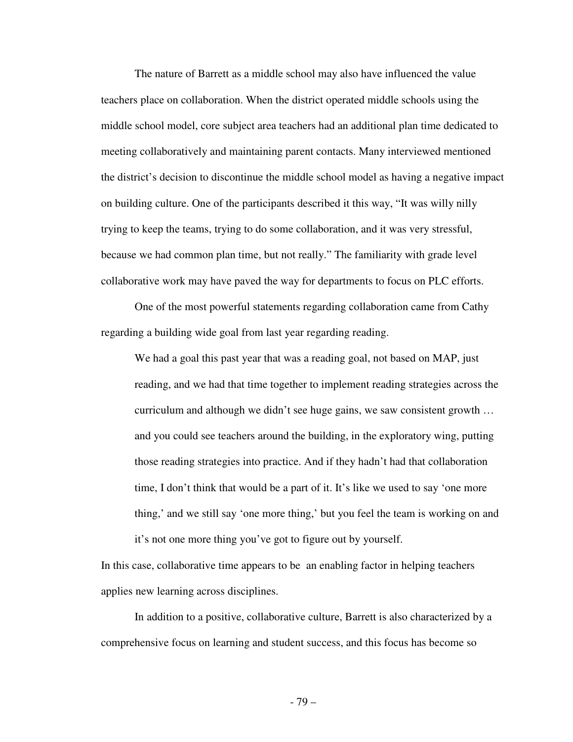The nature of Barrett as a middle school may also have influenced the value teachers place on collaboration. When the district operated middle schools using the middle school model, core subject area teachers had an additional plan time dedicated to meeting collaboratively and maintaining parent contacts. Many interviewed mentioned the district's decision to discontinue the middle school model as having a negative impact on building culture. One of the participants described it this way, "It was willy nilly trying to keep the teams, trying to do some collaboration, and it was very stressful, because we had common plan time, but not really." The familiarity with grade level collaborative work may have paved the way for departments to focus on PLC efforts.

 One of the most powerful statements regarding collaboration came from Cathy regarding a building wide goal from last year regarding reading.

We had a goal this past year that was a reading goal, not based on MAP, just reading, and we had that time together to implement reading strategies across the curriculum and although we didn't see huge gains, we saw consistent growth … and you could see teachers around the building, in the exploratory wing, putting those reading strategies into practice. And if they hadn't had that collaboration time, I don't think that would be a part of it. It's like we used to say 'one more thing,' and we still say 'one more thing,' but you feel the team is working on and it's not one more thing you've got to figure out by yourself.

In this case, collaborative time appears to be an enabling factor in helping teachers applies new learning across disciplines.

 In addition to a positive, collaborative culture, Barrett is also characterized by a comprehensive focus on learning and student success, and this focus has become so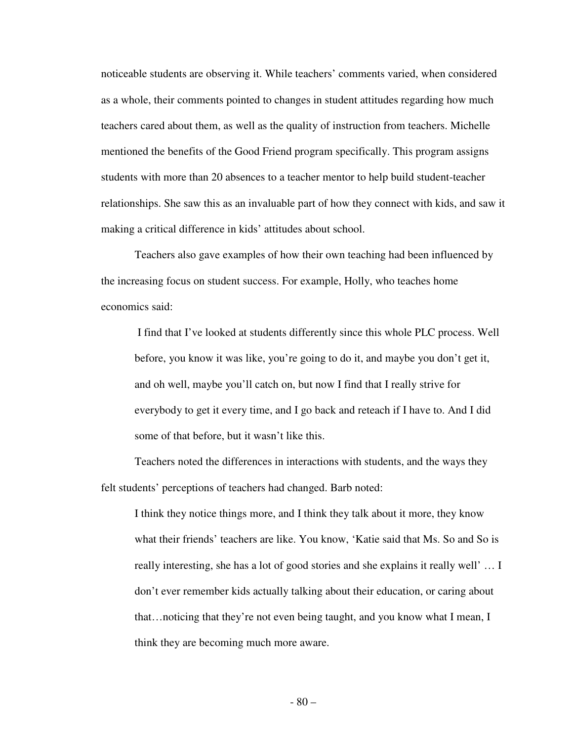noticeable students are observing it. While teachers' comments varied, when considered as a whole, their comments pointed to changes in student attitudes regarding how much teachers cared about them, as well as the quality of instruction from teachers. Michelle mentioned the benefits of the Good Friend program specifically. This program assigns students with more than 20 absences to a teacher mentor to help build student-teacher relationships. She saw this as an invaluable part of how they connect with kids, and saw it making a critical difference in kids' attitudes about school.

 Teachers also gave examples of how their own teaching had been influenced by the increasing focus on student success. For example, Holly, who teaches home economics said:

 I find that I've looked at students differently since this whole PLC process. Well before, you know it was like, you're going to do it, and maybe you don't get it, and oh well, maybe you'll catch on, but now I find that I really strive for everybody to get it every time, and I go back and reteach if I have to. And I did some of that before, but it wasn't like this.

 Teachers noted the differences in interactions with students, and the ways they felt students' perceptions of teachers had changed. Barb noted:

I think they notice things more, and I think they talk about it more, they know what their friends' teachers are like. You know, 'Katie said that Ms. So and So is really interesting, she has a lot of good stories and she explains it really well' … I don't ever remember kids actually talking about their education, or caring about that…noticing that they're not even being taught, and you know what I mean, I think they are becoming much more aware.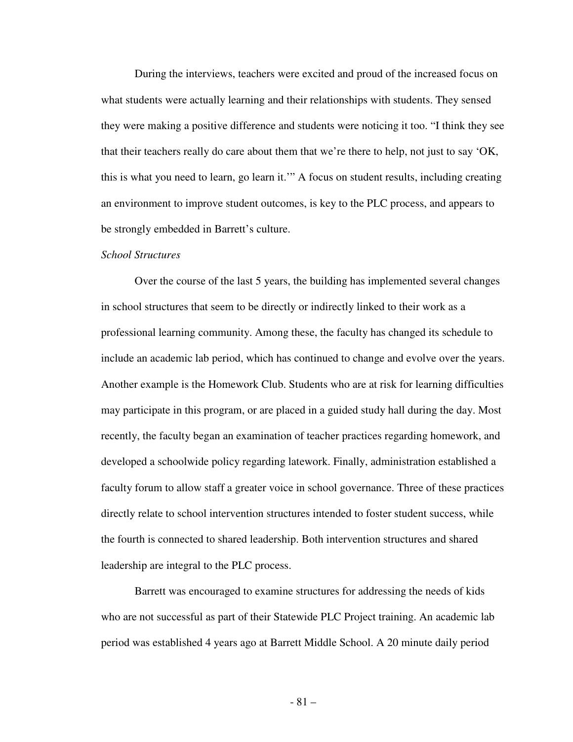During the interviews, teachers were excited and proud of the increased focus on what students were actually learning and their relationships with students. They sensed they were making a positive difference and students were noticing it too. "I think they see that their teachers really do care about them that we're there to help, not just to say 'OK, this is what you need to learn, go learn it.'" A focus on student results, including creating an environment to improve student outcomes, is key to the PLC process, and appears to be strongly embedded in Barrett's culture.

#### *School Structures*

 Over the course of the last 5 years, the building has implemented several changes in school structures that seem to be directly or indirectly linked to their work as a professional learning community. Among these, the faculty has changed its schedule to include an academic lab period, which has continued to change and evolve over the years. Another example is the Homework Club. Students who are at risk for learning difficulties may participate in this program, or are placed in a guided study hall during the day. Most recently, the faculty began an examination of teacher practices regarding homework, and developed a schoolwide policy regarding latework. Finally, administration established a faculty forum to allow staff a greater voice in school governance. Three of these practices directly relate to school intervention structures intended to foster student success, while the fourth is connected to shared leadership. Both intervention structures and shared leadership are integral to the PLC process.

 Barrett was encouraged to examine structures for addressing the needs of kids who are not successful as part of their Statewide PLC Project training. An academic lab period was established 4 years ago at Barrett Middle School. A 20 minute daily period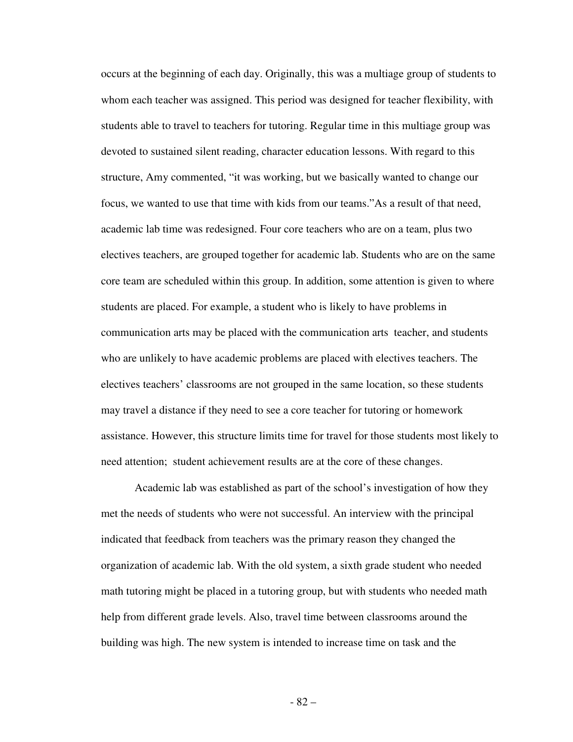occurs at the beginning of each day. Originally, this was a multiage group of students to whom each teacher was assigned. This period was designed for teacher flexibility, with students able to travel to teachers for tutoring. Regular time in this multiage group was devoted to sustained silent reading, character education lessons. With regard to this structure, Amy commented, "it was working, but we basically wanted to change our focus, we wanted to use that time with kids from our teams."As a result of that need, academic lab time was redesigned. Four core teachers who are on a team, plus two electives teachers, are grouped together for academic lab. Students who are on the same core team are scheduled within this group. In addition, some attention is given to where students are placed. For example, a student who is likely to have problems in communication arts may be placed with the communication arts teacher, and students who are unlikely to have academic problems are placed with electives teachers. The electives teachers' classrooms are not grouped in the same location, so these students may travel a distance if they need to see a core teacher for tutoring or homework assistance. However, this structure limits time for travel for those students most likely to need attention; student achievement results are at the core of these changes.

 Academic lab was established as part of the school's investigation of how they met the needs of students who were not successful. An interview with the principal indicated that feedback from teachers was the primary reason they changed the organization of academic lab. With the old system, a sixth grade student who needed math tutoring might be placed in a tutoring group, but with students who needed math help from different grade levels. Also, travel time between classrooms around the building was high. The new system is intended to increase time on task and the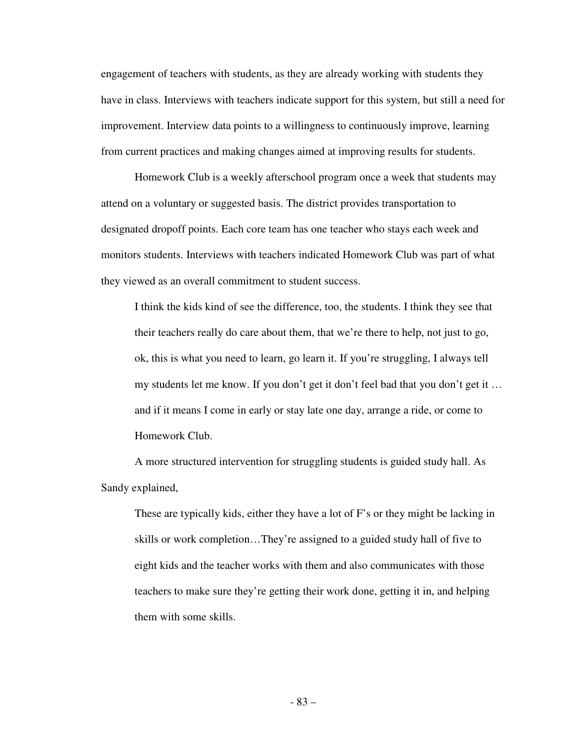engagement of teachers with students, as they are already working with students they have in class. Interviews with teachers indicate support for this system, but still a need for improvement. Interview data points to a willingness to continuously improve, learning from current practices and making changes aimed at improving results for students.

 Homework Club is a weekly afterschool program once a week that students may attend on a voluntary or suggested basis. The district provides transportation to designated dropoff points. Each core team has one teacher who stays each week and monitors students. Interviews with teachers indicated Homework Club was part of what they viewed as an overall commitment to student success.

I think the kids kind of see the difference, too, the students. I think they see that their teachers really do care about them, that we're there to help, not just to go, ok, this is what you need to learn, go learn it. If you're struggling, I always tell my students let me know. If you don't get it don't feel bad that you don't get it … and if it means I come in early or stay late one day, arrange a ride, or come to Homework Club.

 A more structured intervention for struggling students is guided study hall. As Sandy explained,

 These are typically kids, either they have a lot of F's or they might be lacking in skills or work completion…They're assigned to a guided study hall of five to eight kids and the teacher works with them and also communicates with those teachers to make sure they're getting their work done, getting it in, and helping them with some skills.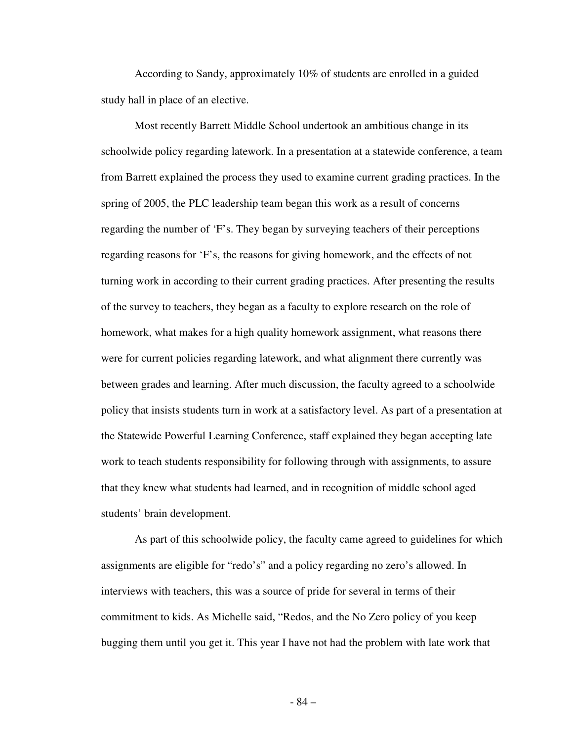According to Sandy, approximately 10% of students are enrolled in a guided study hall in place of an elective.

 Most recently Barrett Middle School undertook an ambitious change in its schoolwide policy regarding latework. In a presentation at a statewide conference, a team from Barrett explained the process they used to examine current grading practices. In the spring of 2005, the PLC leadership team began this work as a result of concerns regarding the number of 'F's. They began by surveying teachers of their perceptions regarding reasons for 'F's, the reasons for giving homework, and the effects of not turning work in according to their current grading practices. After presenting the results of the survey to teachers, they began as a faculty to explore research on the role of homework, what makes for a high quality homework assignment, what reasons there were for current policies regarding latework, and what alignment there currently was between grades and learning. After much discussion, the faculty agreed to a schoolwide policy that insists students turn in work at a satisfactory level. As part of a presentation at the Statewide Powerful Learning Conference, staff explained they began accepting late work to teach students responsibility for following through with assignments, to assure that they knew what students had learned, and in recognition of middle school aged students' brain development.

 As part of this schoolwide policy, the faculty came agreed to guidelines for which assignments are eligible for "redo's" and a policy regarding no zero's allowed. In interviews with teachers, this was a source of pride for several in terms of their commitment to kids. As Michelle said, "Redos, and the No Zero policy of you keep bugging them until you get it. This year I have not had the problem with late work that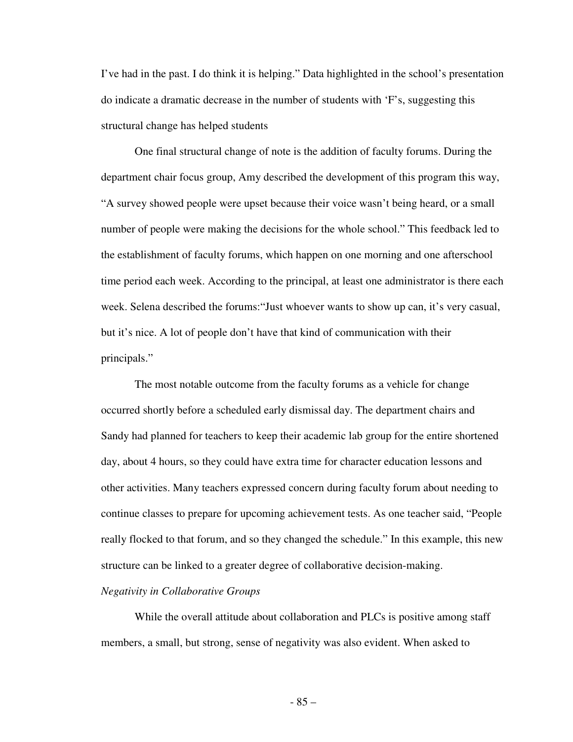I've had in the past. I do think it is helping." Data highlighted in the school's presentation do indicate a dramatic decrease in the number of students with 'F's, suggesting this structural change has helped students

 One final structural change of note is the addition of faculty forums. During the department chair focus group, Amy described the development of this program this way, "A survey showed people were upset because their voice wasn't being heard, or a small number of people were making the decisions for the whole school." This feedback led to the establishment of faculty forums, which happen on one morning and one afterschool time period each week. According to the principal, at least one administrator is there each week. Selena described the forums:"Just whoever wants to show up can, it's very casual, but it's nice. A lot of people don't have that kind of communication with their principals."

 The most notable outcome from the faculty forums as a vehicle for change occurred shortly before a scheduled early dismissal day. The department chairs and Sandy had planned for teachers to keep their academic lab group for the entire shortened day, about 4 hours, so they could have extra time for character education lessons and other activities. Many teachers expressed concern during faculty forum about needing to continue classes to prepare for upcoming achievement tests. As one teacher said, "People really flocked to that forum, and so they changed the schedule." In this example, this new structure can be linked to a greater degree of collaborative decision-making.

# *Negativity in Collaborative Groups*

While the overall attitude about collaboration and PLCs is positive among staff members, a small, but strong, sense of negativity was also evident. When asked to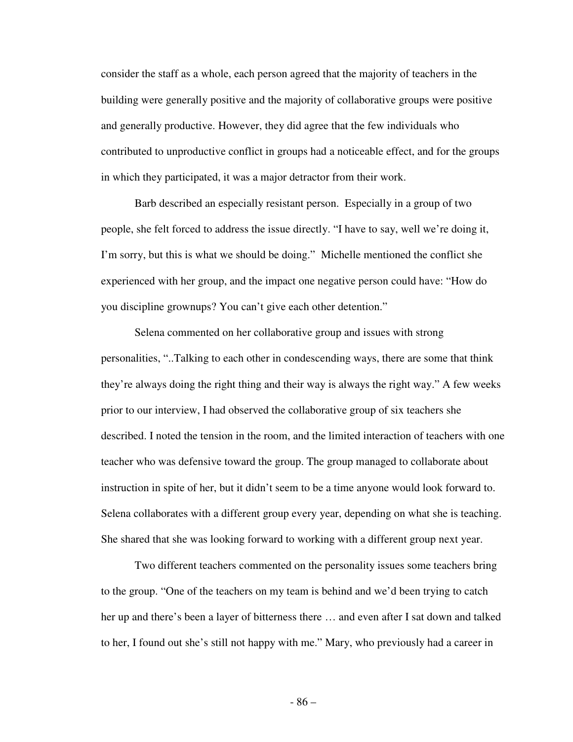consider the staff as a whole, each person agreed that the majority of teachers in the building were generally positive and the majority of collaborative groups were positive and generally productive. However, they did agree that the few individuals who contributed to unproductive conflict in groups had a noticeable effect, and for the groups in which they participated, it was a major detractor from their work.

 Barb described an especially resistant person. Especially in a group of two people, she felt forced to address the issue directly. "I have to say, well we're doing it, I'm sorry, but this is what we should be doing." Michelle mentioned the conflict she experienced with her group, and the impact one negative person could have: "How do you discipline grownups? You can't give each other detention."

 Selena commented on her collaborative group and issues with strong personalities, "..Talking to each other in condescending ways, there are some that think they're always doing the right thing and their way is always the right way." A few weeks prior to our interview, I had observed the collaborative group of six teachers she described. I noted the tension in the room, and the limited interaction of teachers with one teacher who was defensive toward the group. The group managed to collaborate about instruction in spite of her, but it didn't seem to be a time anyone would look forward to. Selena collaborates with a different group every year, depending on what she is teaching. She shared that she was looking forward to working with a different group next year.

 Two different teachers commented on the personality issues some teachers bring to the group. "One of the teachers on my team is behind and we'd been trying to catch her up and there's been a layer of bitterness there … and even after I sat down and talked to her, I found out she's still not happy with me." Mary, who previously had a career in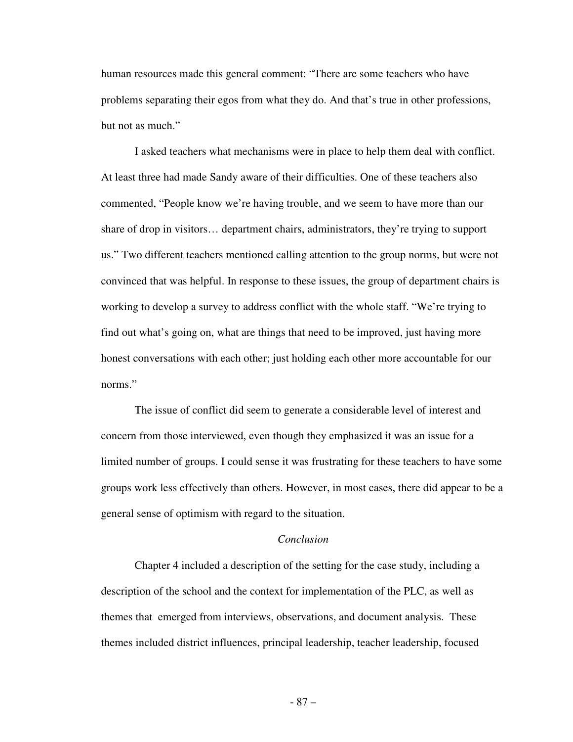human resources made this general comment: "There are some teachers who have problems separating their egos from what they do. And that's true in other professions, but not as much."

 I asked teachers what mechanisms were in place to help them deal with conflict. At least three had made Sandy aware of their difficulties. One of these teachers also commented, "People know we're having trouble, and we seem to have more than our share of drop in visitors… department chairs, administrators, they're trying to support us." Two different teachers mentioned calling attention to the group norms, but were not convinced that was helpful. In response to these issues, the group of department chairs is working to develop a survey to address conflict with the whole staff. "We're trying to find out what's going on, what are things that need to be improved, just having more honest conversations with each other; just holding each other more accountable for our norms"

 The issue of conflict did seem to generate a considerable level of interest and concern from those interviewed, even though they emphasized it was an issue for a limited number of groups. I could sense it was frustrating for these teachers to have some groups work less effectively than others. However, in most cases, there did appear to be a general sense of optimism with regard to the situation.

## *Conclusion*

 Chapter 4 included a description of the setting for the case study, including a description of the school and the context for implementation of the PLC, as well as themes that emerged from interviews, observations, and document analysis. These themes included district influences, principal leadership, teacher leadership, focused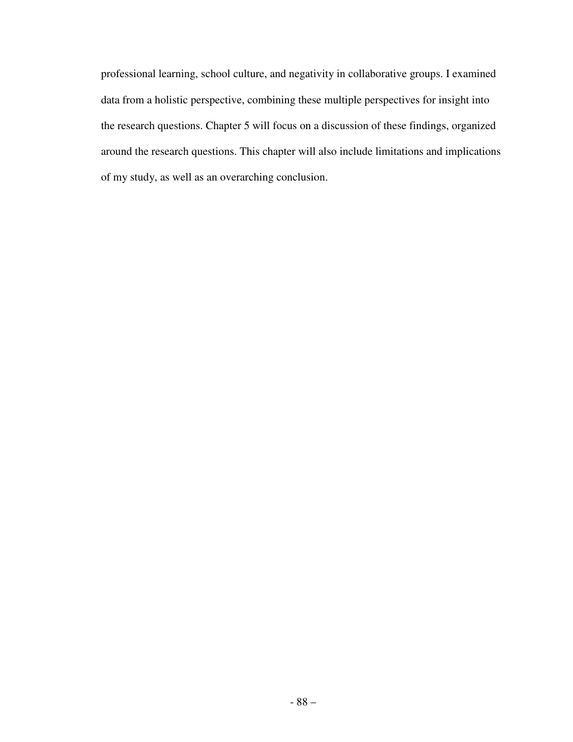professional learning, school culture, and negativity in collaborative groups. I examined data from a holistic perspective, combining these multiple perspectives for insight into the research questions. Chapter 5 will focus on a discussion of these findings, organized around the research questions. This chapter will also include limitations and implications of my study, as well as an overarching conclusion.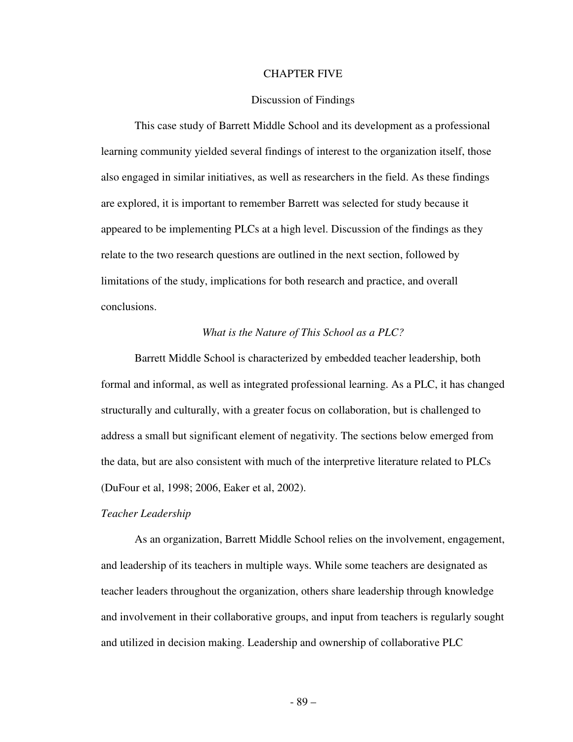### CHAPTER FIVE

## Discussion of Findings

 This case study of Barrett Middle School and its development as a professional learning community yielded several findings of interest to the organization itself, those also engaged in similar initiatives, as well as researchers in the field. As these findings are explored, it is important to remember Barrett was selected for study because it appeared to be implementing PLCs at a high level. Discussion of the findings as they relate to the two research questions are outlined in the next section, followed by limitations of the study, implications for both research and practice, and overall conclusions.

# *What is the Nature of This School as a PLC?*

Barrett Middle School is characterized by embedded teacher leadership, both formal and informal, as well as integrated professional learning. As a PLC, it has changed structurally and culturally, with a greater focus on collaboration, but is challenged to address a small but significant element of negativity. The sections below emerged from the data, but are also consistent with much of the interpretive literature related to PLCs (DuFour et al, 1998; 2006, Eaker et al, 2002).

#### *Teacher Leadership*

 As an organization, Barrett Middle School relies on the involvement, engagement, and leadership of its teachers in multiple ways. While some teachers are designated as teacher leaders throughout the organization, others share leadership through knowledge and involvement in their collaborative groups, and input from teachers is regularly sought and utilized in decision making. Leadership and ownership of collaborative PLC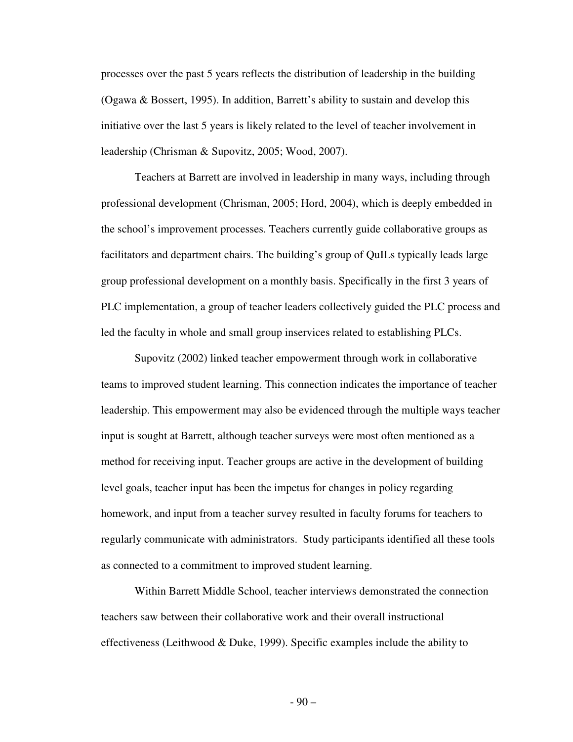processes over the past 5 years reflects the distribution of leadership in the building (Ogawa & Bossert, 1995). In addition, Barrett's ability to sustain and develop this initiative over the last 5 years is likely related to the level of teacher involvement in leadership (Chrisman & Supovitz, 2005; Wood, 2007).

 Teachers at Barrett are involved in leadership in many ways, including through professional development (Chrisman, 2005; Hord, 2004), which is deeply embedded in the school's improvement processes. Teachers currently guide collaborative groups as facilitators and department chairs. The building's group of QuILs typically leads large group professional development on a monthly basis. Specifically in the first 3 years of PLC implementation, a group of teacher leaders collectively guided the PLC process and led the faculty in whole and small group inservices related to establishing PLCs.

 Supovitz (2002) linked teacher empowerment through work in collaborative teams to improved student learning. This connection indicates the importance of teacher leadership. This empowerment may also be evidenced through the multiple ways teacher input is sought at Barrett, although teacher surveys were most often mentioned as a method for receiving input. Teacher groups are active in the development of building level goals, teacher input has been the impetus for changes in policy regarding homework, and input from a teacher survey resulted in faculty forums for teachers to regularly communicate with administrators. Study participants identified all these tools as connected to a commitment to improved student learning.

 Within Barrett Middle School, teacher interviews demonstrated the connection teachers saw between their collaborative work and their overall instructional effectiveness (Leithwood & Duke, 1999). Specific examples include the ability to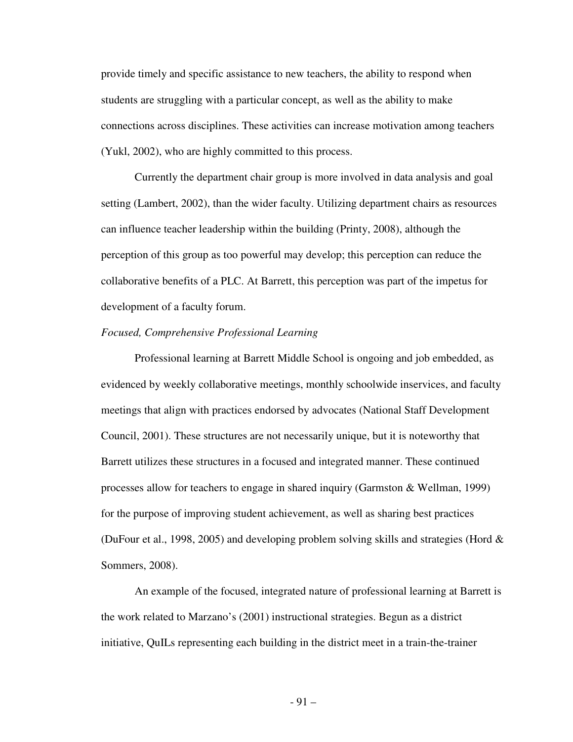provide timely and specific assistance to new teachers, the ability to respond when students are struggling with a particular concept, as well as the ability to make connections across disciplines. These activities can increase motivation among teachers (Yukl, 2002), who are highly committed to this process.

 Currently the department chair group is more involved in data analysis and goal setting (Lambert, 2002), than the wider faculty. Utilizing department chairs as resources can influence teacher leadership within the building (Printy, 2008), although the perception of this group as too powerful may develop; this perception can reduce the collaborative benefits of a PLC. At Barrett, this perception was part of the impetus for development of a faculty forum.

### *Focused, Comprehensive Professional Learning*

 Professional learning at Barrett Middle School is ongoing and job embedded, as evidenced by weekly collaborative meetings, monthly schoolwide inservices, and faculty meetings that align with practices endorsed by advocates (National Staff Development Council, 2001). These structures are not necessarily unique, but it is noteworthy that Barrett utilizes these structures in a focused and integrated manner. These continued processes allow for teachers to engage in shared inquiry (Garmston & Wellman, 1999) for the purpose of improving student achievement, as well as sharing best practices (DuFour et al., 1998, 2005) and developing problem solving skills and strategies (Hord & Sommers, 2008).

 An example of the focused, integrated nature of professional learning at Barrett is the work related to Marzano's (2001) instructional strategies. Begun as a district initiative, QuILs representing each building in the district meet in a train-the-trainer

- 91 –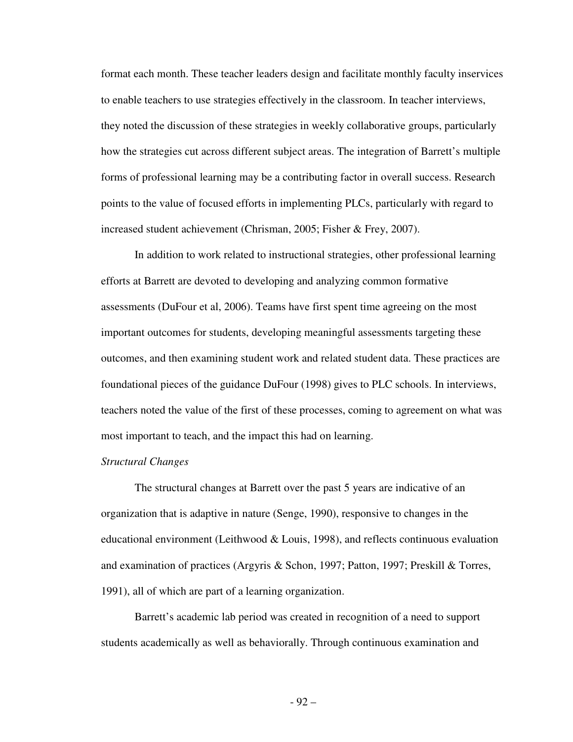format each month. These teacher leaders design and facilitate monthly faculty inservices to enable teachers to use strategies effectively in the classroom. In teacher interviews, they noted the discussion of these strategies in weekly collaborative groups, particularly how the strategies cut across different subject areas. The integration of Barrett's multiple forms of professional learning may be a contributing factor in overall success. Research points to the value of focused efforts in implementing PLCs, particularly with regard to increased student achievement (Chrisman, 2005; Fisher & Frey, 2007).

 In addition to work related to instructional strategies, other professional learning efforts at Barrett are devoted to developing and analyzing common formative assessments (DuFour et al, 2006). Teams have first spent time agreeing on the most important outcomes for students, developing meaningful assessments targeting these outcomes, and then examining student work and related student data. These practices are foundational pieces of the guidance DuFour (1998) gives to PLC schools. In interviews, teachers noted the value of the first of these processes, coming to agreement on what was most important to teach, and the impact this had on learning.

# *Structural Changes*

 The structural changes at Barrett over the past 5 years are indicative of an organization that is adaptive in nature (Senge, 1990), responsive to changes in the educational environment (Leithwood  $& Louis, 1998$ ), and reflects continuous evaluation and examination of practices (Argyris & Schon, 1997; Patton, 1997; Preskill & Torres, 1991), all of which are part of a learning organization.

 Barrett's academic lab period was created in recognition of a need to support students academically as well as behaviorally. Through continuous examination and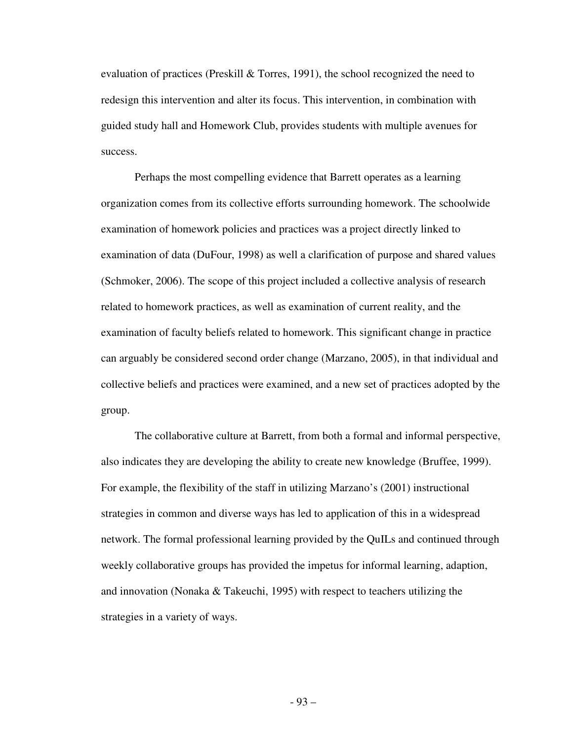evaluation of practices (Preskill & Torres, 1991), the school recognized the need to redesign this intervention and alter its focus. This intervention, in combination with guided study hall and Homework Club, provides students with multiple avenues for success.

 Perhaps the most compelling evidence that Barrett operates as a learning organization comes from its collective efforts surrounding homework. The schoolwide examination of homework policies and practices was a project directly linked to examination of data (DuFour, 1998) as well a clarification of purpose and shared values (Schmoker, 2006). The scope of this project included a collective analysis of research related to homework practices, as well as examination of current reality, and the examination of faculty beliefs related to homework. This significant change in practice can arguably be considered second order change (Marzano, 2005), in that individual and collective beliefs and practices were examined, and a new set of practices adopted by the group.

 The collaborative culture at Barrett, from both a formal and informal perspective, also indicates they are developing the ability to create new knowledge (Bruffee, 1999). For example, the flexibility of the staff in utilizing Marzano's (2001) instructional strategies in common and diverse ways has led to application of this in a widespread network. The formal professional learning provided by the QuILs and continued through weekly collaborative groups has provided the impetus for informal learning, adaption, and innovation (Nonaka & Takeuchi, 1995) with respect to teachers utilizing the strategies in a variety of ways.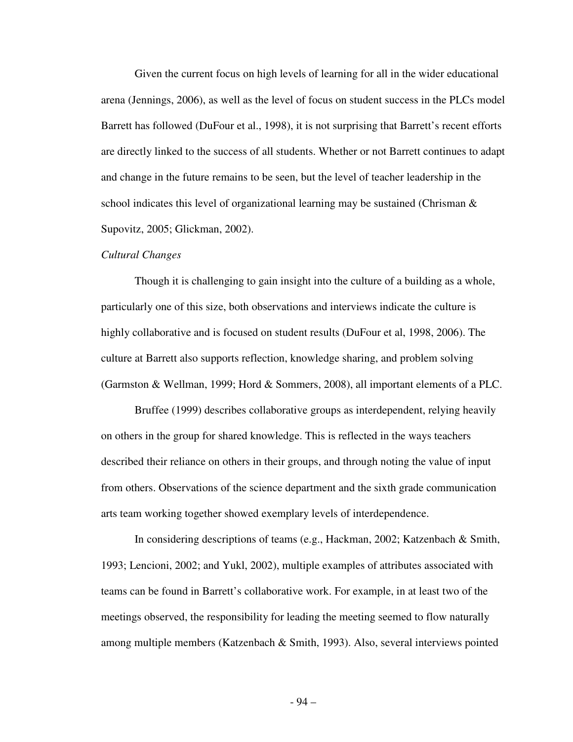Given the current focus on high levels of learning for all in the wider educational arena (Jennings, 2006), as well as the level of focus on student success in the PLCs model Barrett has followed (DuFour et al., 1998), it is not surprising that Barrett's recent efforts are directly linked to the success of all students. Whether or not Barrett continues to adapt and change in the future remains to be seen, but the level of teacher leadership in the school indicates this level of organizational learning may be sustained (Chrisman  $\&$ Supovitz, 2005; Glickman, 2002).

### *Cultural Changes*

 Though it is challenging to gain insight into the culture of a building as a whole, particularly one of this size, both observations and interviews indicate the culture is highly collaborative and is focused on student results (DuFour et al, 1998, 2006). The culture at Barrett also supports reflection, knowledge sharing, and problem solving (Garmston & Wellman, 1999; Hord & Sommers, 2008), all important elements of a PLC.

 Bruffee (1999) describes collaborative groups as interdependent, relying heavily on others in the group for shared knowledge. This is reflected in the ways teachers described their reliance on others in their groups, and through noting the value of input from others. Observations of the science department and the sixth grade communication arts team working together showed exemplary levels of interdependence.

 In considering descriptions of teams (e.g., Hackman, 2002; Katzenbach & Smith, 1993; Lencioni, 2002; and Yukl, 2002), multiple examples of attributes associated with teams can be found in Barrett's collaborative work. For example, in at least two of the meetings observed, the responsibility for leading the meeting seemed to flow naturally among multiple members (Katzenbach & Smith, 1993). Also, several interviews pointed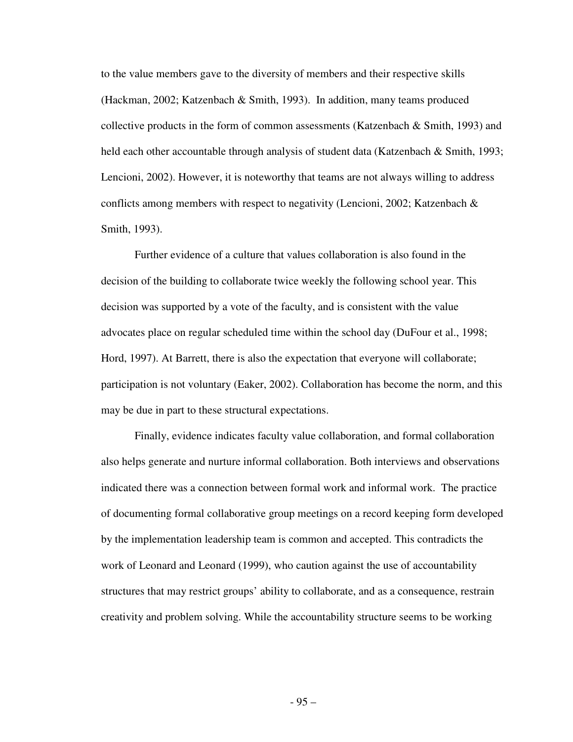to the value members gave to the diversity of members and their respective skills (Hackman, 2002; Katzenbach & Smith, 1993). In addition, many teams produced collective products in the form of common assessments (Katzenbach & Smith, 1993) and held each other accountable through analysis of student data (Katzenbach & Smith, 1993; Lencioni, 2002). However, it is noteworthy that teams are not always willing to address conflicts among members with respect to negativity (Lencioni, 2002; Katzenbach  $\&$ Smith, 1993).

 Further evidence of a culture that values collaboration is also found in the decision of the building to collaborate twice weekly the following school year. This decision was supported by a vote of the faculty, and is consistent with the value advocates place on regular scheduled time within the school day (DuFour et al., 1998; Hord, 1997). At Barrett, there is also the expectation that everyone will collaborate; participation is not voluntary (Eaker, 2002). Collaboration has become the norm, and this may be due in part to these structural expectations.

 Finally, evidence indicates faculty value collaboration, and formal collaboration also helps generate and nurture informal collaboration. Both interviews and observations indicated there was a connection between formal work and informal work. The practice of documenting formal collaborative group meetings on a record keeping form developed by the implementation leadership team is common and accepted. This contradicts the work of Leonard and Leonard (1999), who caution against the use of accountability structures that may restrict groups' ability to collaborate, and as a consequence, restrain creativity and problem solving. While the accountability structure seems to be working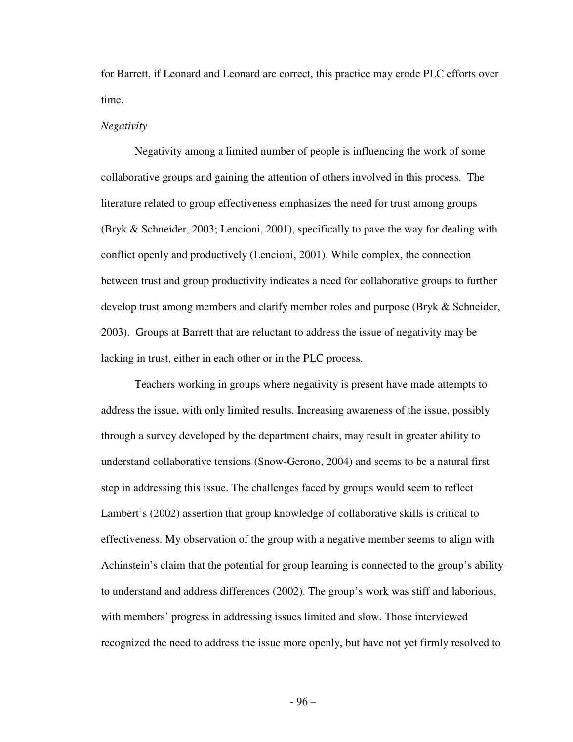for Barrett, if Leonard and Leonard are correct, this practice may erode PLC efforts over time.

### *Negativity*

 Negativity among a limited number of people is influencing the work of some collaborative groups and gaining the attention of others involved in this process. The literature related to group effectiveness emphasizes the need for trust among groups (Bryk & Schneider, 2003; Lencioni, 2001), specifically to pave the way for dealing with conflict openly and productively (Lencioni, 2001). While complex, the connection between trust and group productivity indicates a need for collaborative groups to further develop trust among members and clarify member roles and purpose (Bryk & Schneider, 2003). Groups at Barrett that are reluctant to address the issue of negativity may be lacking in trust, either in each other or in the PLC process.

 Teachers working in groups where negativity is present have made attempts to address the issue, with only limited results. Increasing awareness of the issue, possibly through a survey developed by the department chairs, may result in greater ability to understand collaborative tensions (Snow-Gerono, 2004) and seems to be a natural first step in addressing this issue. The challenges faced by groups would seem to reflect Lambert's (2002) assertion that group knowledge of collaborative skills is critical to effectiveness. My observation of the group with a negative member seems to align with Achinstein's claim that the potential for group learning is connected to the group's ability to understand and address differences (2002). The group's work was stiff and laborious, with members' progress in addressing issues limited and slow. Those interviewed recognized the need to address the issue more openly, but have not yet firmly resolved to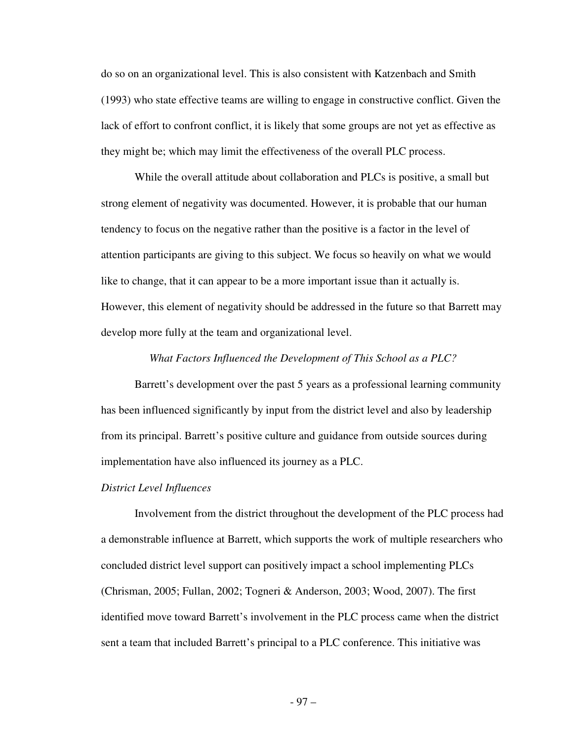do so on an organizational level. This is also consistent with Katzenbach and Smith (1993) who state effective teams are willing to engage in constructive conflict. Given the lack of effort to confront conflict, it is likely that some groups are not yet as effective as they might be; which may limit the effectiveness of the overall PLC process.

 While the overall attitude about collaboration and PLCs is positive, a small but strong element of negativity was documented. However, it is probable that our human tendency to focus on the negative rather than the positive is a factor in the level of attention participants are giving to this subject. We focus so heavily on what we would like to change, that it can appear to be a more important issue than it actually is. However, this element of negativity should be addressed in the future so that Barrett may develop more fully at the team and organizational level.

### *What Factors Influenced the Development of This School as a PLC?*

Barrett's development over the past 5 years as a professional learning community has been influenced significantly by input from the district level and also by leadership from its principal. Barrett's positive culture and guidance from outside sources during implementation have also influenced its journey as a PLC.

### *District Level Influences*

 Involvement from the district throughout the development of the PLC process had a demonstrable influence at Barrett, which supports the work of multiple researchers who concluded district level support can positively impact a school implementing PLCs (Chrisman, 2005; Fullan, 2002; Togneri & Anderson, 2003; Wood, 2007). The first identified move toward Barrett's involvement in the PLC process came when the district sent a team that included Barrett's principal to a PLC conference. This initiative was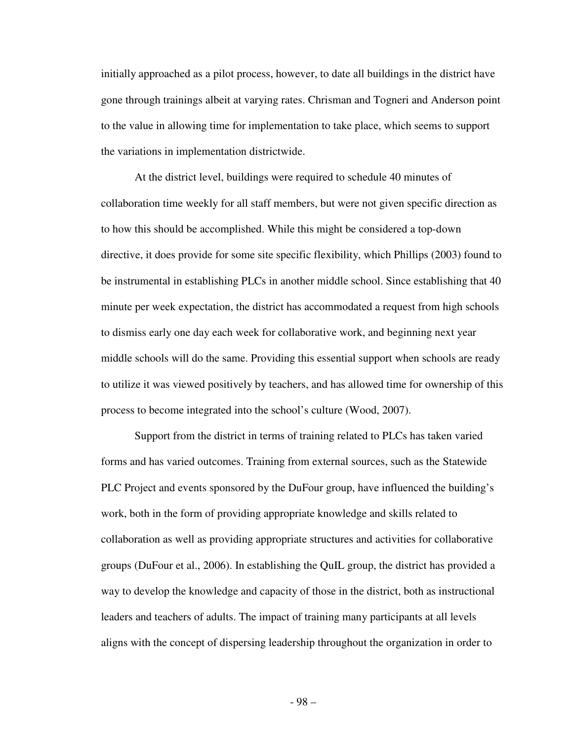initially approached as a pilot process, however, to date all buildings in the district have gone through trainings albeit at varying rates. Chrisman and Togneri and Anderson point to the value in allowing time for implementation to take place, which seems to support the variations in implementation districtwide.

 At the district level, buildings were required to schedule 40 minutes of collaboration time weekly for all staff members, but were not given specific direction as to how this should be accomplished. While this might be considered a top-down directive, it does provide for some site specific flexibility, which Phillips (2003) found to be instrumental in establishing PLCs in another middle school. Since establishing that 40 minute per week expectation, the district has accommodated a request from high schools to dismiss early one day each week for collaborative work, and beginning next year middle schools will do the same. Providing this essential support when schools are ready to utilize it was viewed positively by teachers, and has allowed time for ownership of this process to become integrated into the school's culture (Wood, 2007).

 Support from the district in terms of training related to PLCs has taken varied forms and has varied outcomes. Training from external sources, such as the Statewide PLC Project and events sponsored by the DuFour group, have influenced the building's work, both in the form of providing appropriate knowledge and skills related to collaboration as well as providing appropriate structures and activities for collaborative groups (DuFour et al., 2006). In establishing the QuIL group, the district has provided a way to develop the knowledge and capacity of those in the district, both as instructional leaders and teachers of adults. The impact of training many participants at all levels aligns with the concept of dispersing leadership throughout the organization in order to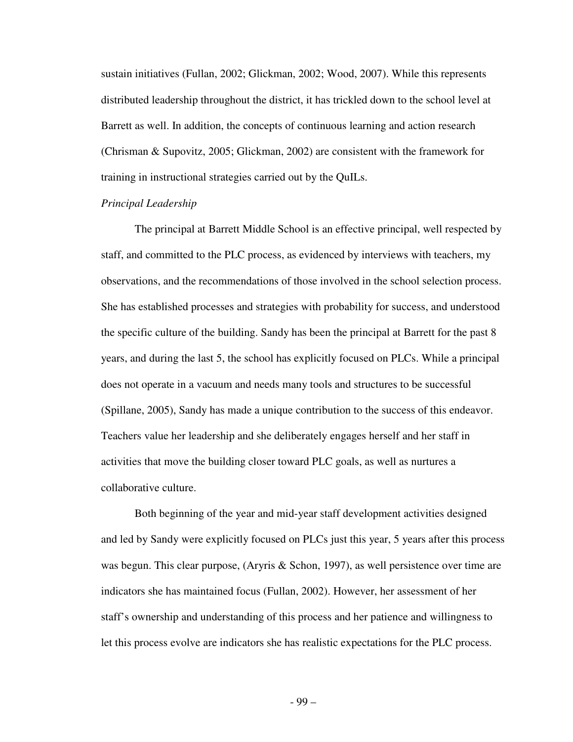sustain initiatives (Fullan, 2002; Glickman, 2002; Wood, 2007). While this represents distributed leadership throughout the district, it has trickled down to the school level at Barrett as well. In addition, the concepts of continuous learning and action research (Chrisman & Supovitz, 2005; Glickman, 2002) are consistent with the framework for training in instructional strategies carried out by the QuILs.

# *Principal Leadership*

 The principal at Barrett Middle School is an effective principal, well respected by staff, and committed to the PLC process, as evidenced by interviews with teachers, my observations, and the recommendations of those involved in the school selection process. She has established processes and strategies with probability for success, and understood the specific culture of the building. Sandy has been the principal at Barrett for the past 8 years, and during the last 5, the school has explicitly focused on PLCs. While a principal does not operate in a vacuum and needs many tools and structures to be successful (Spillane, 2005), Sandy has made a unique contribution to the success of this endeavor. Teachers value her leadership and she deliberately engages herself and her staff in activities that move the building closer toward PLC goals, as well as nurtures a collaborative culture.

 Both beginning of the year and mid-year staff development activities designed and led by Sandy were explicitly focused on PLCs just this year, 5 years after this process was begun. This clear purpose, (Aryris & Schon, 1997), as well persistence over time are indicators she has maintained focus (Fullan, 2002). However, her assessment of her staff's ownership and understanding of this process and her patience and willingness to let this process evolve are indicators she has realistic expectations for the PLC process.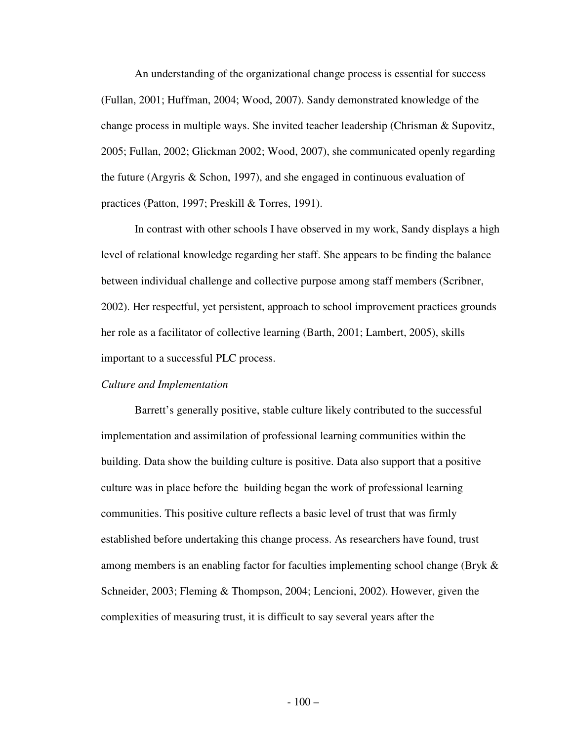An understanding of the organizational change process is essential for success (Fullan, 2001; Huffman, 2004; Wood, 2007). Sandy demonstrated knowledge of the change process in multiple ways. She invited teacher leadership (Chrisman & Supovitz, 2005; Fullan, 2002; Glickman 2002; Wood, 2007), she communicated openly regarding the future (Argyris & Schon, 1997), and she engaged in continuous evaluation of practices (Patton, 1997; Preskill & Torres, 1991).

 In contrast with other schools I have observed in my work, Sandy displays a high level of relational knowledge regarding her staff. She appears to be finding the balance between individual challenge and collective purpose among staff members (Scribner, 2002). Her respectful, yet persistent, approach to school improvement practices grounds her role as a facilitator of collective learning (Barth, 2001; Lambert, 2005), skills important to a successful PLC process.

#### *Culture and Implementation*

Barrett's generally positive, stable culture likely contributed to the successful implementation and assimilation of professional learning communities within the building. Data show the building culture is positive. Data also support that a positive culture was in place before the building began the work of professional learning communities. This positive culture reflects a basic level of trust that was firmly established before undertaking this change process. As researchers have found, trust among members is an enabling factor for faculties implementing school change (Bryk & Schneider, 2003; Fleming & Thompson, 2004; Lencioni, 2002). However, given the complexities of measuring trust, it is difficult to say several years after the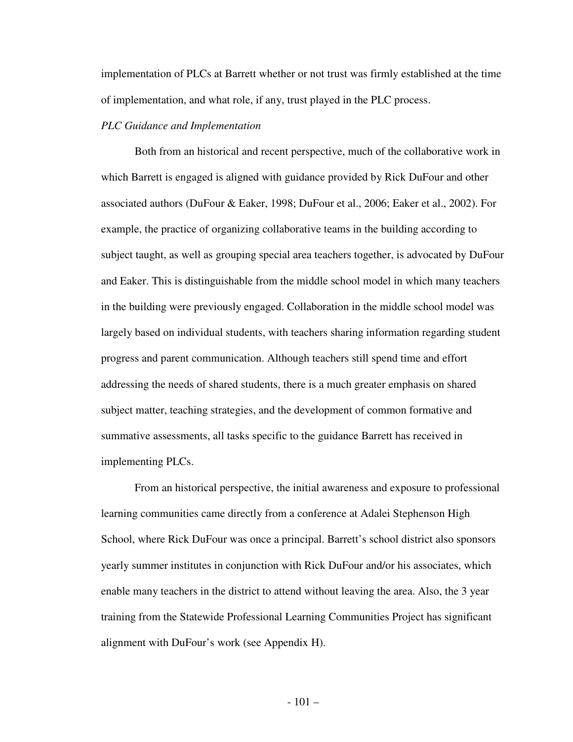implementation of PLCs at Barrett whether or not trust was firmly established at the time of implementation, and what role, if any, trust played in the PLC process.

#### *PLC Guidance and Implementation*

Both from an historical and recent perspective, much of the collaborative work in which Barrett is engaged is aligned with guidance provided by Rick DuFour and other associated authors (DuFour & Eaker, 1998; DuFour et al., 2006; Eaker et al., 2002). For example, the practice of organizing collaborative teams in the building according to subject taught, as well as grouping special area teachers together, is advocated by DuFour and Eaker. This is distinguishable from the middle school model in which many teachers in the building were previously engaged. Collaboration in the middle school model was largely based on individual students, with teachers sharing information regarding student progress and parent communication. Although teachers still spend time and effort addressing the needs of shared students, there is a much greater emphasis on shared subject matter, teaching strategies, and the development of common formative and summative assessments, all tasks specific to the guidance Barrett has received in implementing PLCs.

 From an historical perspective, the initial awareness and exposure to professional learning communities came directly from a conference at Adalei Stephenson High School, where Rick DuFour was once a principal. Barrett's school district also sponsors yearly summer institutes in conjunction with Rick DuFour and/or his associates, which enable many teachers in the district to attend without leaving the area. Also, the 3 year training from the Statewide Professional Learning Communities Project has significant alignment with DuFour's work (see Appendix H).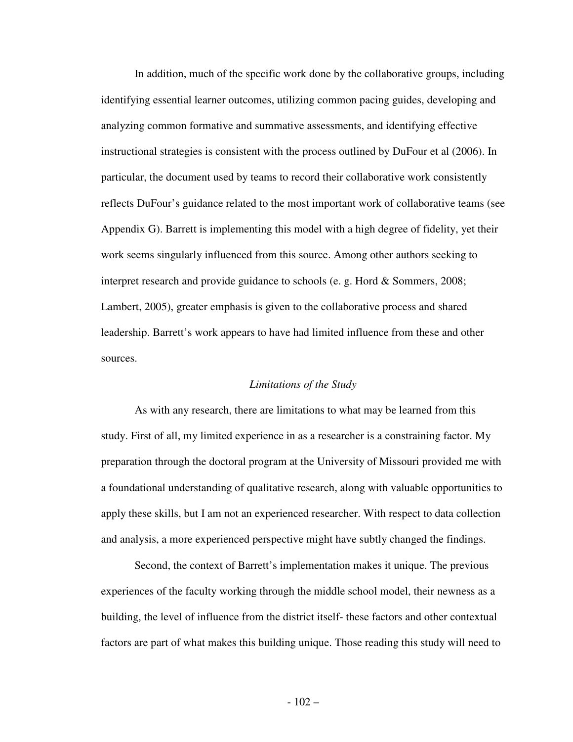In addition, much of the specific work done by the collaborative groups, including identifying essential learner outcomes, utilizing common pacing guides, developing and analyzing common formative and summative assessments, and identifying effective instructional strategies is consistent with the process outlined by DuFour et al (2006). In particular, the document used by teams to record their collaborative work consistently reflects DuFour's guidance related to the most important work of collaborative teams (see Appendix G). Barrett is implementing this model with a high degree of fidelity, yet their work seems singularly influenced from this source. Among other authors seeking to interpret research and provide guidance to schools (e. g. Hord & Sommers, 2008; Lambert, 2005), greater emphasis is given to the collaborative process and shared leadership. Barrett's work appears to have had limited influence from these and other sources.

#### *Limitations of the Study*

 As with any research, there are limitations to what may be learned from this study. First of all, my limited experience in as a researcher is a constraining factor. My preparation through the doctoral program at the University of Missouri provided me with a foundational understanding of qualitative research, along with valuable opportunities to apply these skills, but I am not an experienced researcher. With respect to data collection and analysis, a more experienced perspective might have subtly changed the findings.

 Second, the context of Barrett's implementation makes it unique. The previous experiences of the faculty working through the middle school model, their newness as a building, the level of influence from the district itself- these factors and other contextual factors are part of what makes this building unique. Those reading this study will need to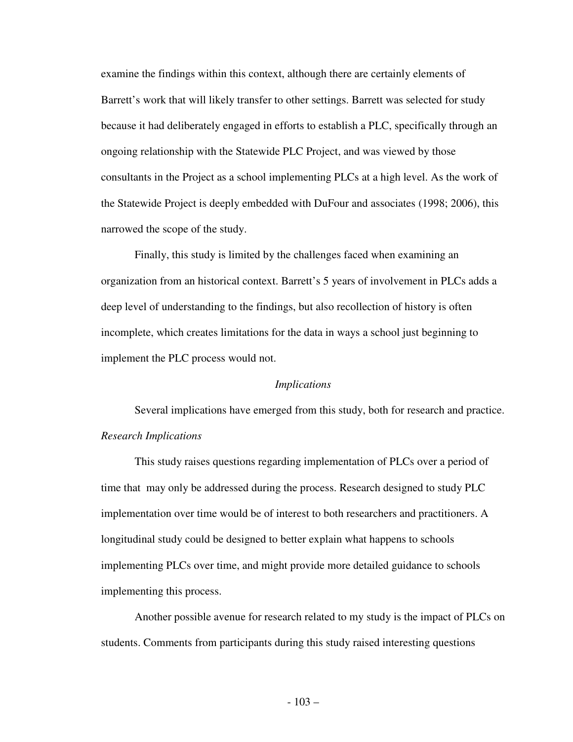examine the findings within this context, although there are certainly elements of Barrett's work that will likely transfer to other settings. Barrett was selected for study because it had deliberately engaged in efforts to establish a PLC, specifically through an ongoing relationship with the Statewide PLC Project, and was viewed by those consultants in the Project as a school implementing PLCs at a high level. As the work of the Statewide Project is deeply embedded with DuFour and associates (1998; 2006), this narrowed the scope of the study.

 Finally, this study is limited by the challenges faced when examining an organization from an historical context. Barrett's 5 years of involvement in PLCs adds a deep level of understanding to the findings, but also recollection of history is often incomplete, which creates limitations for the data in ways a school just beginning to implement the PLC process would not.

#### *Implications*

 Several implications have emerged from this study, both for research and practice. *Research Implications* 

 This study raises questions regarding implementation of PLCs over a period of time that may only be addressed during the process. Research designed to study PLC implementation over time would be of interest to both researchers and practitioners. A longitudinal study could be designed to better explain what happens to schools implementing PLCs over time, and might provide more detailed guidance to schools implementing this process.

 Another possible avenue for research related to my study is the impact of PLCs on students. Comments from participants during this study raised interesting questions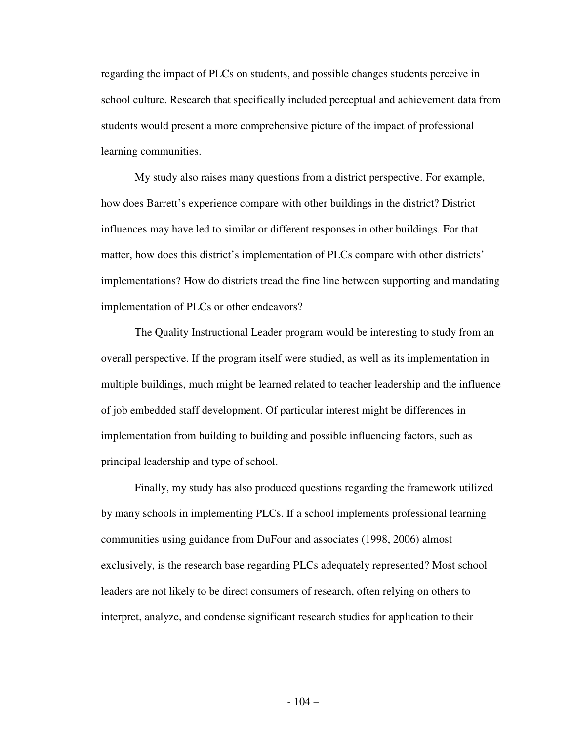regarding the impact of PLCs on students, and possible changes students perceive in school culture. Research that specifically included perceptual and achievement data from students would present a more comprehensive picture of the impact of professional learning communities.

 My study also raises many questions from a district perspective. For example, how does Barrett's experience compare with other buildings in the district? District influences may have led to similar or different responses in other buildings. For that matter, how does this district's implementation of PLCs compare with other districts' implementations? How do districts tread the fine line between supporting and mandating implementation of PLCs or other endeavors?

 The Quality Instructional Leader program would be interesting to study from an overall perspective. If the program itself were studied, as well as its implementation in multiple buildings, much might be learned related to teacher leadership and the influence of job embedded staff development. Of particular interest might be differences in implementation from building to building and possible influencing factors, such as principal leadership and type of school.

 Finally, my study has also produced questions regarding the framework utilized by many schools in implementing PLCs. If a school implements professional learning communities using guidance from DuFour and associates (1998, 2006) almost exclusively, is the research base regarding PLCs adequately represented? Most school leaders are not likely to be direct consumers of research, often relying on others to interpret, analyze, and condense significant research studies for application to their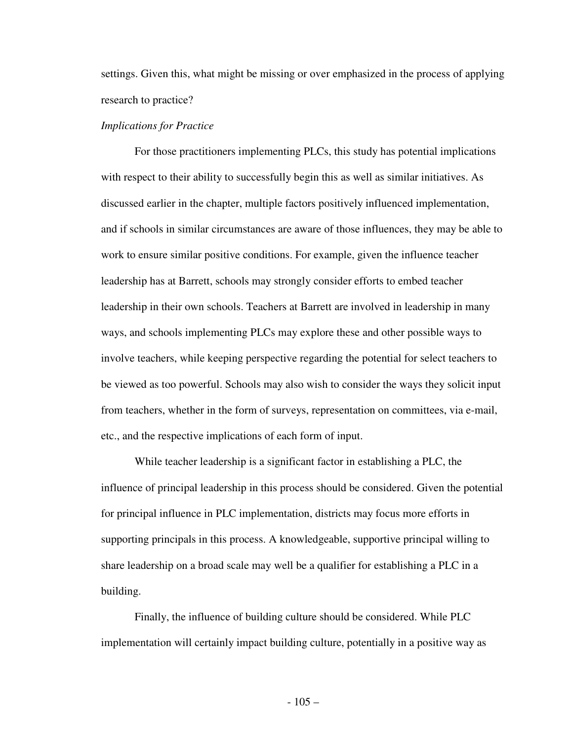settings. Given this, what might be missing or over emphasized in the process of applying research to practice?

#### *Implications for Practice*

 For those practitioners implementing PLCs, this study has potential implications with respect to their ability to successfully begin this as well as similar initiatives. As discussed earlier in the chapter, multiple factors positively influenced implementation, and if schools in similar circumstances are aware of those influences, they may be able to work to ensure similar positive conditions. For example, given the influence teacher leadership has at Barrett, schools may strongly consider efforts to embed teacher leadership in their own schools. Teachers at Barrett are involved in leadership in many ways, and schools implementing PLCs may explore these and other possible ways to involve teachers, while keeping perspective regarding the potential for select teachers to be viewed as too powerful. Schools may also wish to consider the ways they solicit input from teachers, whether in the form of surveys, representation on committees, via e-mail, etc., and the respective implications of each form of input.

 While teacher leadership is a significant factor in establishing a PLC, the influence of principal leadership in this process should be considered. Given the potential for principal influence in PLC implementation, districts may focus more efforts in supporting principals in this process. A knowledgeable, supportive principal willing to share leadership on a broad scale may well be a qualifier for establishing a PLC in a building.

 Finally, the influence of building culture should be considered. While PLC implementation will certainly impact building culture, potentially in a positive way as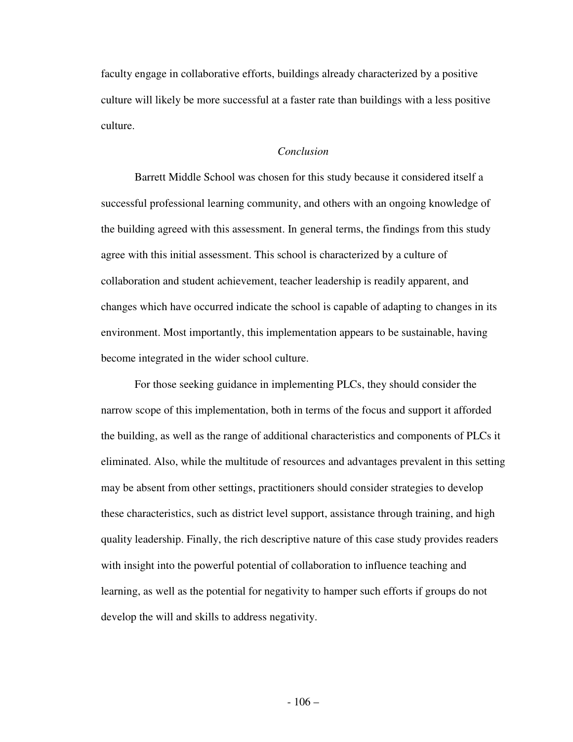faculty engage in collaborative efforts, buildings already characterized by a positive culture will likely be more successful at a faster rate than buildings with a less positive culture.

#### *Conclusion*

 Barrett Middle School was chosen for this study because it considered itself a successful professional learning community, and others with an ongoing knowledge of the building agreed with this assessment. In general terms, the findings from this study agree with this initial assessment. This school is characterized by a culture of collaboration and student achievement, teacher leadership is readily apparent, and changes which have occurred indicate the school is capable of adapting to changes in its environment. Most importantly, this implementation appears to be sustainable, having become integrated in the wider school culture.

 For those seeking guidance in implementing PLCs, they should consider the narrow scope of this implementation, both in terms of the focus and support it afforded the building, as well as the range of additional characteristics and components of PLCs it eliminated. Also, while the multitude of resources and advantages prevalent in this setting may be absent from other settings, practitioners should consider strategies to develop these characteristics, such as district level support, assistance through training, and high quality leadership. Finally, the rich descriptive nature of this case study provides readers with insight into the powerful potential of collaboration to influence teaching and learning, as well as the potential for negativity to hamper such efforts if groups do not develop the will and skills to address negativity.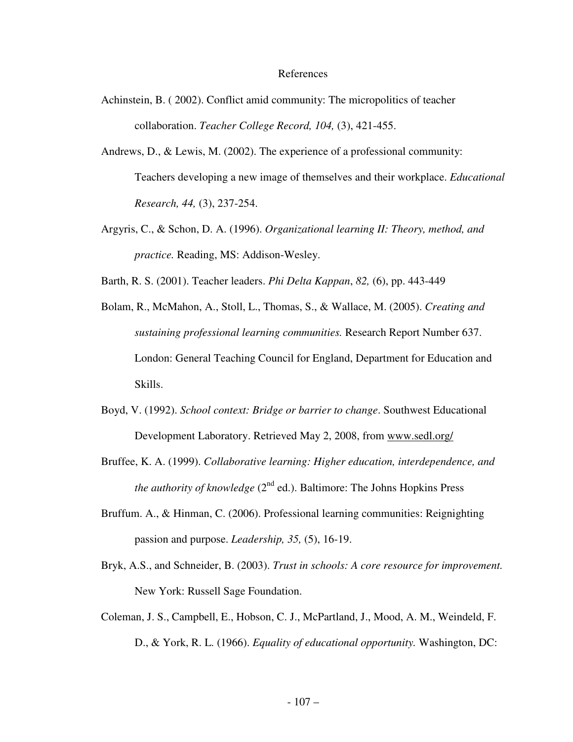#### References

- Achinstein, B. ( 2002). Conflict amid community: The micropolitics of teacher collaboration. *Teacher College Record, 104,* (3), 421-455.
- Andrews, D., & Lewis, M. (2002). The experience of a professional community: Teachers developing a new image of themselves and their workplace. *Educational Research, 44,* (3), 237-254.
- Argyris, C., & Schon, D. A. (1996). *Organizational learning II: Theory, method, and practice.* Reading, MS: Addison-Wesley.
- Barth, R. S. (2001). Teacher leaders. *Phi Delta Kappan*, *82,* (6), pp. 443-449
- Bolam, R., McMahon, A., Stoll, L., Thomas, S., & Wallace, M. (2005). *Creating and sustaining professional learning communities.* Research Report Number 637. London: General Teaching Council for England, Department for Education and Skills.
- Boyd, V. (1992). *School context: Bridge or barrier to change*. Southwest Educational Development Laboratory. Retrieved May 2, 2008, from www.sedl.org/
- Bruffee, K. A. (1999). *Collaborative learning: Higher education, interdependence, and the authority of knowledge*  $(2^{nd}$  ed.). Baltimore: The Johns Hopkins Press
- Bruffum. A., & Hinman, C. (2006). Professional learning communities: Reignighting passion and purpose. *Leadership, 35,* (5), 16-19.
- Bryk, A.S., and Schneider, B. (2003). *Trust in schools: A core resource for improvement.*  New York: Russell Sage Foundation.
- Coleman, J. S., Campbell, E., Hobson, C. J., McPartland, J., Mood, A. M., Weindeld, F. D., & York, R. L. (1966). *Equality of educational opportunity.* Washington, DC: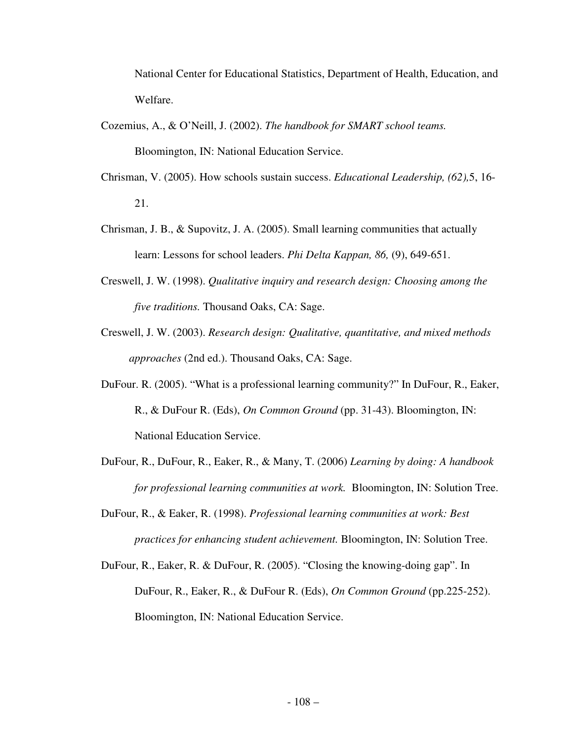National Center for Educational Statistics, Department of Health, Education, and Welfare.

- Cozemius, A., & O'Neill, J. (2002). *The handbook for SMART school teams.* Bloomington, IN: National Education Service.
- Chrisman, V. (2005). How schools sustain success. *Educational Leadership, (62),*5, 16- 21.
- Chrisman, J. B., & Supovitz, J. A. (2005). Small learning communities that actually learn: Lessons for school leaders. *Phi Delta Kappan, 86,* (9), 649-651.
- Creswell, J. W. (1998). *Qualitative inquiry and research design: Choosing among the five traditions.* Thousand Oaks, CA: Sage.
- Creswell, J. W. (2003). *Research design: Qualitative, quantitative, and mixed methods approaches* (2nd ed.). Thousand Oaks, CA: Sage.
- DuFour. R. (2005). "What is a professional learning community?" In DuFour, R., Eaker, R., & DuFour R. (Eds), *On Common Ground* (pp. 31-43). Bloomington, IN: National Education Service.
- DuFour, R., DuFour, R., Eaker, R., & Many, T. (2006) *Learning by doing: A handbook for professional learning communities at work.* Bloomington, IN: Solution Tree.
- DuFour, R., & Eaker, R. (1998). *Professional learning communities at work: Best practices for enhancing student achievement.* Bloomington, IN: Solution Tree.
- DuFour, R., Eaker, R. & DuFour, R. (2005). "Closing the knowing-doing gap". In DuFour, R., Eaker, R., & DuFour R. (Eds), *On Common Ground* (pp.225-252). Bloomington, IN: National Education Service.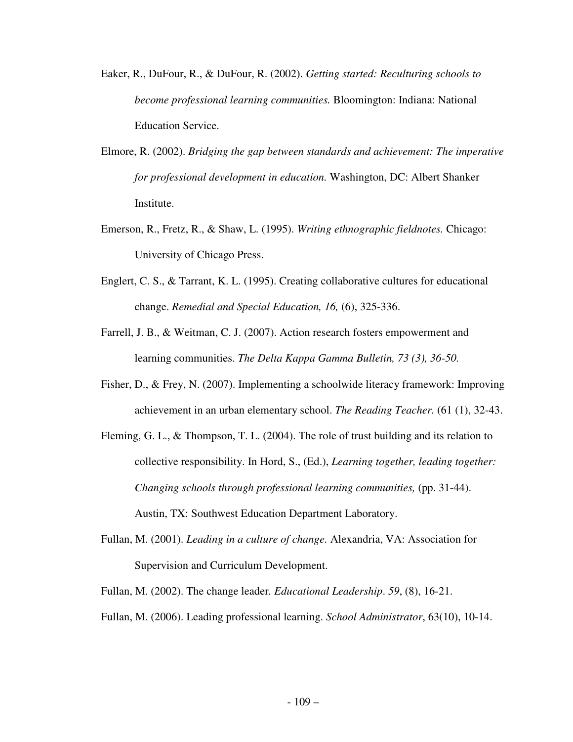- Eaker, R., DuFour, R., & DuFour, R. (2002). *Getting started: Reculturing schools to become professional learning communities.* Bloomington: Indiana: National Education Service.
- Elmore, R. (2002). *Bridging the gap between standards and achievement: The imperative for professional development in education.* Washington, DC: Albert Shanker Institute.
- Emerson, R., Fretz, R., & Shaw, L. (1995). *Writing ethnographic fieldnotes.* Chicago: University of Chicago Press.
- Englert, C. S., & Tarrant, K. L. (1995). Creating collaborative cultures for educational change. *Remedial and Special Education, 16,* (6), 325-336.
- Farrell, J. B., & Weitman, C. J. (2007). Action research fosters empowerment and learning communities. *The Delta Kappa Gamma Bulletin, 73 (3), 36-50.*
- Fisher, D., & Frey, N. (2007). Implementing a schoolwide literacy framework: Improving achievement in an urban elementary school. *The Reading Teacher.* (61 (1), 32-43.
- Fleming, G. L., & Thompson, T. L. (2004). The role of trust building and its relation to collective responsibility. In Hord, S., (Ed.), *Learning together, leading together: Changing schools through professional learning communities, (pp. 31-44).* Austin, TX: Southwest Education Department Laboratory.
- Fullan, M. (2001). *Leading in a culture of change.* Alexandria, VA: Association for Supervision and Curriculum Development.
- Fullan, M. (2002). The change leader*. Educational Leadership*. *59*, (8), 16-21.
- Fullan, M. (2006). Leading professional learning. *School Administrator*, 63(10), 10-14.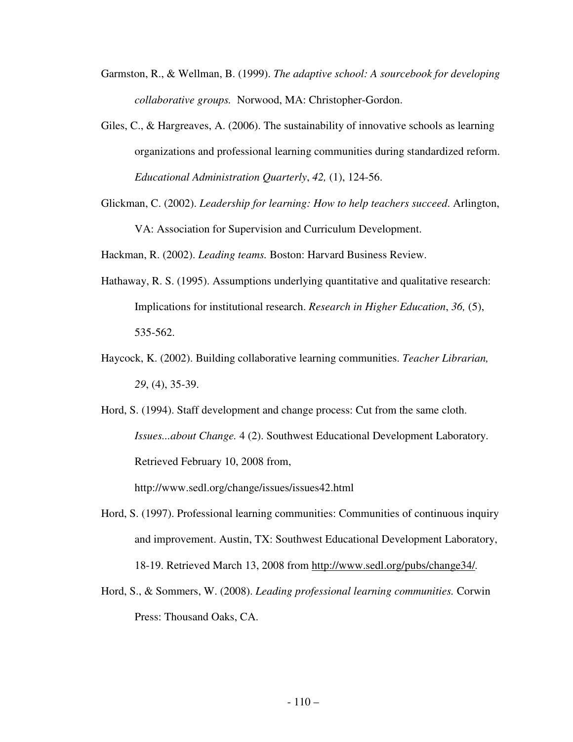- Garmston, R., & Wellman, B. (1999). *The adaptive school: A sourcebook for developing collaborative groups.* Norwood, MA: Christopher-Gordon.
- Giles, C., & Hargreaves, A. (2006). The sustainability of innovative schools as learning organizations and professional learning communities during standardized reform. *Educational Administration Quarterly*, *42,* (1), 124-56.
- Glickman, C. (2002). *Leadership for learning: How to help teachers succeed*. Arlington, VA: Association for Supervision and Curriculum Development.

Hackman, R. (2002). *Leading teams.* Boston: Harvard Business Review.

- Hathaway, R. S. (1995). Assumptions underlying quantitative and qualitative research: Implications for institutional research. *Research in Higher Education*, *36,* (5), 535-562.
- Haycock, K. (2002). Building collaborative learning communities. *Teacher Librarian, 29*, (4), 35-39.
- Hord, S. (1994). Staff development and change process: Cut from the same cloth. *Issues...about Change.* 4 (2). Southwest Educational Development Laboratory. Retrieved February 10, 2008 from,

http://www.sedl.org/change/issues/issues42.html

- Hord, S. (1997). Professional learning communities: Communities of continuous inquiry and improvement. Austin, TX: Southwest Educational Development Laboratory, 18-19. Retrieved March 13, 2008 from http://www.sedl.org/pubs/change34/*.*
- Hord, S., & Sommers, W. (2008). *Leading professional learning communities.* Corwin Press: Thousand Oaks, CA.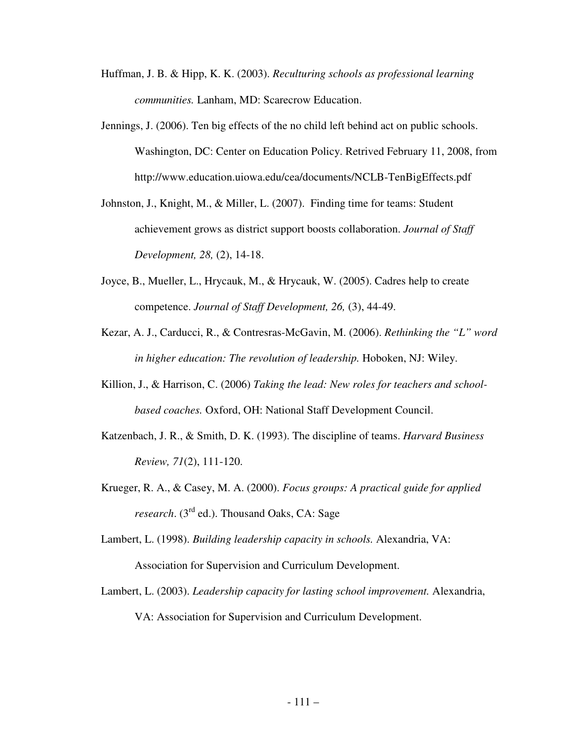- Huffman, J. B. & Hipp, K. K. (2003). *Reculturing schools as professional learning communities.* Lanham, MD: Scarecrow Education.
- Jennings, J. (2006). Ten big effects of the no child left behind act on public schools. Washington, DC: Center on Education Policy. Retrived February 11, 2008, from http://www.education.uiowa.edu/cea/documents/NCLB-TenBigEffects.pdf
- Johnston, J., Knight, M., & Miller, L. (2007). Finding time for teams: Student achievement grows as district support boosts collaboration. *Journal of Staff Development, 28,* (2), 14-18.
- Joyce, B., Mueller, L., Hrycauk, M., & Hrycauk, W. (2005). Cadres help to create competence. *Journal of Staff Development, 26,* (3), 44-49.
- Kezar, A. J., Carducci, R., & Contresras-McGavin, M. (2006). *Rethinking the "L" word in higher education: The revolution of leadership.* Hoboken, NJ: Wiley.
- Killion, J., & Harrison, C. (2006) *Taking the lead: New roles for teachers and schoolbased coaches.* Oxford, OH: National Staff Development Council.
- Katzenbach, J. R., & Smith, D. K. (1993). The discipline of teams. *Harvard Business Review, 71*(2), 111-120.
- Krueger, R. A., & Casey, M. A. (2000). *Focus groups: A practical guide for applied research.* (3<sup>rd</sup> ed.). Thousand Oaks, CA: Sage
- Lambert, L. (1998). *Building leadership capacity in schools.* Alexandria, VA: Association for Supervision and Curriculum Development.
- Lambert, L. (2003). *Leadership capacity for lasting school improvement.* Alexandria, VA: Association for Supervision and Curriculum Development.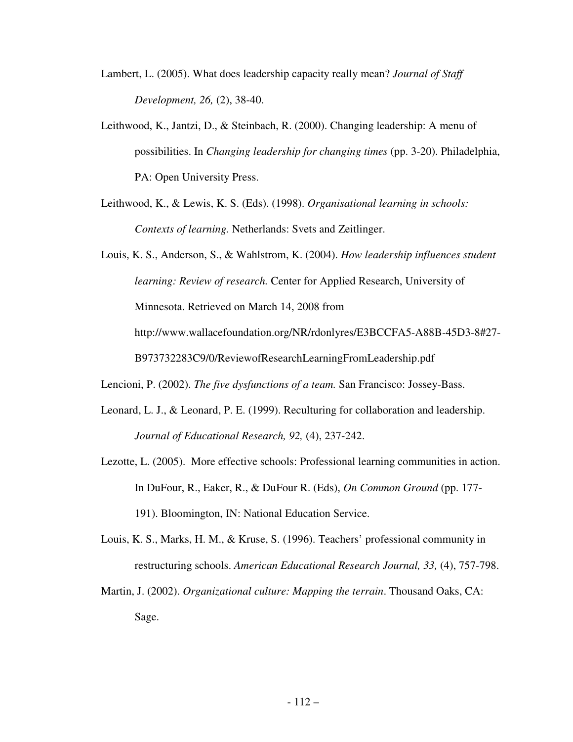- Lambert, L. (2005). What does leadership capacity really mean? *Journal of Staff Development, 26,* (2), 38-40.
- Leithwood, K., Jantzi, D., & Steinbach, R. (2000). Changing leadership: A menu of possibilities. In *Changing leadership for changing times* (pp. 3-20). Philadelphia, PA: Open University Press.
- Leithwood, K., & Lewis, K. S. (Eds). (1998). *Organisational learning in schools: Contexts of learning.* Netherlands: Svets and Zeitlinger.

Louis, K. S., Anderson, S., & Wahlstrom, K. (2004). *How leadership influences student learning: Review of research.* Center for Applied Research, University of Minnesota. Retrieved on March 14, 2008 from http://www.wallacefoundation.org/NR/rdonlyres/E3BCCFA5-A88B-45D3-8#27- B973732283C9/0/ReviewofResearchLearningFromLeadership.pdf

- Lencioni, P. (2002). *The five dysfunctions of a team.* San Francisco: Jossey-Bass.
- Leonard, L. J., & Leonard, P. E. (1999). Reculturing for collaboration and leadership. *Journal of Educational Research, 92,* (4), 237-242.
- Lezotte, L. (2005). More effective schools: Professional learning communities in action. In DuFour, R., Eaker, R., & DuFour R. (Eds), *On Common Ground* (pp. 177- 191). Bloomington, IN: National Education Service.
- Louis, K. S., Marks, H. M., & Kruse, S. (1996). Teachers' professional community in restructuring schools. *American Educational Research Journal, 33,* (4), 757-798.
- Martin, J. (2002). *Organizational culture: Mapping the terrain*. Thousand Oaks, CA: Sage.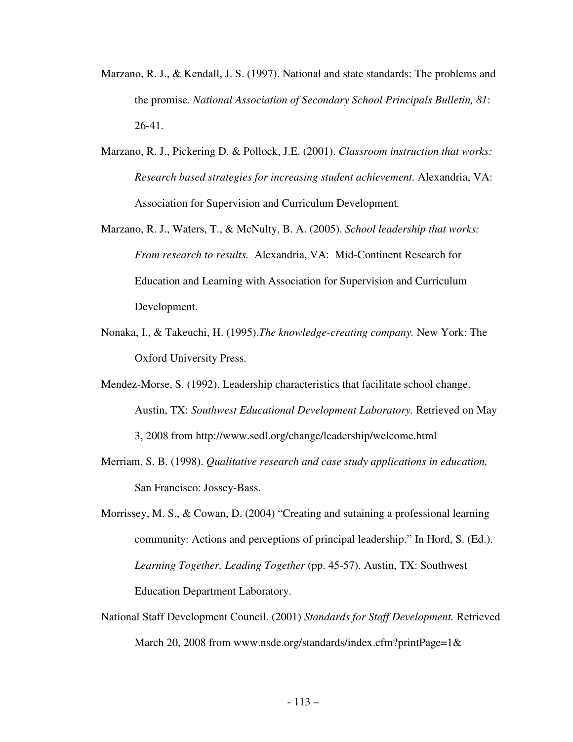- Marzano, R. J., & Kendall, J. S. (1997). National and state standards: The problems and the promise. *National Association of Secondary School Principals Bulletin, 81*: 26-41.
- Marzano, R. J., Pickering D. & Pollock, J.E. (2001). *Classroom instruction that works: Research based strategies for increasing student achievement.* Alexandria, VA: Association for Supervision and Curriculum Development*.*
- Marzano, R. J., Waters, T., & McNulty, B. A. (2005). *School leadership that works: From research to results.* Alexandria, VA: Mid-Continent Research for Education and Learning with Association for Supervision and Curriculum Development.
- Nonaka, I., & Takeuchi, H. (1995).*The knowledge-creating company.* New York: The Oxford University Press.
- Mendez-Morse, S. (1992). Leadership characteristics that facilitate school change. Austin, TX: *Southwest Educational Development Laboratory.* Retrieved on May 3, 2008 from http://www.sedl.org/change/leadership/welcome.html
- Merriam, S. B. (1998). *Qualitative research and case study applications in education.*  San Francisco: Jossey-Bass.
- Morrissey, M. S., & Cowan, D. (2004) "Creating and sutaining a professional learning community: Actions and perceptions of principal leadership." In Hord, S. (Ed.). *Learning Together, Leading Together* (pp. 45-57). Austin, TX: Southwest Education Department Laboratory.
- National Staff Development Council. (2001) *Standards for Staff Development.* Retrieved March 20, 2008 from www.nsde.org/standards/index.cfm?printPage=1&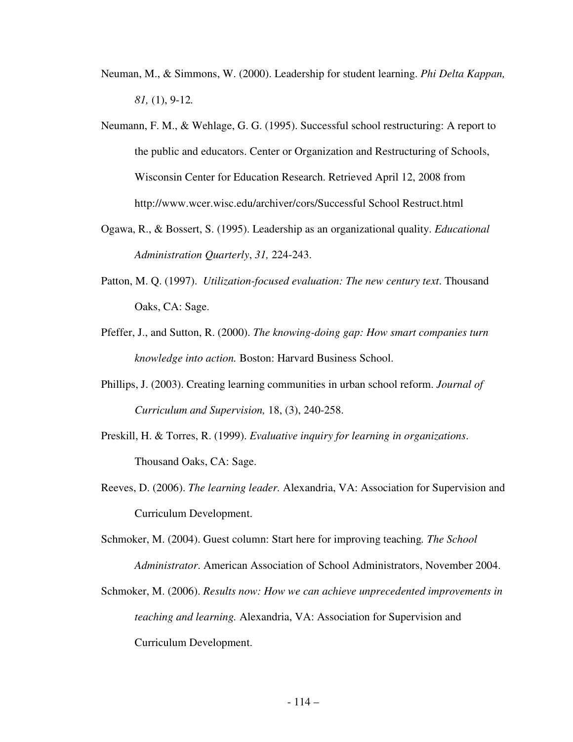- Neuman, M., & Simmons, W. (2000). Leadership for student learning. *Phi Delta Kappan, 81,* (1), 9-12*.*
- Neumann, F. M., & Wehlage, G. G. (1995). Successful school restructuring: A report to the public and educators. Center or Organization and Restructuring of Schools, Wisconsin Center for Education Research. Retrieved April 12, 2008 from http://www.wcer.wisc.edu/archiver/cors/Successful School Restruct.html
- Ogawa, R., & Bossert, S. (1995). Leadership as an organizational quality. *Educational Administration Quarterly*, *31,* 224-243.
- Patton, M. Q. (1997). *Utilization-focused evaluation: The new century text*. Thousand Oaks, CA: Sage.
- Pfeffer, J., and Sutton, R. (2000). *The knowing-doing gap: How smart companies turn knowledge into action.* Boston: Harvard Business School.
- Phillips, J. (2003). Creating learning communities in urban school reform. *Journal of Curriculum and Supervision,* 18, (3), 240-258.
- Preskill, H. & Torres, R. (1999). *Evaluative inquiry for learning in organizations*. Thousand Oaks, CA: Sage.
- Reeves, D. (2006). *The learning leader.* Alexandria, VA: Association for Supervision and Curriculum Development.
- Schmoker, M. (2004). Guest column: Start here for improving teaching*. The School Administrator*. American Association of School Administrators, November 2004.
- Schmoker, M. (2006). *Results now: How we can achieve unprecedented improvements in teaching and learning.* Alexandria, VA: Association for Supervision and Curriculum Development.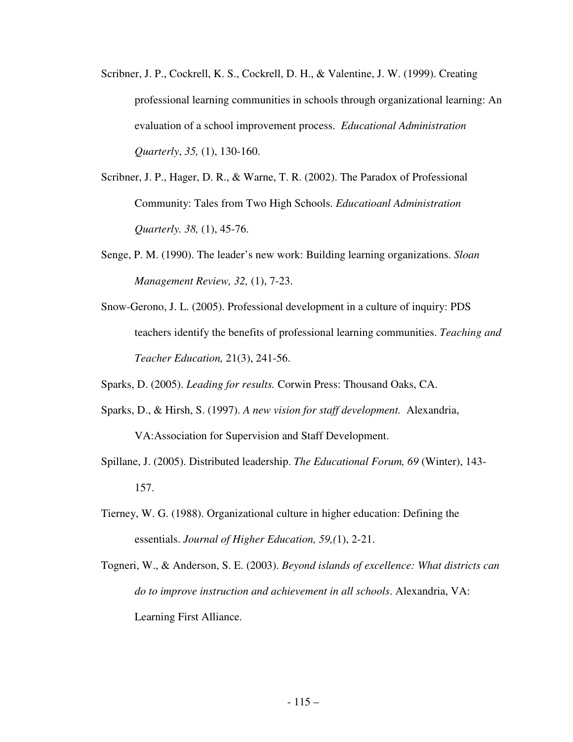- Scribner, J. P., Cockrell, K. S., Cockrell, D. H., & Valentine, J. W. (1999). Creating professional learning communities in schools through organizational learning: An evaluation of a school improvement process. *Educational Administration Quarterly*, *35,* (1), 130-160.
- Scribner, J. P., Hager, D. R., & Warne, T. R. (2002). The Paradox of Professional Community: Tales from Two High Schools. *Educatioanl Administration Quarterly. 38,* (1), 45-76.
- Senge, P. M. (1990). The leader's new work: Building learning organizations. *Sloan Management Review, 32,* (1), 7-23.
- Snow-Gerono, J. L. (2005). Professional development in a culture of inquiry: PDS teachers identify the benefits of professional learning communities. *Teaching and Teacher Education,* 21(3), 241-56.

Sparks, D. (2005). *Leading for results.* Corwin Press: Thousand Oaks, CA.

- Sparks, D., & Hirsh, S. (1997). *A new vision for staff development.* Alexandria, VA:Association for Supervision and Staff Development.
- Spillane, J. (2005). Distributed leadership. *The Educational Forum, 69* (Winter), 143- 157.
- Tierney, W. G. (1988). Organizational culture in higher education: Defining the essentials. *Journal of Higher Education, 59,(*1), 2-21.
- Togneri, W., & Anderson, S. E. (2003). *Beyond islands of excellence: What districts can do to improve instruction and achievement in all schools*. Alexandria, VA: Learning First Alliance.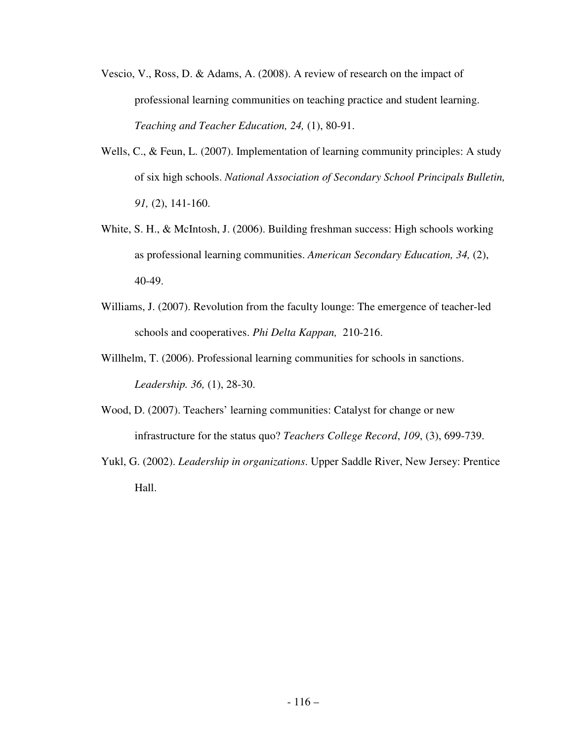- Vescio, V., Ross, D. & Adams, A. (2008). A review of research on the impact of professional learning communities on teaching practice and student learning. *Teaching and Teacher Education, 24,* (1), 80-91.
- Wells, C., & Feun, L. (2007). Implementation of learning community principles: A study of six high schools. *National Association of Secondary School Principals Bulletin, 91,* (2), 141-160.
- White, S. H., & McIntosh, J. (2006). Building freshman success: High schools working as professional learning communities. *American Secondary Education, 34,* (2), 40-49.
- Williams, J. (2007). Revolution from the faculty lounge: The emergence of teacher-led schools and cooperatives. *Phi Delta Kappan,* 210-216.
- Willhelm, T. (2006). Professional learning communities for schools in sanctions. *Leadership. 36,* (1), 28-30.
- Wood, D. (2007). Teachers' learning communities: Catalyst for change or new infrastructure for the status quo? *Teachers College Record*, *109*, (3), 699-739.
- Yukl, G. (2002). *Leadership in organizations*. Upper Saddle River, New Jersey: Prentice Hall.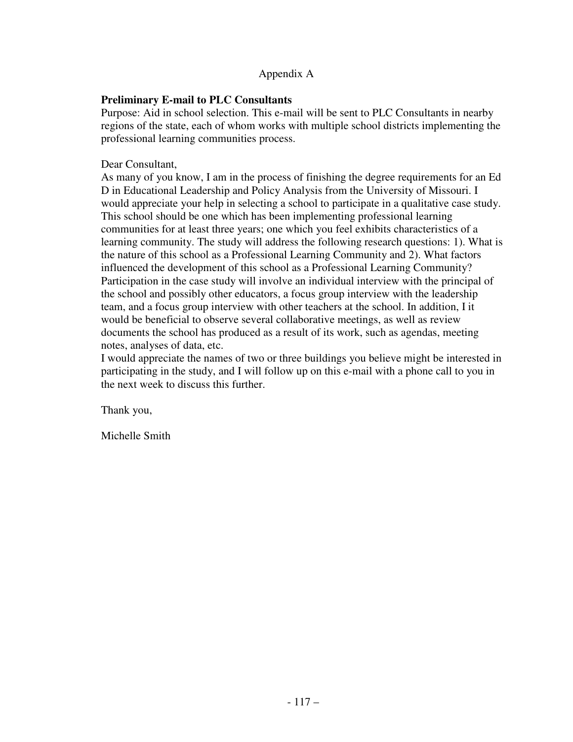#### Appendix A

#### **Preliminary E-mail to PLC Consultants**

Purpose: Aid in school selection. This e-mail will be sent to PLC Consultants in nearby regions of the state, each of whom works with multiple school districts implementing the professional learning communities process.

#### Dear Consultant,

As many of you know, I am in the process of finishing the degree requirements for an Ed D in Educational Leadership and Policy Analysis from the University of Missouri. I would appreciate your help in selecting a school to participate in a qualitative case study. This school should be one which has been implementing professional learning communities for at least three years; one which you feel exhibits characteristics of a learning community. The study will address the following research questions: 1). What is the nature of this school as a Professional Learning Community and 2). What factors influenced the development of this school as a Professional Learning Community? Participation in the case study will involve an individual interview with the principal of the school and possibly other educators, a focus group interview with the leadership team, and a focus group interview with other teachers at the school. In addition, I it would be beneficial to observe several collaborative meetings, as well as review documents the school has produced as a result of its work, such as agendas, meeting notes, analyses of data, etc.

I would appreciate the names of two or three buildings you believe might be interested in participating in the study, and I will follow up on this e-mail with a phone call to you in the next week to discuss this further.

Thank you,

Michelle Smith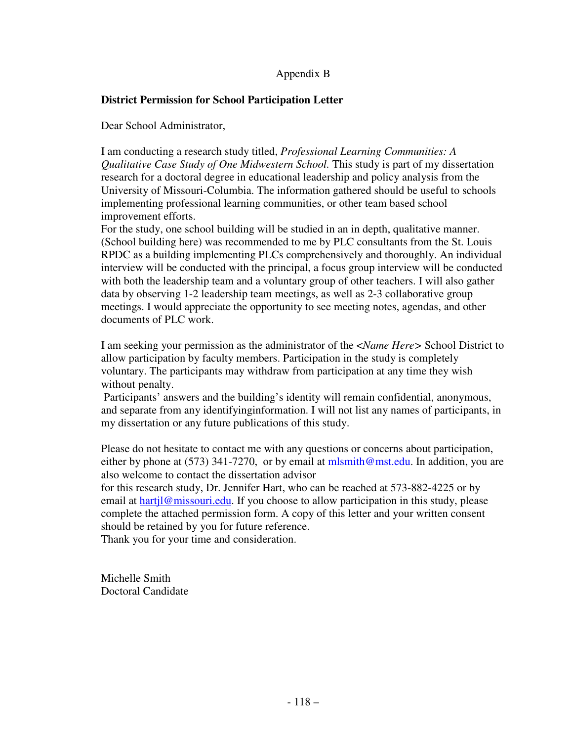## Appendix B

## **District Permission for School Participation Letter**

Dear School Administrator,

I am conducting a research study titled, *Professional Learning Communities: A Qualitative Case Study of One Midwestern School.* This study is part of my dissertation research for a doctoral degree in educational leadership and policy analysis from the University of Missouri-Columbia. The information gathered should be useful to schools implementing professional learning communities, or other team based school improvement efforts.

For the study, one school building will be studied in an in depth, qualitative manner. (School building here) was recommended to me by PLC consultants from the St. Louis RPDC as a building implementing PLCs comprehensively and thoroughly. An individual interview will be conducted with the principal, a focus group interview will be conducted with both the leadership team and a voluntary group of other teachers. I will also gather data by observing 1-2 leadership team meetings, as well as 2-3 collaborative group meetings. I would appreciate the opportunity to see meeting notes, agendas, and other documents of PLC work.

I am seeking your permission as the administrator of the <*Name Here>* School District to allow participation by faculty members. Participation in the study is completely voluntary. The participants may withdraw from participation at any time they wish without penalty.

 Participants' answers and the building's identity will remain confidential, anonymous, and separate from any identifyinginformation. I will not list any names of participants, in my dissertation or any future publications of this study.

Please do not hesitate to contact me with any questions or concerns about participation, either by phone at (573) 341-7270, or by email at  $mlsmith@mst.edu$ . In addition, you are also welcome to contact the dissertation advisor

for this research study, Dr. Jennifer Hart, who can be reached at 573-882-4225 or by email at hartil@missouri.edu. If you choose to allow participation in this study, please complete the attached permission form. A copy of this letter and your written consent should be retained by you for future reference.

Thank you for your time and consideration.

Michelle Smith Doctoral Candidate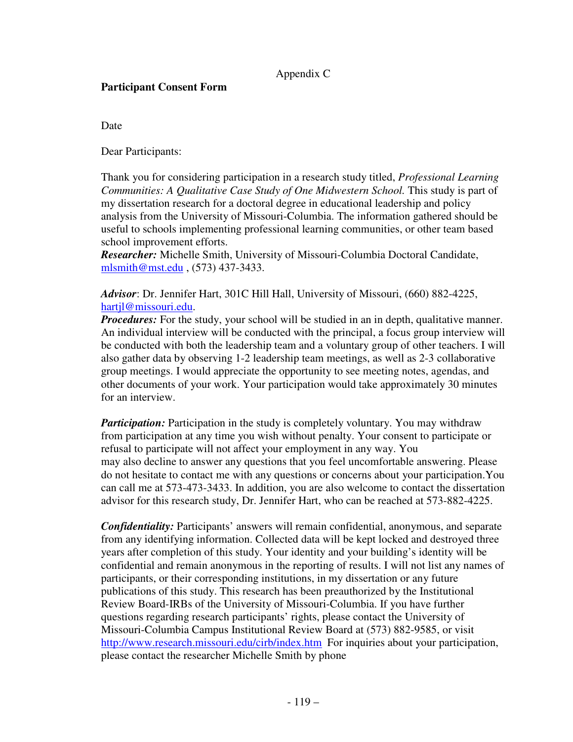## Appendix C

#### **Participant Consent Form**

Date

Dear Participants:

Thank you for considering participation in a research study titled, *Professional Learning Communities: A Qualitative Case Study of One Midwestern School.* This study is part of my dissertation research for a doctoral degree in educational leadership and policy analysis from the University of Missouri-Columbia. The information gathered should be useful to schools implementing professional learning communities, or other team based school improvement efforts.

*Researcher:* Michelle Smith, University of Missouri-Columbia Doctoral Candidate, mlsmith@mst.edu , (573) 437-3433.

*Advisor*: Dr. Jennifer Hart, 301C Hill Hall, University of Missouri, (660) 882-4225, hartjl@missouri.edu.

*Procedures:* For the study, your school will be studied in an in depth, qualitative manner. An individual interview will be conducted with the principal, a focus group interview will be conducted with both the leadership team and a voluntary group of other teachers. I will also gather data by observing 1-2 leadership team meetings, as well as 2-3 collaborative group meetings. I would appreciate the opportunity to see meeting notes, agendas, and other documents of your work. Your participation would take approximately 30 minutes for an interview.

*Participation:* Participation in the study is completely voluntary. You may withdraw from participation at any time you wish without penalty. Your consent to participate or refusal to participate will not affect your employment in any way. You may also decline to answer any questions that you feel uncomfortable answering. Please do not hesitate to contact me with any questions or concerns about your participation.You can call me at 573-473-3433. In addition, you are also welcome to contact the dissertation advisor for this research study, Dr. Jennifer Hart, who can be reached at 573-882-4225.

*Confidentiality:* Participants' answers will remain confidential, anonymous, and separate from any identifying information. Collected data will be kept locked and destroyed three years after completion of this study. Your identity and your building's identity will be confidential and remain anonymous in the reporting of results. I will not list any names of participants, or their corresponding institutions, in my dissertation or any future publications of this study. This research has been preauthorized by the Institutional Review Board-IRBs of the University of Missouri-Columbia. If you have further questions regarding research participants' rights, please contact the University of Missouri-Columbia Campus Institutional Review Board at (573) 882-9585, or visit http://www.research.missouri.edu/cirb/index.htm For inquiries about your participation, please contact the researcher Michelle Smith by phone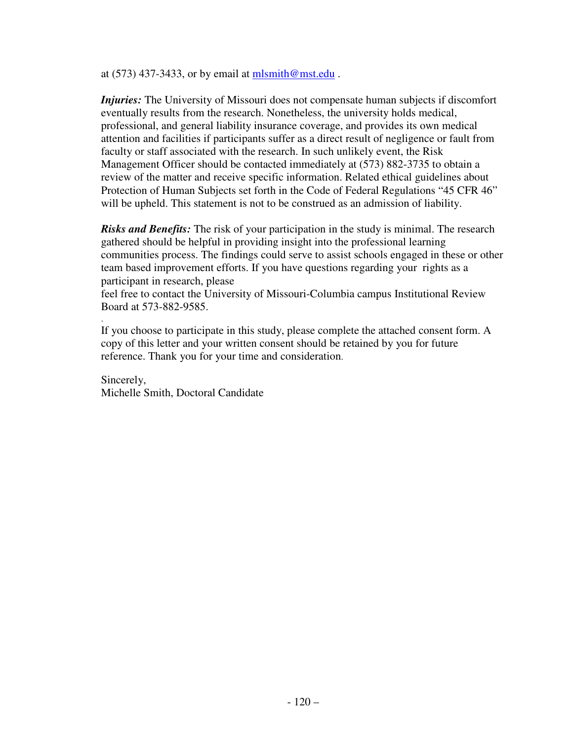at  $(573)$  437-3433, or by email at mlsmith@mst.edu.

*Injuries:* The University of Missouri does not compensate human subjects if discomfort eventually results from the research. Nonetheless, the university holds medical, professional, and general liability insurance coverage, and provides its own medical attention and facilities if participants suffer as a direct result of negligence or fault from faculty or staff associated with the research. In such unlikely event, the Risk Management Officer should be contacted immediately at (573) 882-3735 to obtain a review of the matter and receive specific information. Related ethical guidelines about Protection of Human Subjects set forth in the Code of Federal Regulations "45 CFR 46" will be upheld. This statement is not to be construed as an admission of liability.

*Risks and Benefits:* The risk of your participation in the study is minimal. The research gathered should be helpful in providing insight into the professional learning communities process. The findings could serve to assist schools engaged in these or other team based improvement efforts. If you have questions regarding your rights as a participant in research, please

feel free to contact the University of Missouri-Columbia campus Institutional Review Board at 573-882-9585.

If you choose to participate in this study, please complete the attached consent form. A copy of this letter and your written consent should be retained by you for future reference. Thank you for your time and consideration.

Sincerely, Michelle Smith, Doctoral Candidate

.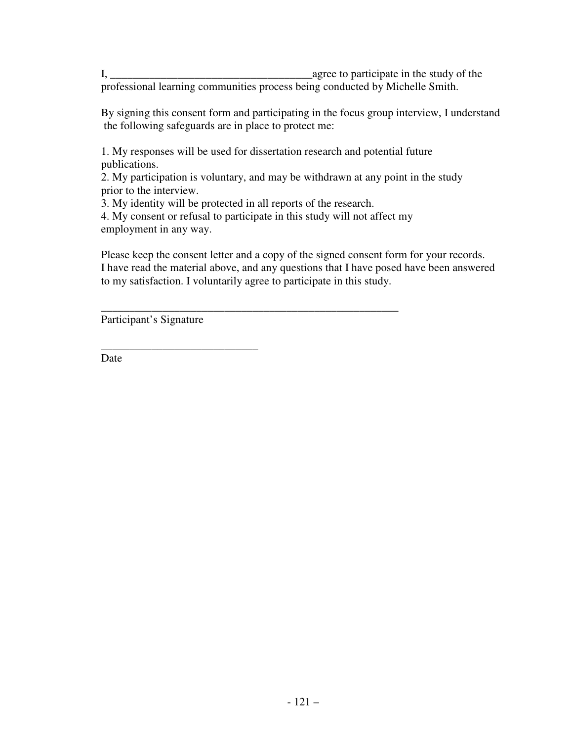I, \_\_\_\_\_\_\_\_\_\_\_\_\_\_\_\_\_\_\_\_\_\_\_\_\_\_\_\_\_\_\_\_\_\_\_\_agree to participate in the study of the professional learning communities process being conducted by Michelle Smith.

By signing this consent form and participating in the focus group interview, I understand the following safeguards are in place to protect me:

1. My responses will be used for dissertation research and potential future publications.

2. My participation is voluntary, and may be withdrawn at any point in the study prior to the interview.

3. My identity will be protected in all reports of the research.

4. My consent or refusal to participate in this study will not affect my employment in any way.

\_\_\_\_\_\_\_\_\_\_\_\_\_\_\_\_\_\_\_\_\_\_\_\_\_\_\_\_\_\_\_\_\_\_\_\_\_\_\_\_\_\_\_\_\_\_\_\_\_\_\_\_\_

Please keep the consent letter and a copy of the signed consent form for your records. I have read the material above, and any questions that I have posed have been answered to my satisfaction. I voluntarily agree to participate in this study.

Participant's Signature

\_\_\_\_\_\_\_\_\_\_\_\_\_\_\_\_\_\_\_\_\_\_\_\_\_\_\_\_

Date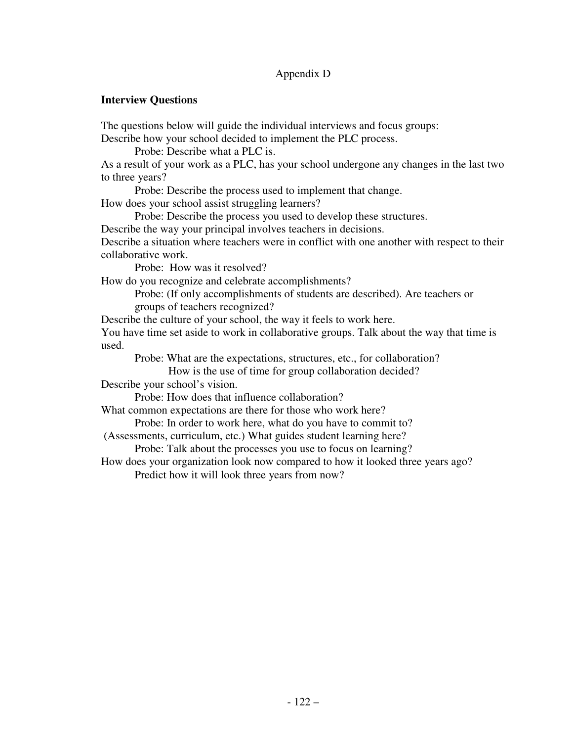# Appendix D

#### **Interview Questions**

The questions below will guide the individual interviews and focus groups:

Describe how your school decided to implement the PLC process.

Probe: Describe what a PLC is.

As a result of your work as a PLC, has your school undergone any changes in the last two to three years?

Probe: Describe the process used to implement that change.

How does your school assist struggling learners?

Probe: Describe the process you used to develop these structures.

Describe the way your principal involves teachers in decisions.

Describe a situation where teachers were in conflict with one another with respect to their collaborative work.

Probe: How was it resolved?

How do you recognize and celebrate accomplishments?

Probe: (If only accomplishments of students are described). Are teachers or groups of teachers recognized?

Describe the culture of your school, the way it feels to work here.

You have time set aside to work in collaborative groups. Talk about the way that time is used.

Probe: What are the expectations, structures, etc., for collaboration?

How is the use of time for group collaboration decided?

Describe your school's vision.

Probe: How does that influence collaboration?

What common expectations are there for those who work here?

Probe: In order to work here, what do you have to commit to?

(Assessments, curriculum, etc.) What guides student learning here?

Probe: Talk about the processes you use to focus on learning?

How does your organization look now compared to how it looked three years ago? Predict how it will look three years from now?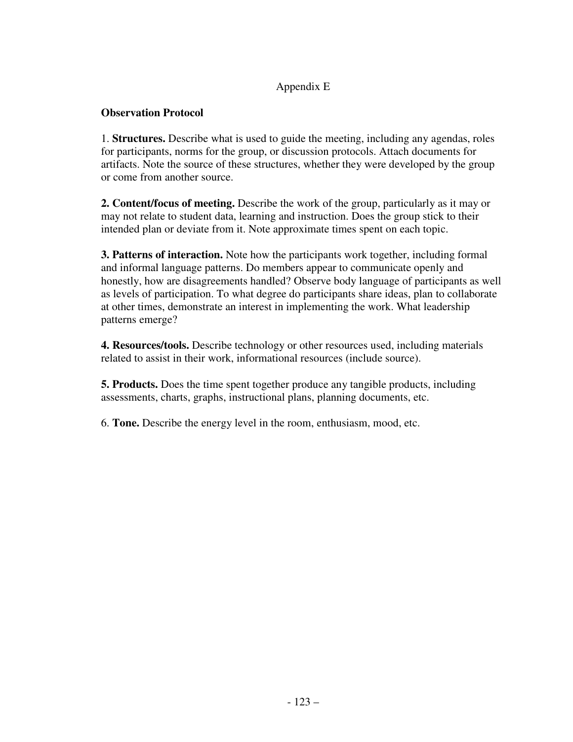# Appendix E

#### **Observation Protocol**

1. **Structures.** Describe what is used to guide the meeting, including any agendas, roles for participants, norms for the group, or discussion protocols. Attach documents for artifacts. Note the source of these structures, whether they were developed by the group or come from another source.

**2. Content/focus of meeting.** Describe the work of the group, particularly as it may or may not relate to student data, learning and instruction. Does the group stick to their intended plan or deviate from it. Note approximate times spent on each topic.

**3. Patterns of interaction.** Note how the participants work together, including formal and informal language patterns. Do members appear to communicate openly and honestly, how are disagreements handled? Observe body language of participants as well as levels of participation. To what degree do participants share ideas, plan to collaborate at other times, demonstrate an interest in implementing the work. What leadership patterns emerge?

**4. Resources/tools.** Describe technology or other resources used, including materials related to assist in their work, informational resources (include source).

**5. Products.** Does the time spent together produce any tangible products, including assessments, charts, graphs, instructional plans, planning documents, etc.

6. **Tone.** Describe the energy level in the room, enthusiasm, mood, etc.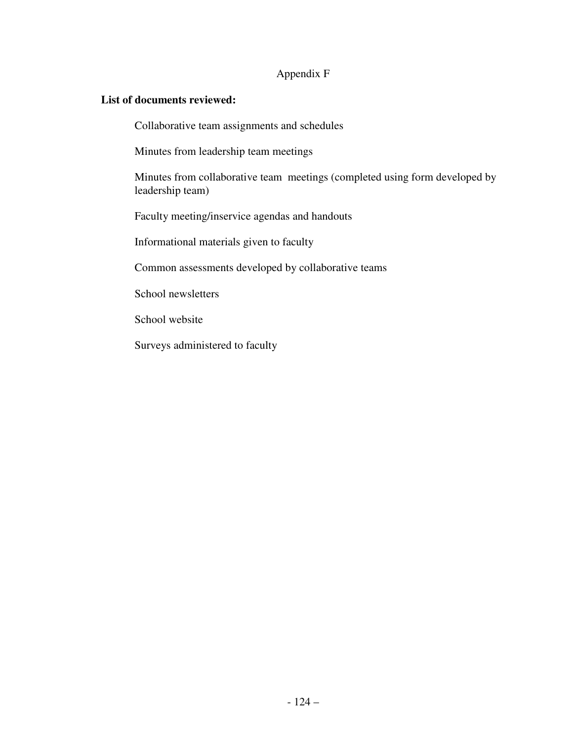# Appendix F

#### **List of documents reviewed:**

Collaborative team assignments and schedules

Minutes from leadership team meetings

 Minutes from collaborative team meetings (completed using form developed by leadership team)

Faculty meeting/inservice agendas and handouts

Informational materials given to faculty

Common assessments developed by collaborative teams

School newsletters

School website

Surveys administered to faculty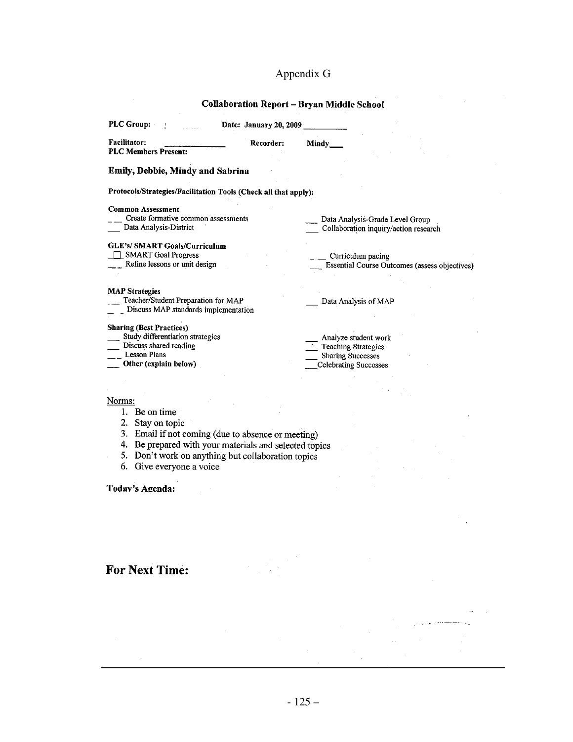# Appendix G

#### **Collaboration Report - Bryan Middle School**

| <b>PLC Group:</b>                                               | Date: January 20, 2009 |                                               |
|-----------------------------------------------------------------|------------------------|-----------------------------------------------|
| <b>Facilitator:</b><br><b>PLC Members Present:</b>              | Recorder:              | Mindy                                         |
| Emily, Debbie, Mindy and Sabrina                                |                        |                                               |
| Protocols/Strategies/Facilitation Tools (Check all that apply): |                        |                                               |
| <b>Common Assessment</b>                                        |                        |                                               |
| Create formative common assessments                             |                        | Data Analysis-Grade Level Group               |
| Data Analysis-District                                          |                        | Collaboration inquiry/action research         |
| <b>GLE's/ SMART Goals/Curriculum</b>                            |                        |                                               |
| <b>SMART Goal Progress</b>                                      |                        | Curriculum pacing                             |
| Refine lessons or unit design                                   |                        | Essential Course Outcomes (assess objectives) |
|                                                                 |                        |                                               |
| <b>MAP Strategies</b>                                           |                        |                                               |
| Teacher/Student Preparation for MAP                             |                        | Data Analysis of MAP                          |
| Discuss MAP standards implementation                            |                        |                                               |
| <b>Sharing (Best Practices)</b>                                 |                        |                                               |
| Study differentiation strategies                                |                        | Analyze student work                          |
| Discuss shared reading                                          |                        | Teaching Strategies                           |
| <b>Lesson Plans</b>                                             |                        | <b>Sharing Successes</b>                      |
| Other (explain below)                                           |                        | <b>Celebrating Successes</b>                  |
|                                                                 |                        |                                               |
|                                                                 |                        |                                               |
| Norms:                                                          |                        |                                               |
| Be on time<br>1.                                                |                        |                                               |
| Stay on topic<br>2.                                             |                        |                                               |
| 3.<br>Email if not coming (due to absence or meeting)           |                        |                                               |

- 
- 3. Email if not coming (due to absence or meeting)<br>4. Be prepared with your materials and selected topics<br>5. Don't work on anything but collaboration topics
- 6. Give everyone a voice

Today's Agenda:

# **For Next Time:**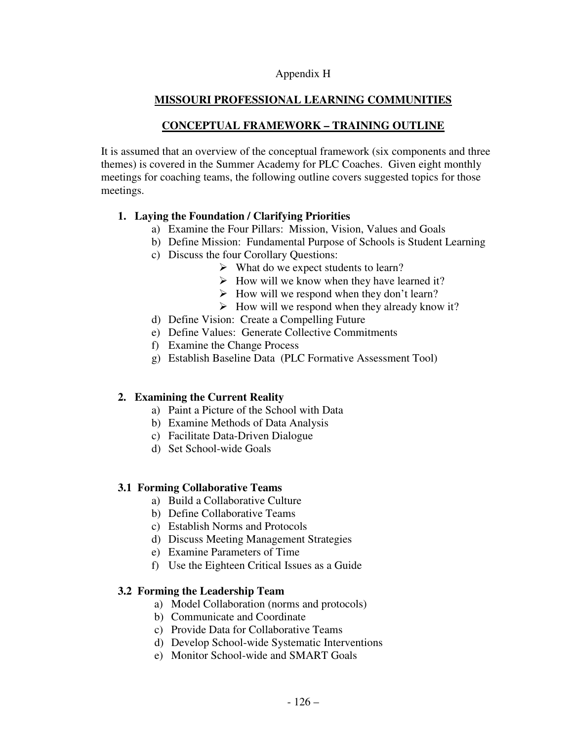#### Appendix H

# **MISSOURI PROFESSIONAL LEARNING COMMUNITIES**

# **CONCEPTUAL FRAMEWORK – TRAINING OUTLINE**

It is assumed that an overview of the conceptual framework (six components and three themes) is covered in the Summer Academy for PLC Coaches. Given eight monthly meetings for coaching teams, the following outline covers suggested topics for those meetings.

#### **1. Laying the Foundation / Clarifying Priorities**

- a) Examine the Four Pillars: Mission, Vision, Values and Goals
- b) Define Mission: Fundamental Purpose of Schools is Student Learning
- c) Discuss the four Corollary Questions:
	- $\triangleright$  What do we expect students to learn?
	- $\triangleright$  How will we know when they have learned it?
	- $\triangleright$  How will we respond when they don't learn?
	- $\triangleright$  How will we respond when they already know it?
- d) Define Vision: Create a Compelling Future
- e) Define Values: Generate Collective Commitments
- f) Examine the Change Process
- g) Establish Baseline Data (PLC Formative Assessment Tool)

## **2. Examining the Current Reality**

- a) Paint a Picture of the School with Data
- b) Examine Methods of Data Analysis
- c) Facilitate Data-Driven Dialogue
- d) Set School-wide Goals

#### **3.1 Forming Collaborative Teams**

- a) Build a Collaborative Culture
- b) Define Collaborative Teams
- c) Establish Norms and Protocols
- d) Discuss Meeting Management Strategies
- e) Examine Parameters of Time
- f) Use the Eighteen Critical Issues as a Guide

#### **3.2 Forming the Leadership Team**

- a) Model Collaboration (norms and protocols)
- b) Communicate and Coordinate
- c) Provide Data for Collaborative Teams
- d) Develop School-wide Systematic Interventions
- e) Monitor School-wide and SMART Goals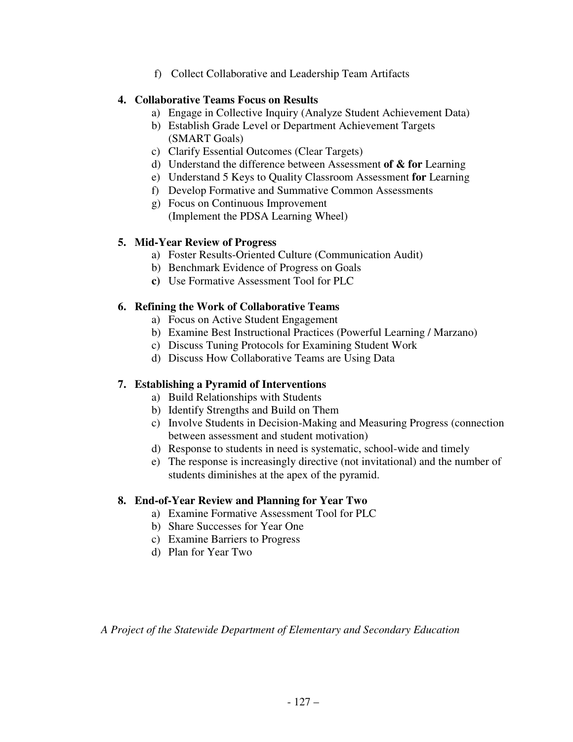f) Collect Collaborative and Leadership Team Artifacts

#### **4. Collaborative Teams Focus on Results**

- a) Engage in Collective Inquiry (Analyze Student Achievement Data)
- b) Establish Grade Level or Department Achievement Targets (SMART Goals)
- c) Clarify Essential Outcomes (Clear Targets)
- d) Understand the difference between Assessment **of & for** Learning
- e) Understand 5 Keys to Quality Classroom Assessment **for** Learning
- f) Develop Formative and Summative Common Assessments
- g) Focus on Continuous Improvement (Implement the PDSA Learning Wheel)

## **5. Mid-Year Review of Progress**

- a) Foster Results-Oriented Culture (Communication Audit)
- b) Benchmark Evidence of Progress on Goals
- **c)** Use Formative Assessment Tool for PLC

## **6. Refining the Work of Collaborative Teams**

- a) Focus on Active Student Engagement
- b) Examine Best Instructional Practices (Powerful Learning / Marzano)
- c) Discuss Tuning Protocols for Examining Student Work
- d) Discuss How Collaborative Teams are Using Data

## **7. Establishing a Pyramid of Interventions**

- a) Build Relationships with Students
- b) Identify Strengths and Build on Them
- c) Involve Students in Decision-Making and Measuring Progress (connection between assessment and student motivation)
- d) Response to students in need is systematic, school-wide and timely
- e) The response is increasingly directive (not invitational) and the number of students diminishes at the apex of the pyramid.

## **8. End-of-Year Review and Planning for Year Two**

- a) Examine Formative Assessment Tool for PLC
- b) Share Successes for Year One
- c) Examine Barriers to Progress
- d) Plan for Year Two

*A Project of the Statewide Department of Elementary and Secondary Education*